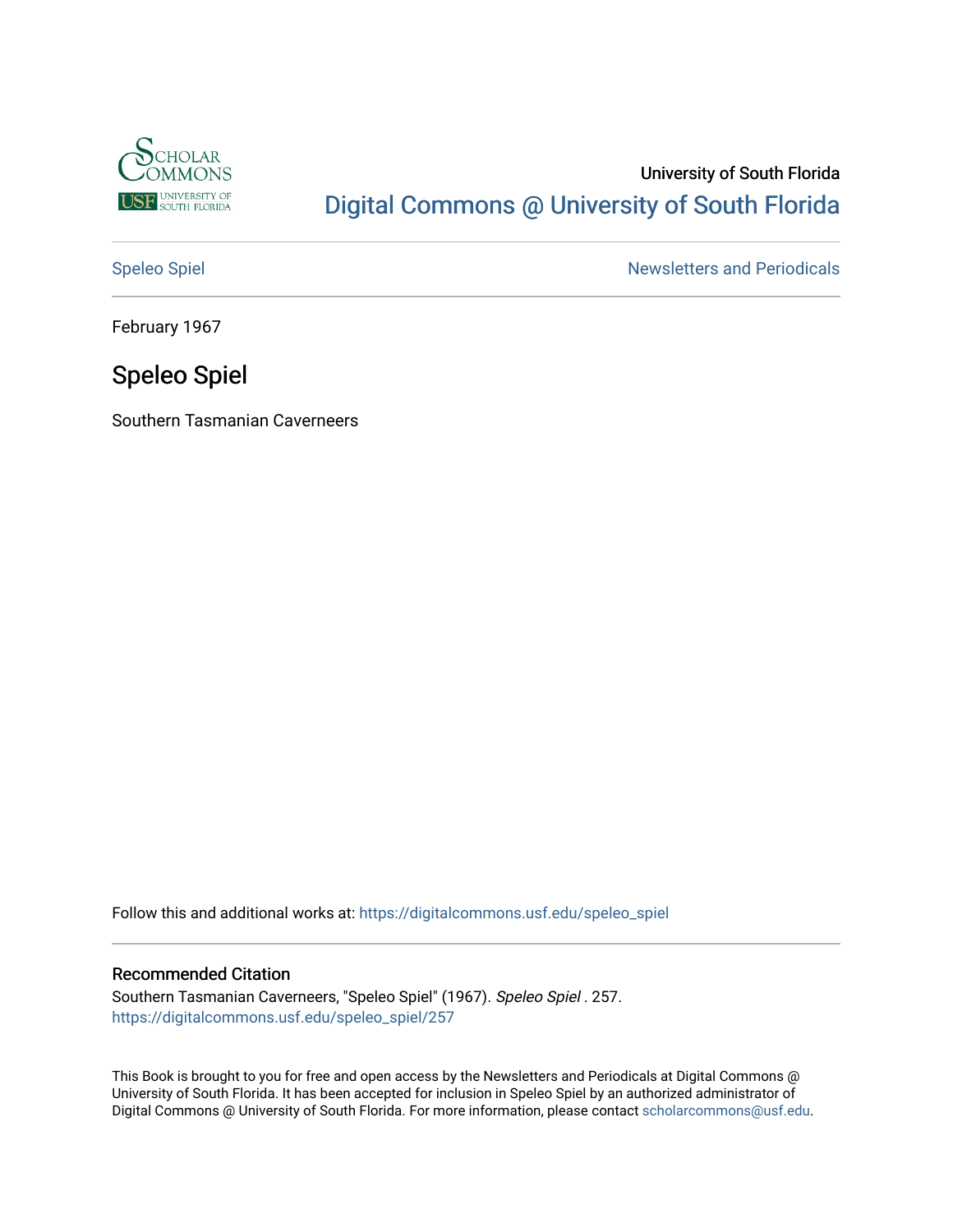

# University of South Florida [Digital Commons @ University of South Florida](https://digitalcommons.usf.edu/)

[Speleo Spiel](https://digitalcommons.usf.edu/speleo_spiel) Newsletters and Periodicals

February 1967

# Speleo Spiel

Southern Tasmanian Caverneers

Follow this and additional works at: [https://digitalcommons.usf.edu/speleo\\_spiel](https://digitalcommons.usf.edu/speleo_spiel?utm_source=digitalcommons.usf.edu%2Fspeleo_spiel%2F257&utm_medium=PDF&utm_campaign=PDFCoverPages)

# Recommended Citation

Southern Tasmanian Caverneers, "Speleo Spiel" (1967). Speleo Spiel . 257. [https://digitalcommons.usf.edu/speleo\\_spiel/257](https://digitalcommons.usf.edu/speleo_spiel/257?utm_source=digitalcommons.usf.edu%2Fspeleo_spiel%2F257&utm_medium=PDF&utm_campaign=PDFCoverPages)

This Book is brought to you for free and open access by the Newsletters and Periodicals at Digital Commons @ University of South Florida. It has been accepted for inclusion in Speleo Spiel by an authorized administrator of Digital Commons @ University of South Florida. For more information, please contact [scholarcommons@usf.edu.](mailto:scholarcommons@usf.edu)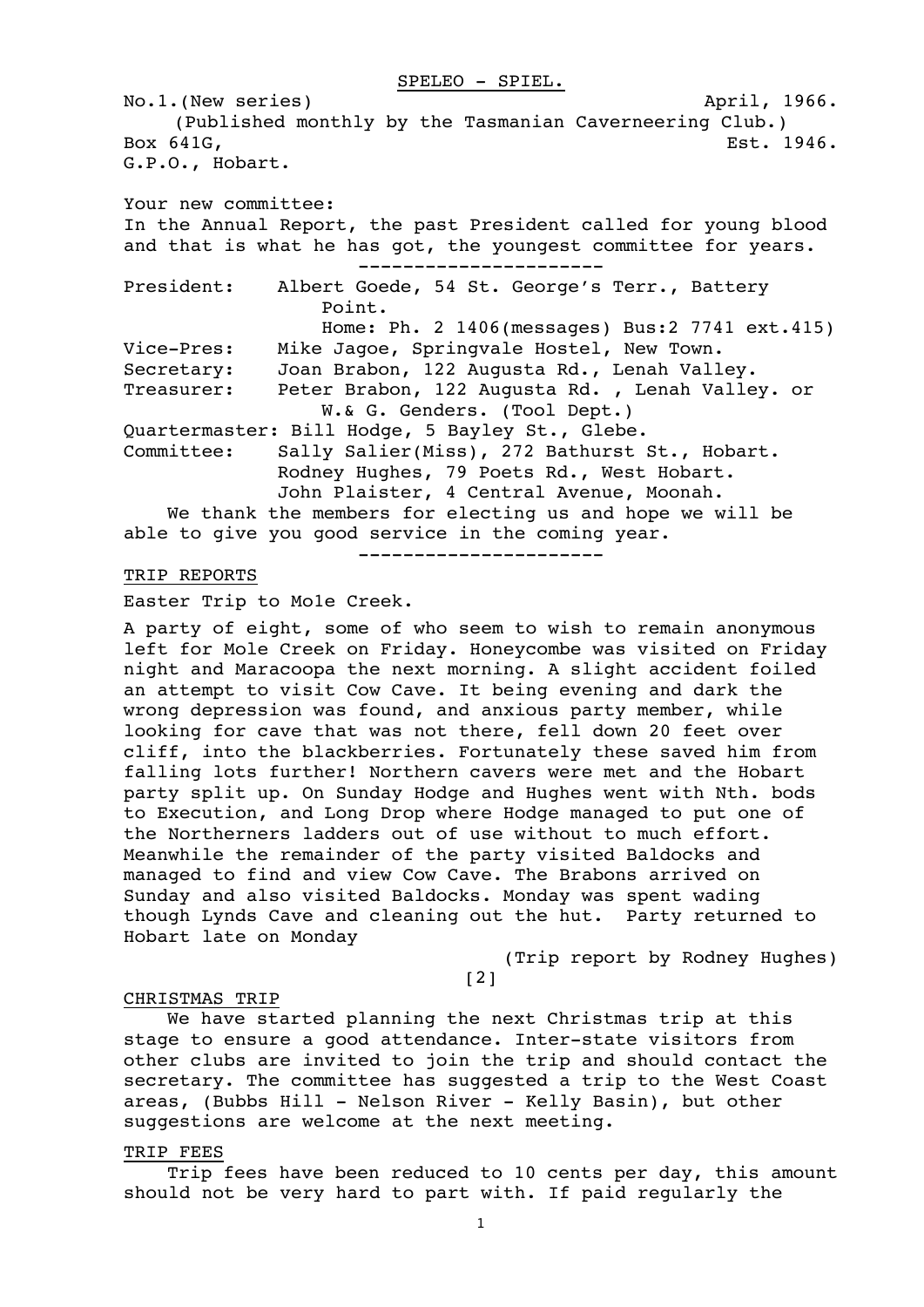#### SPELEO - SPIEL.

No.1.(New series) and the control of the control of the control of the control of the control of the control of  $\Delta p$  and  $\Delta p$  and  $\Delta p$  and  $\Delta p$  and  $\Delta p$  and  $\Delta p$  and  $\Delta p$  and  $\Delta p$  and  $\Delta p$  and  $\Delta p$  and  $\Delta p$  and (Published monthly by the Tasmanian Caverneering Club.) Box 641G, **Est. 1946. Example 20** Est. 1946. G.P.O., Hobart. Your new committee: In the Annual Report, the past President called for young blood and that is what he has got, the youngest committee for years. ---------------------- President: Albert Goede, 54 St. George's Terr., Battery Point. Home: Ph. 2 1406(messages) Bus:2 7741 ext.415) Vice-Pres: Mike Jagoe, Springvale Hostel, New Town. Secretary: Joan Brabon, 122 Augusta Rd., Lenah Valley. Treasurer: Peter Brabon, 122 Augusta Rd. , Lenah Valley. or W.& G. Genders. (Tool Dept.) Quartermaster: Bill Hodge, 5 Bayley St., Glebe. Committee: Sally Salier(Miss), 272 Bathurst St., Hobart. Rodney Hughes, 79 Poets Rd., West Hobart. John Plaister, 4 Central Avenue, Moonah. We thank the members for electing us and hope we will be able to give you good service in the coming year. ----------------------

# TRIP REPORTS

Easter Trip to Mo1e Creek.

A party of eight, some of who seem to wish to remain anonymous left for Mole Creek on Friday. Honeycombe was visited on Friday night and Maracoopa the next morning. A slight accident foiled an attempt to visit Cow Cave. It being evening and dark the wrong depression was found, and anxious party member, while looking for cave that was not there, fell down 20 feet over cliff, into the blackberries. Fortunately these saved him from falling lots further! Northern cavers were met and the Hobart party split up. On Sunday Hodge and Hughes went with Nth. bods to Execution, and Long Drop where Hodge managed to put one of the Northerners ladders out of use without to much effort. Meanwhile the remainder of the party visited Baldocks and managed to find and view Cow Cave. The Brabons arrived on Sunday and also visited Baldocks. Monday was spent wading though Lynds Cave and cleaning out the hut. Party returned to Hobart late on Monday

(Trip report by Rodney Hughes)

# [2]

#### CHRISTMAS TRIP

We have started planning the next Christmas trip at this stage to ensure a good attendance. Inter-state visitors from other clubs are invited to join the trip and should contact the secretary. The committee has suggested a trip to the West Coast areas, (Bubbs Hill - Nelson River - Kelly Basin), but other suggestions are welcome at the next meeting.

#### TRIP FEES

Trip fees have been reduced to 10 cents per day, this amount should not be very hard to part with. If paid regularly the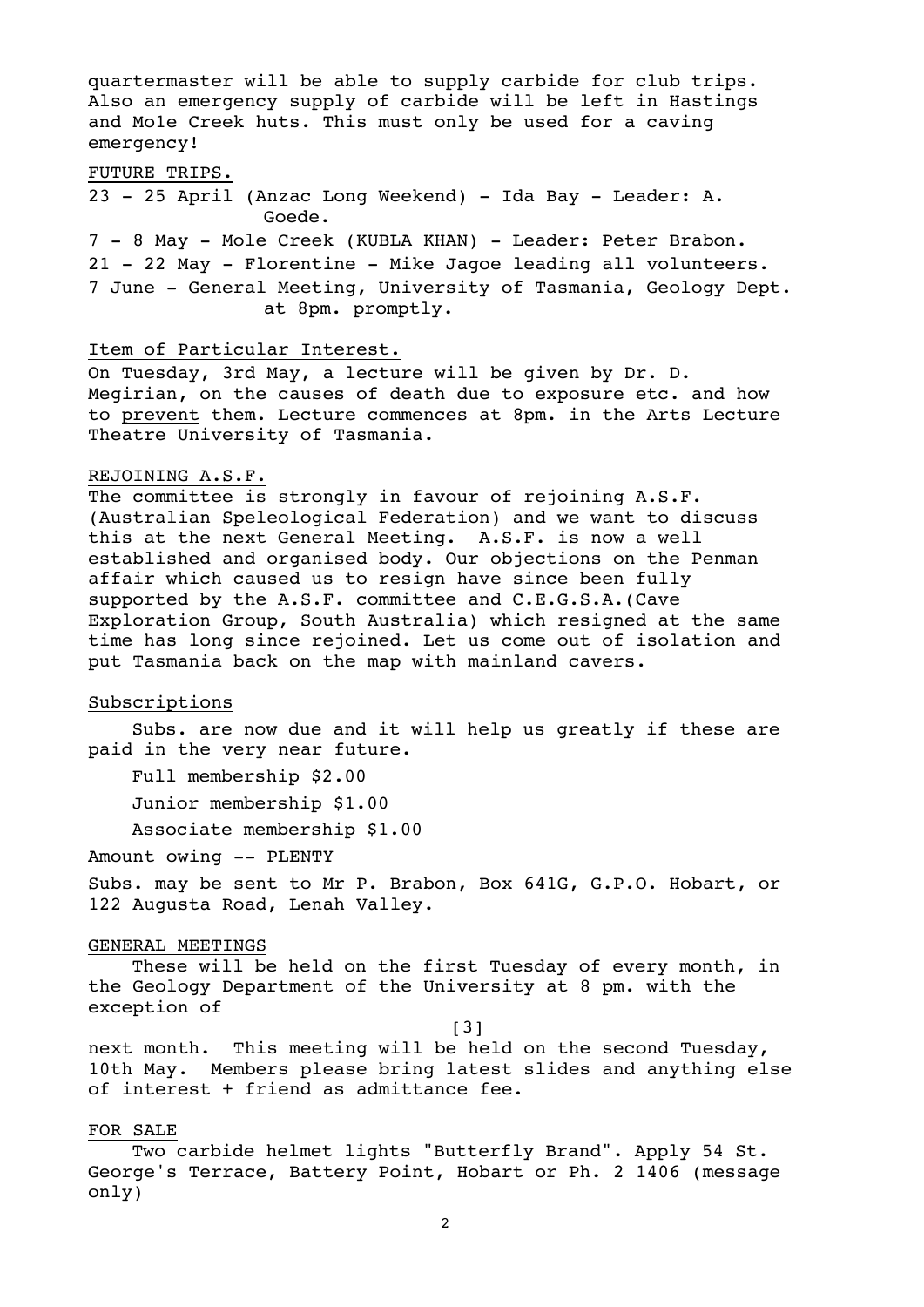quartermaster will be able to supply carbide for club trips. Also an emergency supply of carbide will be left in Hastings and Mo1e Creek huts. This must only be used for a caving emergency!

FUTURE TRIPS.

23 - 25 April (Anzac Long Weekend) - Ida Bay - Leader: A. Goede.

7 - 8 May - Mole Creek (KUBLA KHAN) - Leader: Peter Brabon. 21 - 22 May - Florentine - Mike Jagoe leading all volunteers. 7 June - General Meeting, University of Tasmania, Geology Dept. at 8pm. promptly.

### Item of Particular Interest.

On Tuesday, 3rd May, a lecture will be given by Dr. D. Megirian, on the causes of death due to exposure etc. and how to prevent them. Lecture commences at 8pm. in the Arts Lecture Theatre University of Tasmania.

#### REJOINING A.S.F.

The committee is strongly in favour of rejoining A.S.F. (Australian Speleological Federation) and we want to discuss this at the next General Meeting. A.S.F. is now a well established and organised body. Our objections on the Penman affair which caused us to resign have since been fully supported by the A.S.F. committee and C.E.G.S.A.(Cave Exploration Group, South Australia) which resigned at the same time has long since rejoined. Let us come out of isolation and put Tasmania back on the map with mainland cavers.

#### Subscriptions

Subs. are now due and it will help us greatly if these are paid in the very near future.

Full membership \$2.00

Junior membership \$1.00

Associate membership \$1.00

Amount owing -- PLENTY

Subs. may be sent to Mr P. Brabon, Box 641G, G.P.O. Hobart, or 122 Augusta Road, Lenah Valley.

#### GENERAL MEETINGS

These will be held on the first Tuesday of every month, in the Geology Department of the University at 8 pm. with the exception of

[3]

next month. This meeting will be held on the second Tuesday, 10th May. Members please bring latest slides and anything else of interest + friend as admittance fee.

# FOR SALE

Two carbide helmet lights "Butterfly Brand". Apply 54 St. George's Terrace, Battery Point, Hobart or Ph. 2 1406 (message only)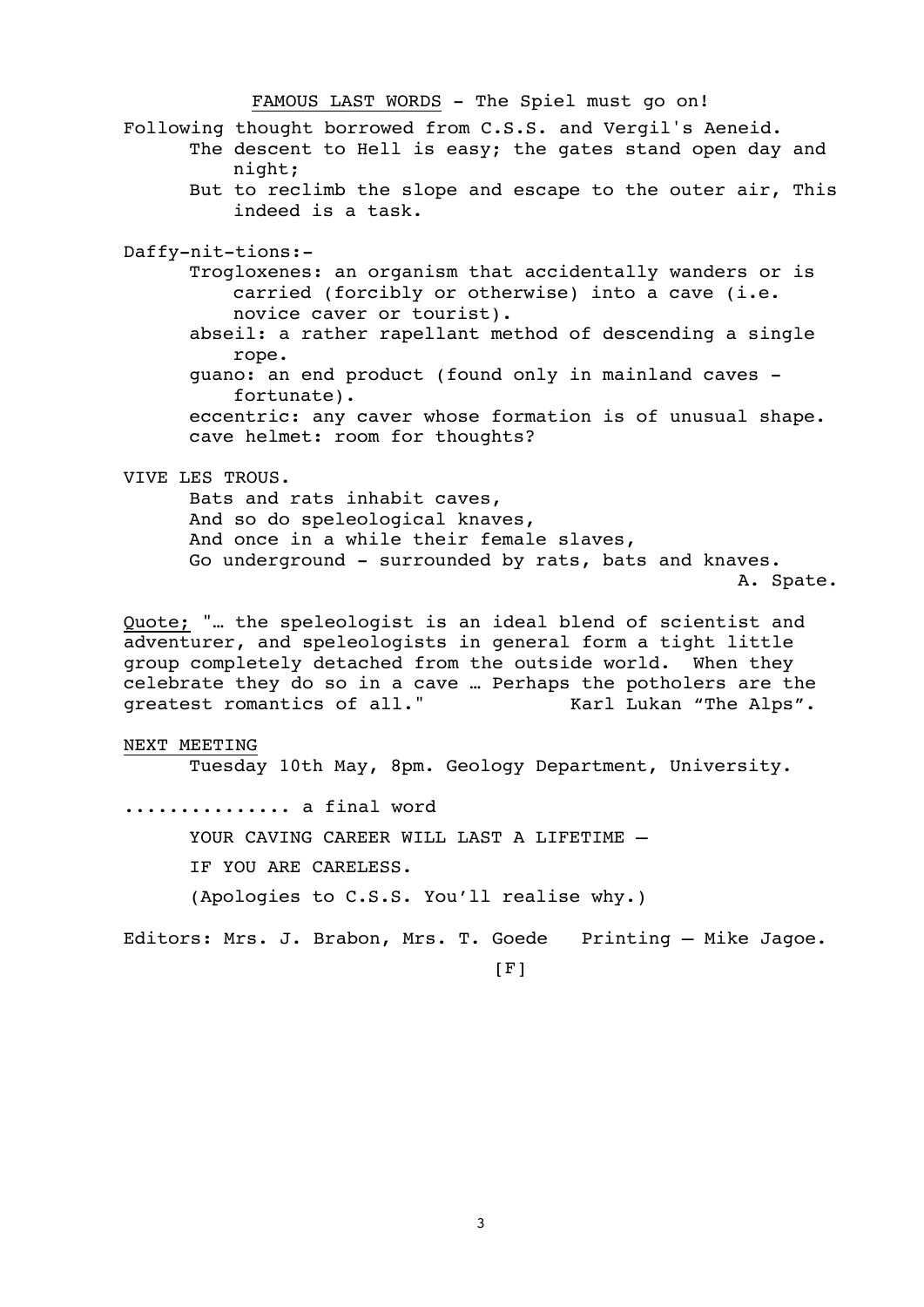FAMOUS LAST WORDS - The Spiel must go on!

- Following thought borrowed from C.S.S. and Vergil's Aeneid.
	- The descent to Hell is easy; the gates stand open day and night;
		- But to reclimb the slope and escape to the outer air, This indeed is a task.

Daffy-nit-tions:-

- Trogloxenes: an organism that accidentally wanders or is carried (forcibly or otherwise) into a cave (i.e. novice caver or tourist).
- abseil: a rather rapellant method of descending a single rope.
- guano: an end product (found only in mainland caves fortunate).

eccentric: any caver whose formation is of unusual shape. cave helmet: room for thoughts?

#### VIVE LES TROUS.

Bats and rats inhabit caves, And so do speleological knaves, And once in a while their female slaves, Go underground - surrounded by rats, bats and knaves. A. Spate.

Quote; "… the speleologist is an ideal blend of scientist and adventurer, and speleologists in general form a tight little group completely detached from the outside world. When they celebrate they do so in a cave ... Perhaps the potholers are the qreatest romantics of all." Karl Lukan "The Alps". greatest romantics of all."

#### NEXT MEETING

Tuesday 10th May, 8pm. Geology Department, University.

.............. a final word

YOUR CAVING CAREER WILL LAST A LIFETIME -

IF YOU ARE CARELESS.

```
(Apologies to C.S.S. You'll realise why.)
```
Editors: Mrs. J. Brabon, Mrs. T. Goede Printing – Mike Jagoe.

 $[F]$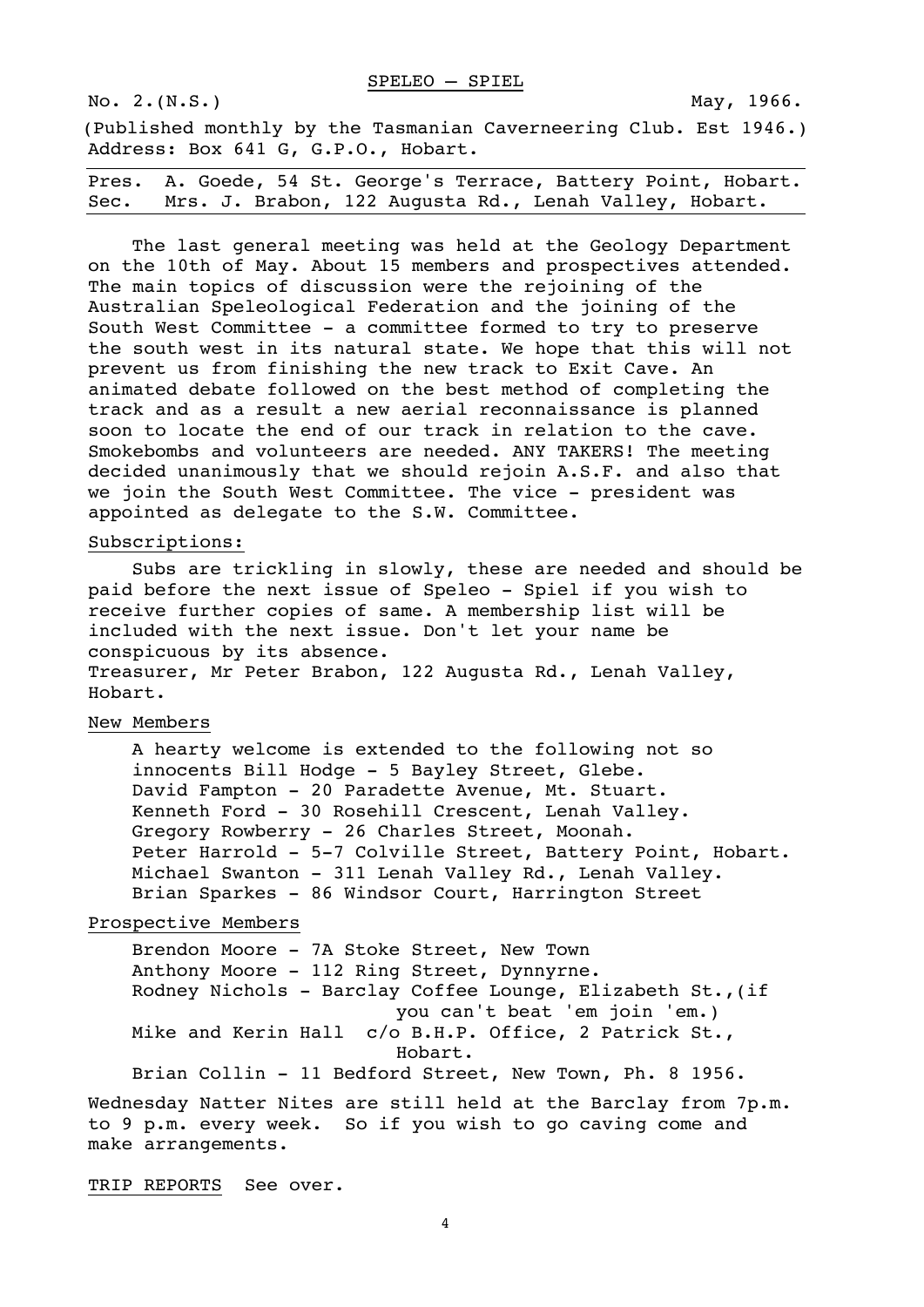No. 2. (N.S.) May, 1966.

(Published monthly by the Tasmanian Caverneering Club. Est 1946.) Address: Box 641 G, G.P.O., Hobart.

|  | Pres. A. Goede, 54 St. George's Terrace, Battery Point, Hobart. |  |  |
|--|-----------------------------------------------------------------|--|--|
|  | Sec. Mrs. J. Brabon, 122 Augusta Rd., Lenah Valley, Hobart.     |  |  |

The last general meeting was held at the Geology Department on the 10th of May. About 15 members and prospectives attended. The main topics of discussion were the rejoining of the Australian Speleological Federation and the joining of the South West Committee - a committee formed to try to preserve the south west in its natural state. We hope that this will not prevent us from finishing the new track to Exit Cave. An animated debate followed on the best method of completing the track and as a result a new aerial reconnaissance is planned soon to locate the end of our track in relation to the cave. Smokebombs and volunteers are needed. ANY TAKERS! The meeting decided unanimously that we should rejoin A.S.F. and also that we join the South West Committee. The vice - president was appointed as delegate to the S.W. Committee.

#### Subscriptions:

Subs are trickling in slowly, these are needed and should be paid before the next issue of Speleo - Spiel if you wish to receive further copies of same. A membership list will be included with the next issue. Don't let your name be conspicuous by its absence. Treasurer, Mr Peter Brabon, 122 Augusta Rd., Lenah Valley, Hobart.

#### New Members

A hearty welcome is extended to the following not so innocents Bill Hodge - 5 Bayley Street, Glebe. David Fampton - 20 Paradette Avenue, Mt. Stuart. Kenneth Ford - 30 Rosehill Crescent, Lenah Valley. Gregory Rowberry - 26 Charles Street, Moonah. Peter Harrold - 5-7 Colville Street, Battery Point, Hobart. Michael Swanton - 311 Lenah Valley Rd., Lenah Valley. Brian Sparkes - 86 Windsor Court, Harrington Street

#### Prospective Members

Brendon Moore - 7A Stoke Street, New Town Anthony Moore - 112 Ring Street, Dynnyrne. Rodney Nichols - Barclay Coffee Lounge, Elizabeth St.,(if you can't beat 'em join 'em.) Mike and Kerin Hall c/o B.H.P. Office, 2 Patrick St., Hobart. Brian Collin - 11 Bedford Street, New Town, Ph. 8 1956.

Wednesday Natter Nites are still held at the Barclay from 7p.m. to 9 p.m. every week. So if you wish to go caving come and make arrangements.

TRIP REPORTS See over.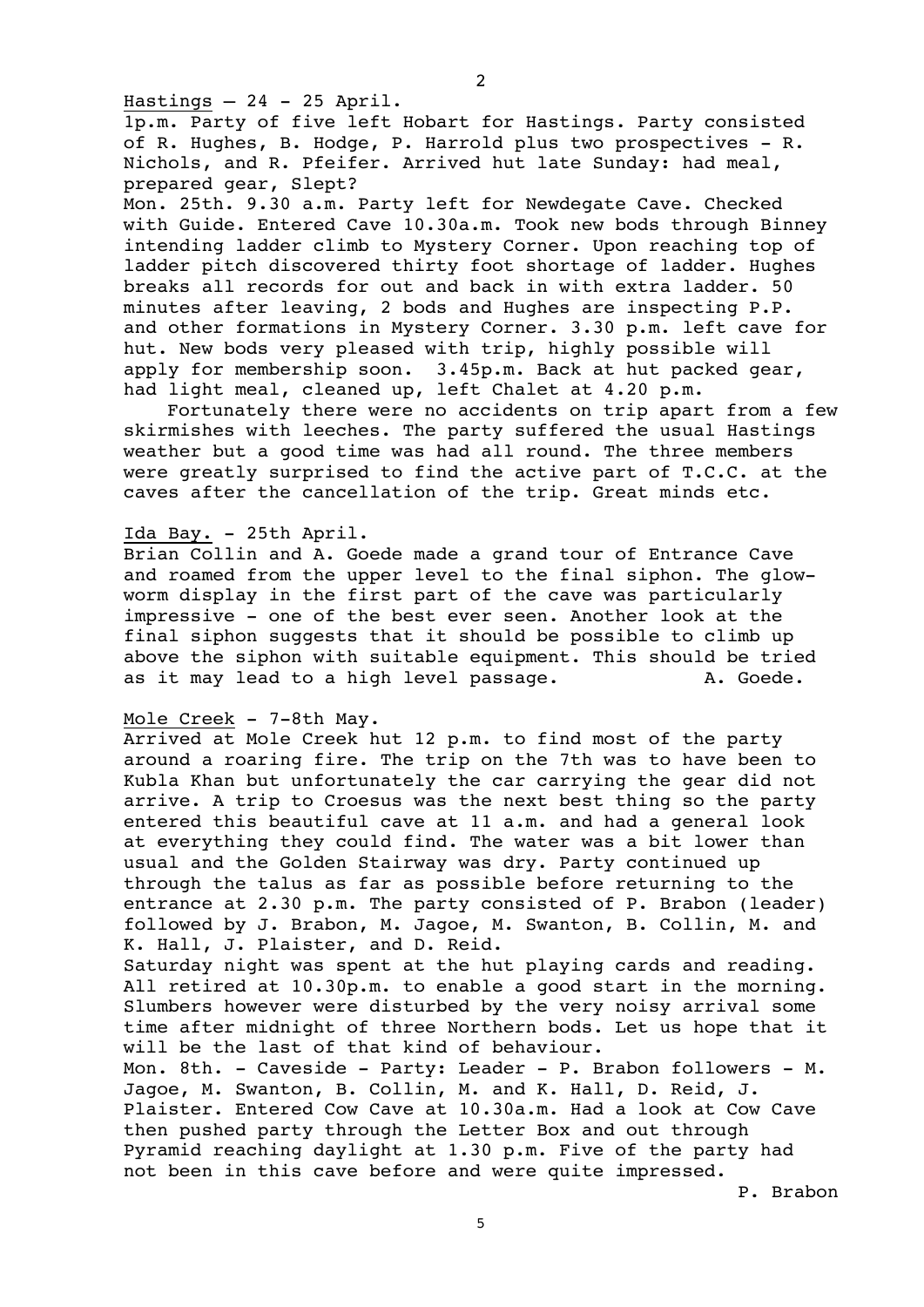Hastings  $-24$  - 25 April.

1p.m. Party of five left Hobart for Hastings. Party consisted of R. Hughes, B. Hodge, P. Harrold plus two prospectives - R. Nichols, and R. Pfeifer. Arrived hut late Sunday: had meal, prepared gear, Slept?

Mon. 25th. 9.30 a.m. Party left for Newdegate Cave. Checked with Guide. Entered Cave 10.30a.m. Took new bods through Binney intending ladder climb to Mystery Corner. Upon reaching top of ladder pitch discovered thirty foot shortage of ladder. Hughes breaks all records for out and back in with extra ladder. 50 minutes after leaving, 2 bods and Hughes are inspecting P.P. and other formations in Mystery Corner. 3.30 p.m. left cave for hut. New bods very pleased with trip, highly possible will apply for membership soon. 3.45p.m. Back at hut packed gear, had light meal, cleaned up, left Chalet at 4.20 p.m.

Fortunately there were no accidents on trip apart from a few skirmishes with leeches. The party suffered the usual Hastings weather but a good time was had all round. The three members were greatly surprised to find the active part of T.C.C. at the caves after the cancellation of the trip. Great minds etc.

#### Ida Bay. - 25th April.

Brian Collin and A. Goede made a grand tour of Entrance Cave and roamed from the upper level to the final siphon. The glowworm display in the first part of the cave was particularly impressive - one of the best ever seen. Another look at the final siphon suggests that it should be possible to climb up above the siphon with suitable equipment. This should be tried as it may lead to a high level passage. A. Goede.

#### Mole Creek - 7-8th May.

Arrived at Mole Creek hut 12 p.m. to find most of the party around a roaring fire. The trip on the 7th was to have been to Kubla Khan but unfortunately the car carrying the gear did not arrive. A trip to Croesus was the next best thing so the party entered this beautiful cave at 11 a.m. and had a general look at everything they could find. The water was a bit lower than usual and the Golden Stairway was dry. Party continued up through the talus as far as possible before returning to the entrance at 2.30 p.m. The party consisted of P. Brabon (leader) followed by J. Brabon, M. Jagoe, M. Swanton, B. Collin, M. and K. Hall, J. Plaister, and D. Reid.

Saturday night was spent at the hut playing cards and reading. All retired at 10.30p.m. to enable a good start in the morning. Slumbers however were disturbed by the very noisy arrival some time after midnight of three Northern bods. Let us hope that it will be the last of that kind of behaviour.

Mon. 8th. - Caveside - Party: Leader - P. Brabon followers - M. Jagoe, M. Swanton, B. Collin, M. and K. Hall, D. Reid, J. Plaister. Entered Cow Cave at 10.30a.m. Had a look at Cow Cave then pushed party through the Letter Box and out through Pyramid reaching daylight at 1.30 p.m. Five of the party had not been in this cave before and were quite impressed.

P. Brabon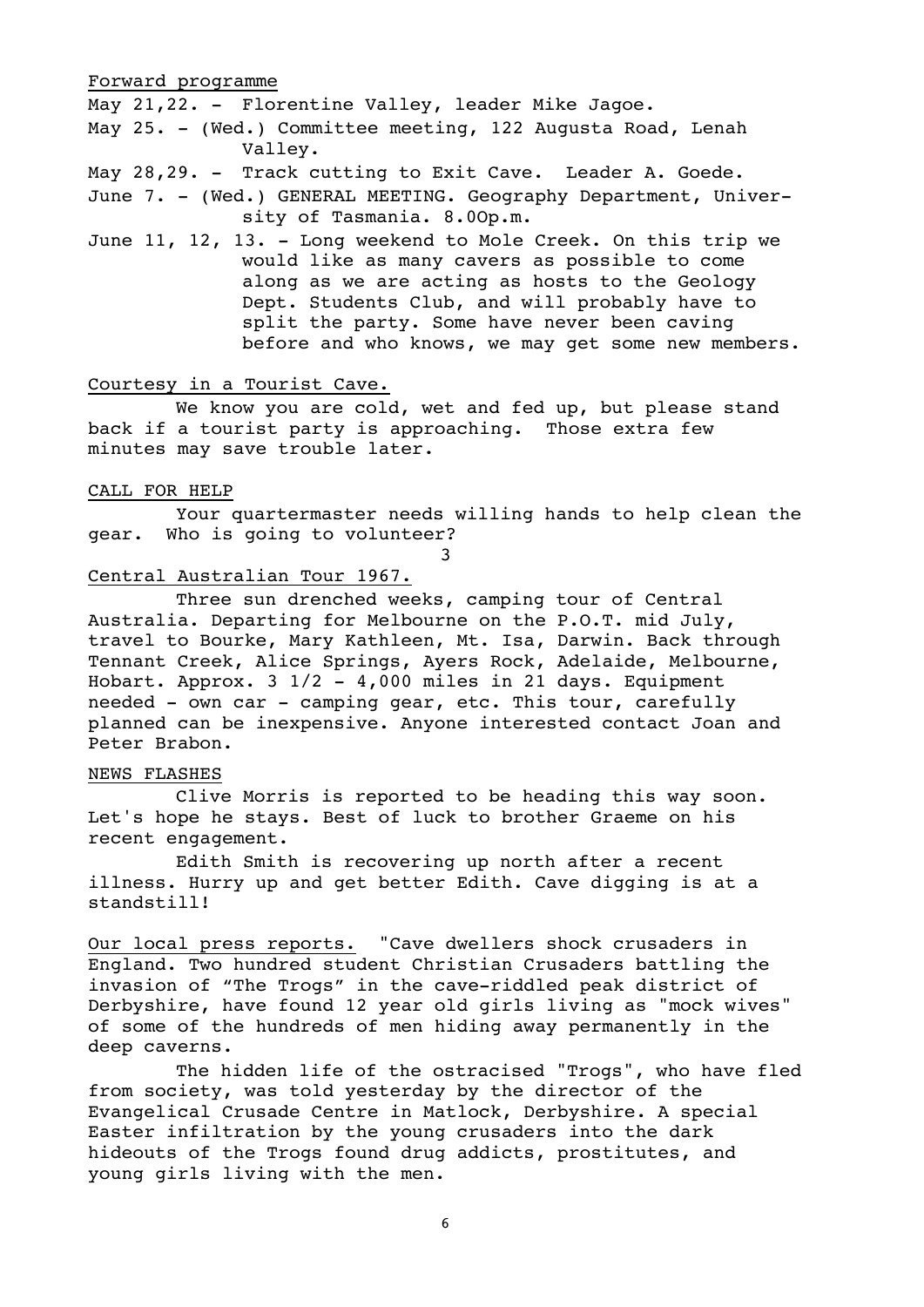#### Forward programme

May 21,22. - Florentine Valley, leader Mike Jagoe.

May 25. - (Wed.) Committee meeting, 122 Augusta Road, Lenah Valley.

May 28,29. - Track cutting to Exit Cave. Leader A. Goede. June 7. - (Wed.) GENERAL MEETING. Geography Department, University of Tasmania. 8.0Op.m.

June 11, 12, 13. - Long weekend to Mole Creek. On this trip we would like as many cavers as possible to come along as we are acting as hosts to the Geology Dept. Students Club, and will probably have to split the party. Some have never been caving before and who knows, we may get some new members.

#### Courtesy in a Tourist Cave.

We know you are cold, wet and fed up, but please stand back if a tourist party is approaching. Those extra few minutes may save trouble later.

#### CALL FOR HELP

Your quartermaster needs willing hands to help clean the gear. Who is going to volunteer?

3

#### Central Australian Tour 1967.

Three sun drenched weeks, camping tour of Central Australia. Departing for Melbourne on the P.O.T. mid July, travel to Bourke, Mary Kathleen, Mt. Isa, Darwin. Back through Tennant Creek, Alice Springs, Ayers Rock, Adelaide, Melbourne, Hobart. Approx. 3 1/2 - 4,000 miles in 21 days. Equipment needed - own car - camping gear, etc. This tour, carefully planned can be inexpensive. Anyone interested contact Joan and Peter Brabon.

#### NEWS FLASHES

Clive Morris is reported to be heading this way soon. Let's hope he stays. Best of luck to brother Graeme on his recent engagement.

Edith Smith is recovering up north after a recent illness. Hurry up and get better Edith. Cave digging is at a standstill!

Our local press reports. "Cave dwellers shock crusaders in England. Two hundred student Christian Crusaders battling the invasion of "The Trogs" in the cave-riddled peak district of Derbyshire, have found 12 year old girls living as "mock wives" of some of the hundreds of men hiding away permanently in the deep caverns.

The hidden life of the ostracised "Trogs", who have fled from society, was told yesterday by the director of the Evangelical Crusade Centre in Matlock, Derbyshire. A special Easter infiltration by the young crusaders into the dark hideouts of the Trogs found drug addicts, prostitutes, and young girls living with the men.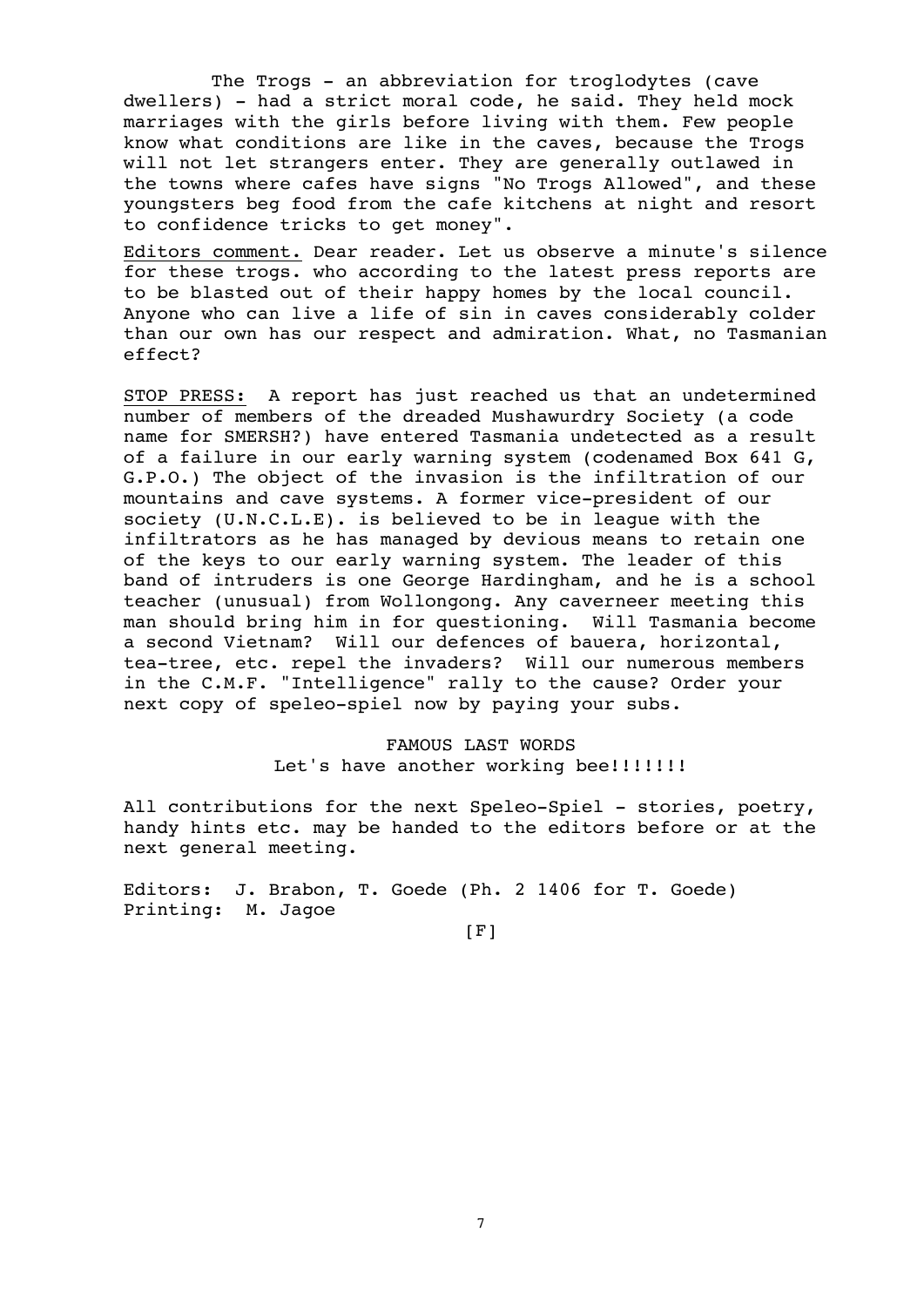The Trogs - an abbreviation for troglodytes (cave dwellers) - had a strict moral code, he said. They held mock marriages with the girls before living with them. Few people know what conditions are like in the caves, because the Trogs will not let strangers enter. They are generally outlawed in the towns where cafes have signs "No Trogs Allowed", and these youngsters beg food from the cafe kitchens at night and resort to confidence tricks to get money".

Editors comment. Dear reader. Let us observe a minute's silence for these trogs. who according to the latest press reports are to be blasted out of their happy homes by the local council. Anyone who can live a life of sin in caves considerably colder than our own has our respect and admiration. What, no Tasmanian effect?

STOP PRESS: A report has just reached us that an undetermined number of members of the dreaded Mushawurdry Society (a code name for SMERSH?) have entered Tasmania undetected as a result of a failure in our early warning system (codenamed Box 641 G, G.P.O.) The object of the invasion is the infiltration of our mountains and cave systems. A former vice-president of our society (U.N.C.L.E). is believed to be in league with the infiltrators as he has managed by devious means to retain one of the keys to our early warning system. The leader of this band of intruders is one George Hardingham, and he is a school teacher (unusual) from Wollongong. Any caverneer meeting this man should bring him in for questioning. Will Tasmania become a second Vietnam? Will our defences of bauera, horizontal, tea-tree, etc. repel the invaders? Will our numerous members in the C.M.F. "Intelligence" rally to the cause? Order your next copy of speleo-spiel now by paying your subs.

# FAMOUS LAST WORDS Let's have another working bee!!!!!!!!

All contributions for the next Speleo-Spiel - stories, poetry, handy hints etc. may be handed to the editors before or at the next general meeting.

Editors: J. Brabon, T. Goede (Ph. 2 1406 for T. Goede) Printing: M. Jagoe

 $[$ F]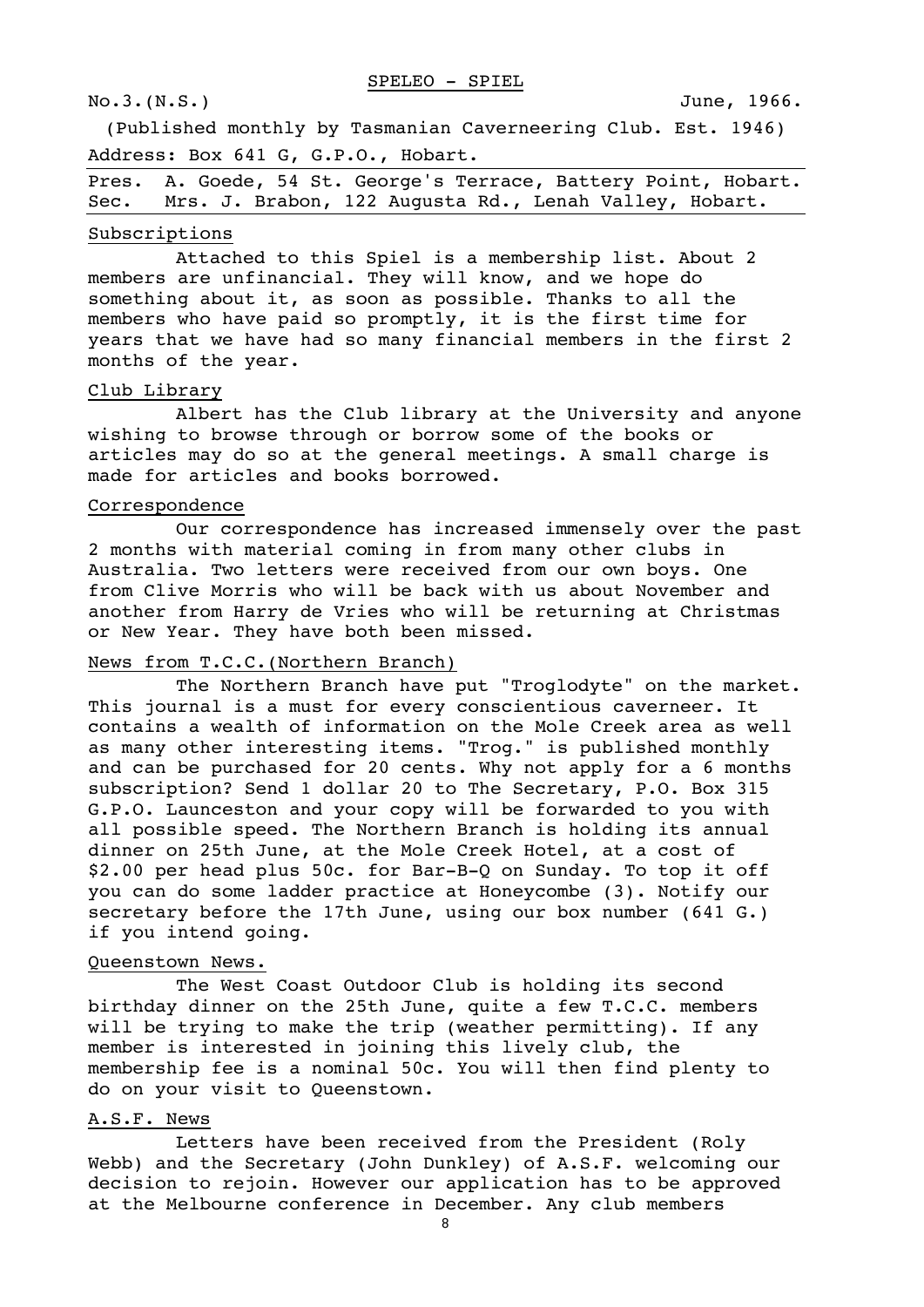(Published monthly by Tasmanian Caverneering Club. Est. 1946) Address: Box 641 G, G.P.O., Hobart.

| Pres. A. Goede, 54 St. George's Terrace, Battery Point, Hobart. |  |  |  |
|-----------------------------------------------------------------|--|--|--|
| Sec. Mrs. J. Brabon, 122 Augusta Rd., Lenah Valley, Hobart.     |  |  |  |

#### Subscriptions

Attached to this Spiel is a membership list. About 2 members are unfinancial. They will know, and we hope do something about it, as soon as possible. Thanks to all the members who have paid so promptly, it is the first time for years that we have had so many financial members in the first 2 months of the year.

#### Club Library

Albert has the Club library at the University and anyone wishing to browse through or borrow some of the books or articles may do so at the general meetings. A small charge is made for articles and books borrowed.

#### Correspondence

Our correspondence has increased immensely over the past 2 months with material coming in from many other clubs in Australia. Two letters were received from our own boys. One from Clive Morris who will be back with us about November and another from Harry de Vries who will be returning at Christmas or New Year. They have both been missed.

### News from T.C.C.(Northern Branch)

The Northern Branch have put "Troglodyte" on the market. This journal is a must for every conscientious caverneer. It contains a wealth of information on the Mole Creek area as well as many other interesting items. "Trog." is published monthly and can be purchased for 20 cents. Why not apply for a 6 months subscription? Send 1 dollar 20 to The Secretary, P.O. Box 315 G.P.O. Launceston and your copy will be forwarded to you with all possible speed. The Northern Branch is holding its annual dinner on 25th June, at the Mole Creek Hotel, at a cost of \$2.00 per head plus 50c. for Bar-B-Q on Sunday. To top it off you can do some ladder practice at Honeycombe (3). Notify our secretary before the 17th June, using our box number (641 G.) if you intend going.

#### Queenstown News.

The West Coast Outdoor Club is holding its second birthday dinner on the 25th June, quite a few T.C.C. members will be trying to make the trip (weather permitting). If any member is interested in joining this lively club, the membership fee is a nominal 50c. You will then find plenty to do on your visit to Queenstown.

#### A.S.F. News

Letters have been received from the President (Roly Webb) and the Secretary (John Dunkley) of A.S.F. welcoming our decision to rejoin. However our application has to be approved at the Melbourne conference in December. Any club members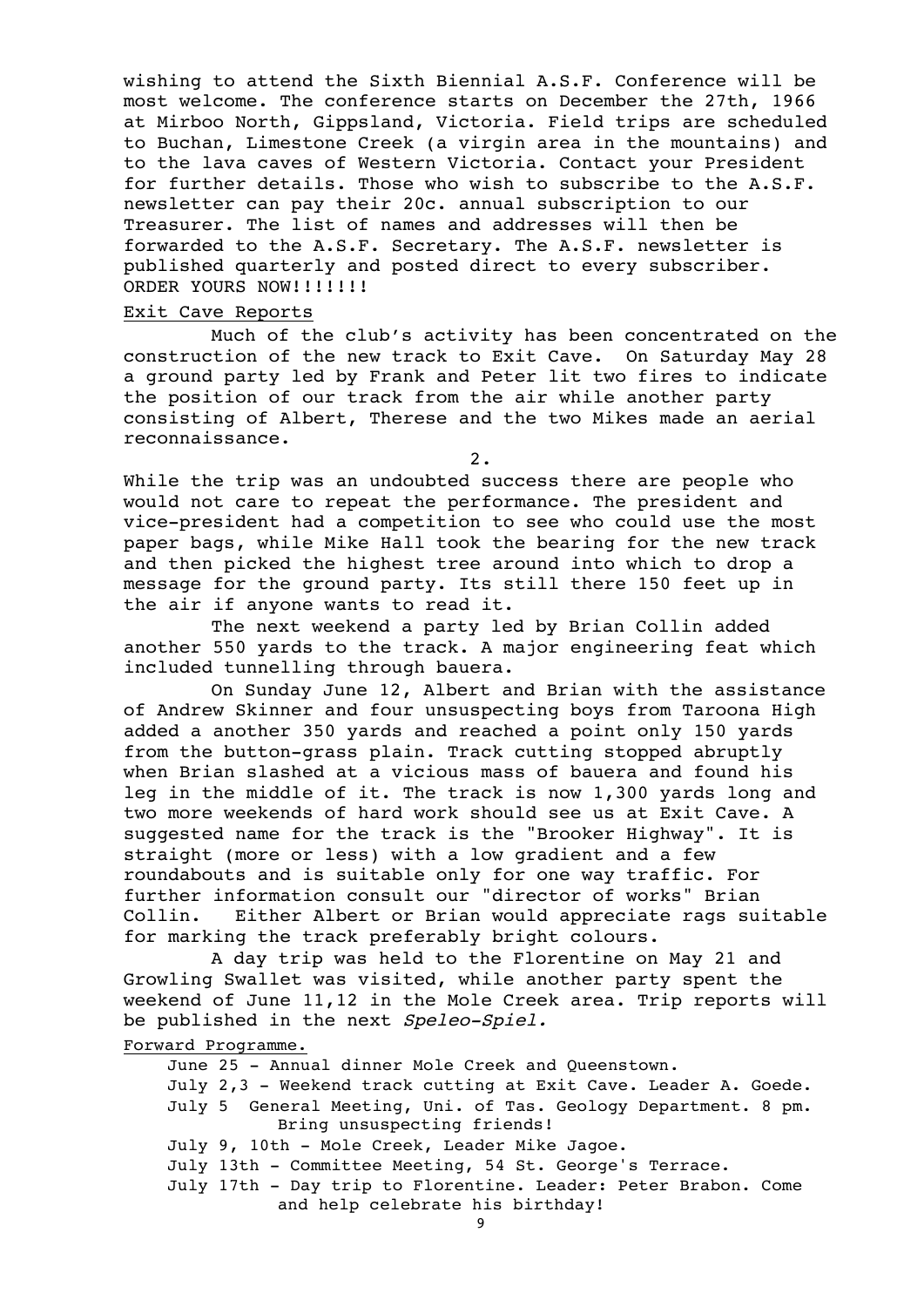wishing to attend the Sixth Biennial A.S.F. Conference will be most welcome. The conference starts on December the 27th, 1966 at Mirboo North, Gippsland, Victoria. Field trips are scheduled to Buchan, Limestone Creek (a virgin area in the mountains) and to the lava caves of Western Victoria. Contact your President for further details. Those who wish to subscribe to the A.S.F. newsletter can pay their 20c. annual subscription to our Treasurer. The list of names and addresses will then be forwarded to the A.S.F. Secretary. The A.S.F. newsletter is published quarterly and posted direct to every subscriber. ORDER YOURS NOW!!!!!!!

#### Exit Cave Reports

Much of the club's activity has been concentrated on the construction of the new track to Exit Cave. On Saturday May 28 a ground party led by Frank and Peter lit two fires to indicate the position of our track from the air while another party consisting of Albert, Therese and the two Mikes made an aerial reconnaissance.

2.

While the trip was an undoubted success there are people who would not care to repeat the performance. The president and vice-president had a competition to see who could use the most paper bags, while Mike Hall took the bearing for the new track and then picked the highest tree around into which to drop a message for the ground party. Its still there 150 feet up in the air if anyone wants to read it.

The next weekend a party led by Brian Collin added another 550 yards to the track. A major engineering feat which included tunnelling through bauera.

On Sunday June 12, Albert and Brian with the assistance of Andrew Skinner and four unsuspecting boys from Taroona High added a another 350 yards and reached a point only 150 yards from the button-grass plain. Track cutting stopped abruptly when Brian slashed at a vicious mass of bauera and found his leg in the middle of it. The track is now 1,300 yards long and two more weekends of hard work should see us at Exit Cave. A suggested name for the track is the "Brooker Highway". It is straight (more or less) with a low gradient and a few roundabouts and is suitable only for one way traffic. For further information consult our "director of works" Brian Collin. Either Albert or Brian would appreciate rags suitable for marking the track preferably bright colours.

A day trip was held to the Florentine on May 21 and Growling Swallet was visited, while another party spent the weekend of June 11,12 in the Mole Creek area. Trip reports will be published in the next Speleo-Spiel.

Forward Programme.

June 25 - Annual dinner Mole Creek and Queenstown. July 2,3 - Weekend track cutting at Exit Cave. Leader A. Goede. July 5 General Meeting, Uni. of Tas. Geology Department. 8 pm. Bring unsuspecting friends! July 9, 10th - Mole Creek, Leader Mike Jagoe. July 13th - Committee Meeting, 54 St. George's Terrace. July 17th - Day trip to Florentine. Leader: Peter Brabon. Come and help celebrate his birthday!

9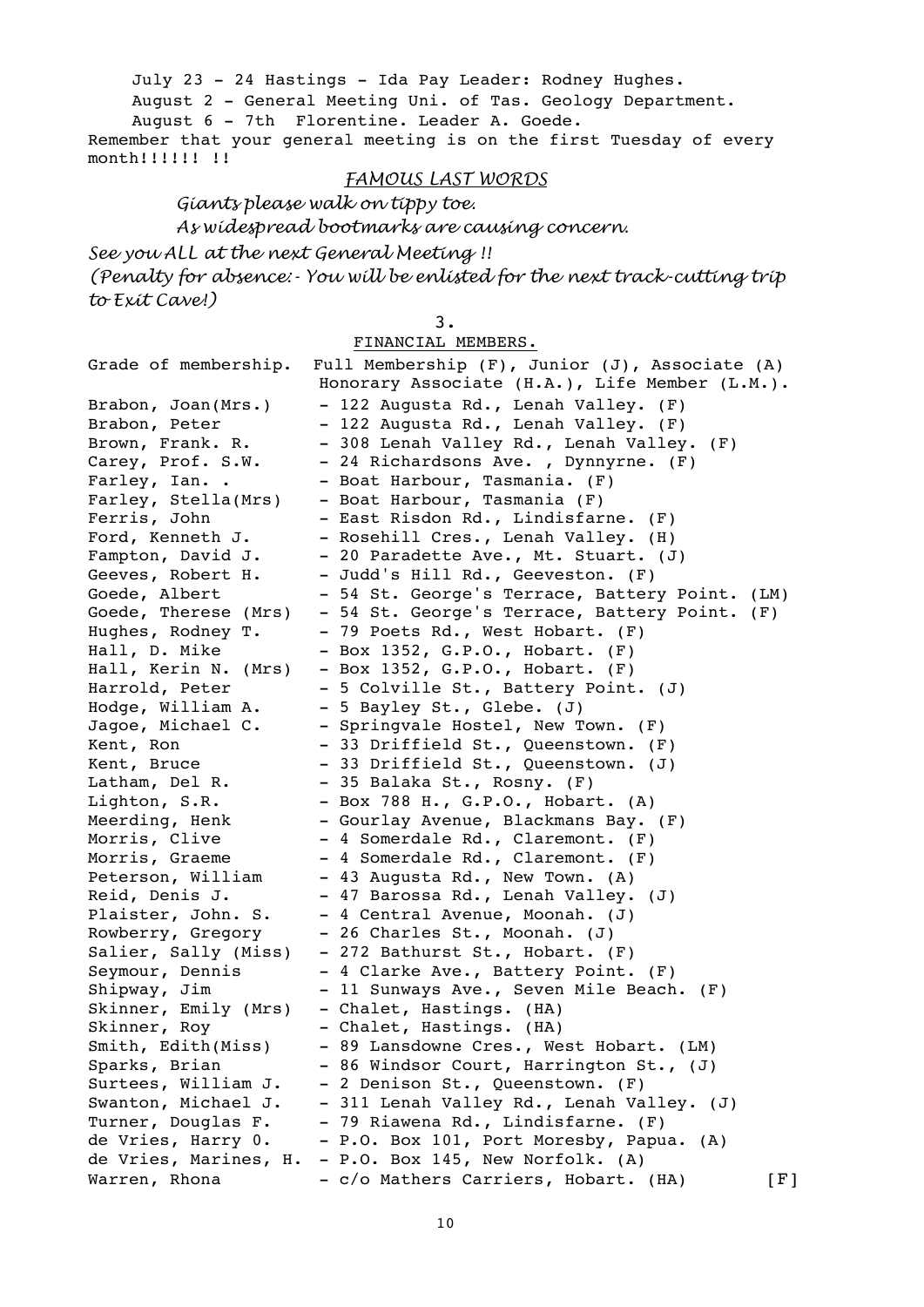July 23 - 24 Hastings - Ida Pay Leader: Rodney Hughes.

August 2 - General Meeting Uni. of Tas. Geology Department.

August 6 - 7th Florentine. Leader A. Goede.

Remember that your general meeting is on the first Tuesday of every month!!!!!! !!

# *FAMOUS LAST WORDS*

*Giants please walk on tippy toe. As widespread bootmarks are causing concern.*

*See you ALL at the next General Meeting !! (Penalty for absence:- You will be enlisted for the next track-cutting trip to Exit Cave!)*

3.

FINANCIAL MEMBERS.

| Grade of membership.  | Full Membership (F), Junior (J), Associate (A) |     |
|-----------------------|------------------------------------------------|-----|
|                       | Honorary Associate (H.A.), Life Member (L.M.). |     |
| Brabon, Joan(Mrs.)    | - 122 Augusta Rd., Lenah Valley. (F)           |     |
| Brabon, Peter         | - 122 Augusta Rd., Lenah Valley. (F)           |     |
| Brown, Frank. R.      | - 308 Lenah Valley Rd., Lenah Valley. (F)      |     |
| Carey, Prof. S.W.     | - 24 Richardsons Ave., Dynnyrne. (F)           |     |
| Farley, Ian. .        | - Boat Harbour, Tasmania. (F)                  |     |
| Farley, Stella(Mrs)   | - Boat Harbour, Tasmania (F)                   |     |
| Ferris, John          | - East Risdon Rd., Lindisfarne. (F)            |     |
| Ford, Kenneth J.      | - Rosehill Cres., Lenah Valley. (H)            |     |
| Fampton, David J.     | - 20 Paradette Ave., Mt. Stuart. (J)           |     |
| Geeves, Robert H.     | - Judd's Hill Rd., Geeveston. (F)              |     |
| Goede, Albert         | - 54 St. George's Terrace, Battery Point. (LM) |     |
| Goede, Therese (Mrs)  | - 54 St. George's Terrace, Battery Point. (F)  |     |
| Hughes, Rodney T.     | - 79 Poets Rd., West Hobart. (F)               |     |
| Hall, D. Mike         | - Box 1352, G.P.O., Hobart. (F)                |     |
| Hall, Kerin N. (Mrs)  | - Box 1352, G.P.O., Hobart. (F)                |     |
| Harrold, Peter        | - 5 Colville St., Battery Point. (J)           |     |
| Hodge, William A.     | - 5 Bayley St., Glebe. (J)                     |     |
| Jagoe, Michael C.     | - Springvale Hostel, New Town. (F)             |     |
| Kent, Ron             | - 33 Driffield St., Queenstown. (F)            |     |
| Kent, Bruce           | - 33 Driffield St., Queenstown. (J)            |     |
| Latham, Del R.        | - 35 Balaka St., Rosny. (F)                    |     |
| Lighton, S.R.         | - Box 788 H., G.P.O., Hobart. (A)              |     |
| Meerding, Henk        | - Gourlay Avenue, Blackmans Bay. (F)           |     |
| Morris, Clive         | - 4 Somerdale Rd., Claremont. (F)              |     |
| Morris, Graeme        | - 4 Somerdale Rd., Claremont. (F)              |     |
| Peterson, William     | - 43 Augusta Rd., New Town. (A)                |     |
| Reid, Denis J.        | - 47 Barossa Rd., Lenah Valley. (J)            |     |
| Plaister, John. S.    | - 4 Central Avenue, Moonah. (J)                |     |
| Rowberry, Gregory     | - 26 Charles St., Moonah. (J)                  |     |
| Salier, Sally (Miss)  | - 272 Bathurst St., Hobart. (F)                |     |
| Seymour, Dennis       | - 4 Clarke Ave., Battery Point. (F)            |     |
| Shipway, Jim          | - 11 Sunways Ave., Seven Mile Beach. (F)       |     |
| Skinner, Emily (Mrs)  | - Chalet, Hastings. (HA)                       |     |
| Skinner, Roy          | - Chalet, Hastings. (HA)                       |     |
| Smith, Edith(Miss)    | - 89 Lansdowne Cres., West Hobart. (LM)        |     |
| Sparks, Brian         | - 86 Windsor Court, Harrington St., (J)        |     |
| Surtees, William J.   | - 2 Denison St., Queenstown. (F)               |     |
| Swanton, Michael J.   | - 311 Lenah Valley Rd., Lenah Valley. (J)      |     |
| Turner, Douglas F.    | - 79 Riawena Rd., Lindisfarne. (F)             |     |
| de Vries, Harry 0.    | - P.O. Box 101, Port Moresby, Papua.<br>(A)    |     |
| de Vries, Marines, H. | - P.O. Box 145, New Norfolk. (A)               |     |
| Warren, Rhona         | - c/o Mathers Carriers, Hobart. (HA)           | [F] |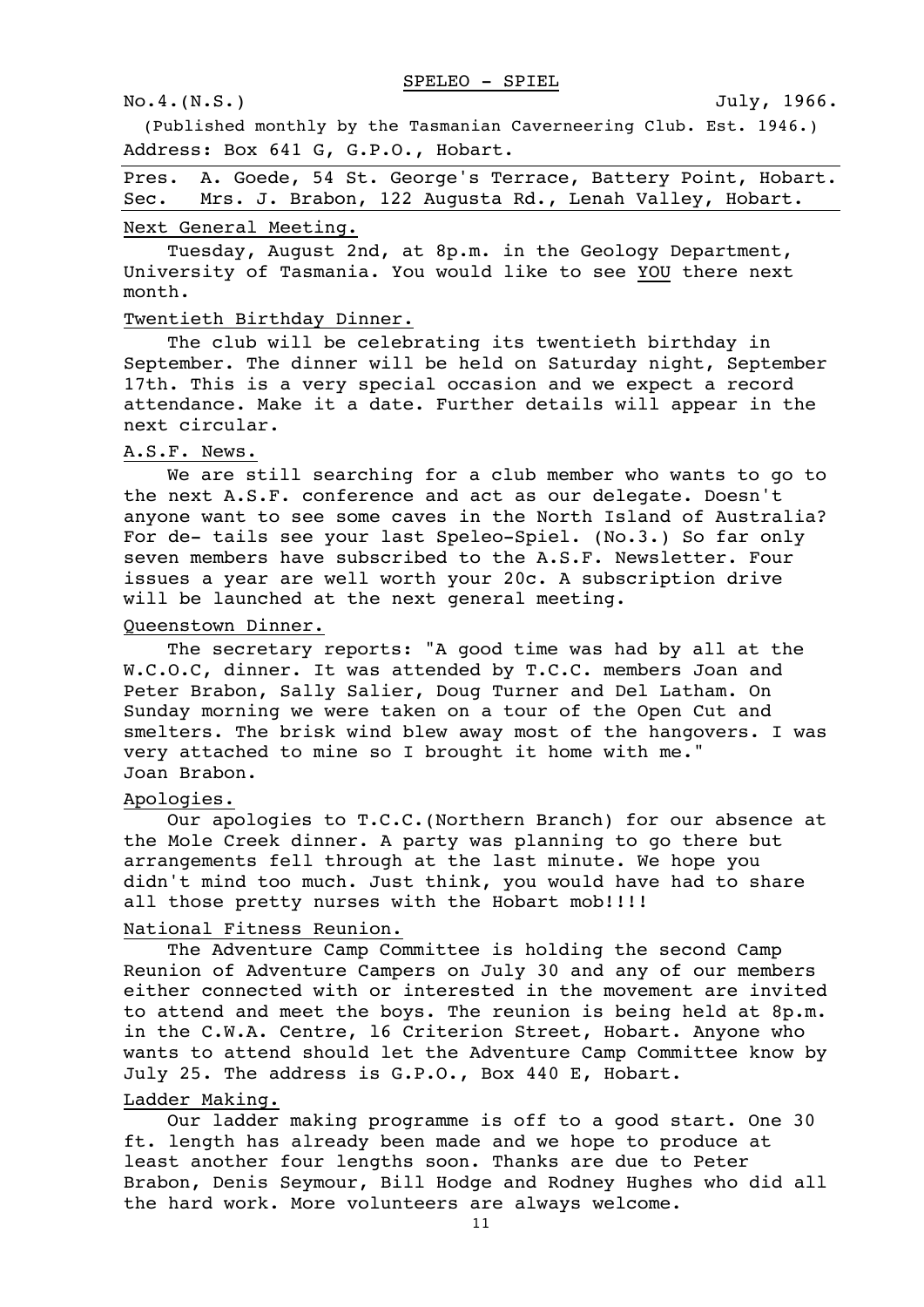#### No.4.(N.S.) July, 1966.

(Published monthly by the Tasmanian Caverneering Club. Est. 1946.) Address: Box 641 G, G.P.O., Hobart.

|  |  |  | Pres. A. Goede, 54 St. George's Terrace, Battery Point, Hobart. |
|--|--|--|-----------------------------------------------------------------|
|  |  |  | Sec. Mrs. J. Brabon, 122 Augusta Rd., Lenah Valley, Hobart.     |

#### Next General Meeting.

Tuesday, August 2nd, at 8p.m. in the Geology Department, University of Tasmania. You would like to see YOU there next month.

#### Twentieth Birthday Dinner.

The club will be celebrating its twentieth birthday in September. The dinner will be held on Saturday night, September 17th. This is a very special occasion and we expect a record attendance. Make it a date. Further details will appear in the next circular.

#### A.S.F. News.

We are still searching for a club member who wants to go to the next A.S.F. conference and act as our delegate. Doesn't anyone want to see some caves in the North Island of Australia? For de- tails see your last Speleo-Spiel. (No.3.) So far only seven members have subscribed to the A.S.F. Newsletter. Four issues a year are well worth your 20c. A subscription drive will be launched at the next general meeting.

# Queenstown Dinner.

The secretary reports: "A good time was had by all at the W.C.O.C, dinner. It was attended by T.C.C. members Joan and Peter Brabon, Sally Salier, Doug Turner and Del Latham. On Sunday morning we were taken on a tour of the Open Cut and smelters. The brisk wind blew away most of the hangovers. I was very attached to mine so I brought it home with me." Joan Brabon.

#### Apologies.

Our apologies to T.C.C.(Northern Branch) for our absence at the Mole Creek dinner. A party was planning to go there but arrangements fell through at the last minute. We hope you didn't mind too much. Just think, you would have had to share all those pretty nurses with the Hobart mob!!!!

## National Fitness Reunion.

The Adventure Camp Committee is holding the second Camp Reunion of Adventure Campers on July 30 and any of our members either connected with or interested in the movement are invited to attend and meet the boys. The reunion is being held at 8p.m. in the C.W.A. Centre, l6 Criterion Street, Hobart. Anyone who wants to attend should let the Adventure Camp Committee know by July 25. The address is G.P.O., Box 440 E, Hobart.

#### Ladder Making.

Our ladder making programme is off to a good start. One 30 ft. length has already been made and we hope to produce at least another four lengths soon. Thanks are due to Peter Brabon, Denis Seymour, Bill Hodge and Rodney Hughes who did all the hard work. More volunteers are always welcome.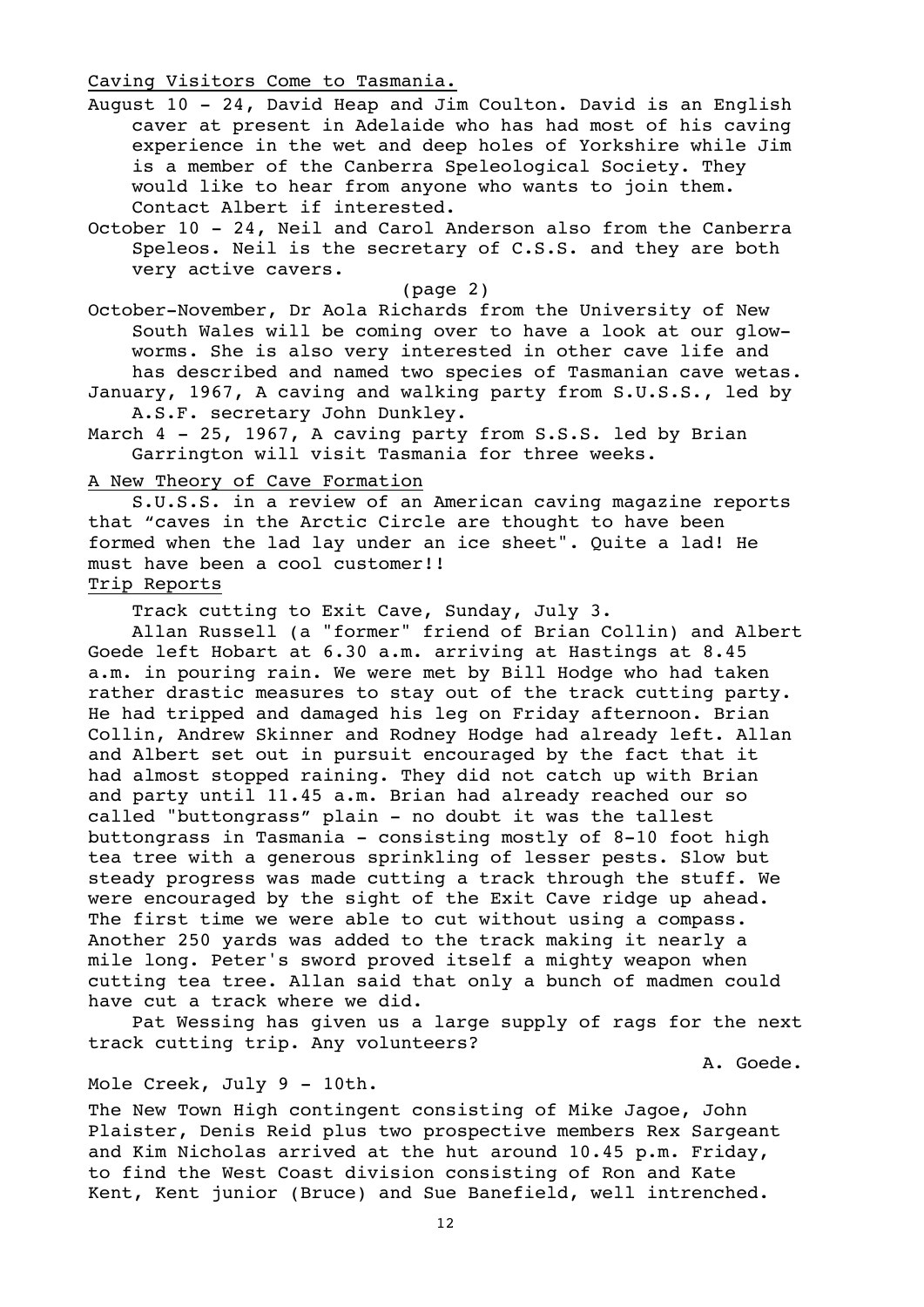# Caving Visitors Come to Tasmania.

- August 10 24, David Heap and Jim Coulton. David is an English caver at present in Adelaide who has had most of his caving experience in the wet and deep holes of Yorkshire while Jim is a member of the Canberra Speleological Society. They would like to hear from anyone who wants to join them. Contact Albert if interested.
- October 10 24, Neil and Carol Anderson also from the Canberra Speleos. Neil is the secretary of C.S.S. and they are both very active cavers.

(page 2)

October-November, Dr Aola Richards from the University of New South Wales will be coming over to have a look at our glowworms. She is also very interested in other cave life and has described and named two species of Tasmanian cave wetas.

- January, 1967, A caving and walking party from S.U.S.S., led by A.S.F. secretary John Dunkley.
- March 4 25, 1967, A caving party from S.S.S. led by Brian Garrington will visit Tasmania for three weeks.

A New Theory of Cave Formation

S.U.S.S. in a review of an American caving magazine reports that "caves in the Arctic Circle are thought to have been formed when the lad lay under an ice sheet". Quite a lad! He must have been a cool customer!!

# Trip Reports

Track cutting to Exit Cave, Sunday, July 3.

Allan Russell (a "former" friend of Brian Collin) and Albert Goede left Hobart at 6.30 a.m. arriving at Hastings at 8.45 a.m. in pouring rain. We were met by Bill Hodge who had taken rather drastic measures to stay out of the track cutting party. He had tripped and damaged his leg on Friday afternoon. Brian Collin, Andrew Skinner and Rodney Hodge had already left. Allan and Albert set out in pursuit encouraged by the fact that it had almost stopped raining. They did not catch up with Brian and party until 11.45 a.m. Brian had already reached our so called "buttongrass" plain - no doubt it was the tallest buttongrass in Tasmania - consisting mostly of 8-10 foot high tea tree with a generous sprinkling of lesser pests. Slow but steady progress was made cutting a track through the stuff. We were encouraged by the sight of the Exit Cave ridge up ahead. The first time we were able to cut without using a compass. Another 250 yards was added to the track making it nearly a mile long. Peter's sword proved itself a mighty weapon when cutting tea tree. Allan said that only a bunch of madmen could have cut a track where we did.

Pat Wessing has given us a large supply of rags for the next track cutting trip. Any volunteers?

A. Goede.

#### Mole Creek, July 9 - 10th.

The New Town High contingent consisting of Mike Jagoe, John Plaister, Denis Reid plus two prospective members Rex Sargeant and Kim Nicholas arrived at the hut around 10.45 p.m. Friday, to find the West Coast division consisting of Ron and Kate Kent, Kent junior (Bruce) and Sue Banefield, well intrenched.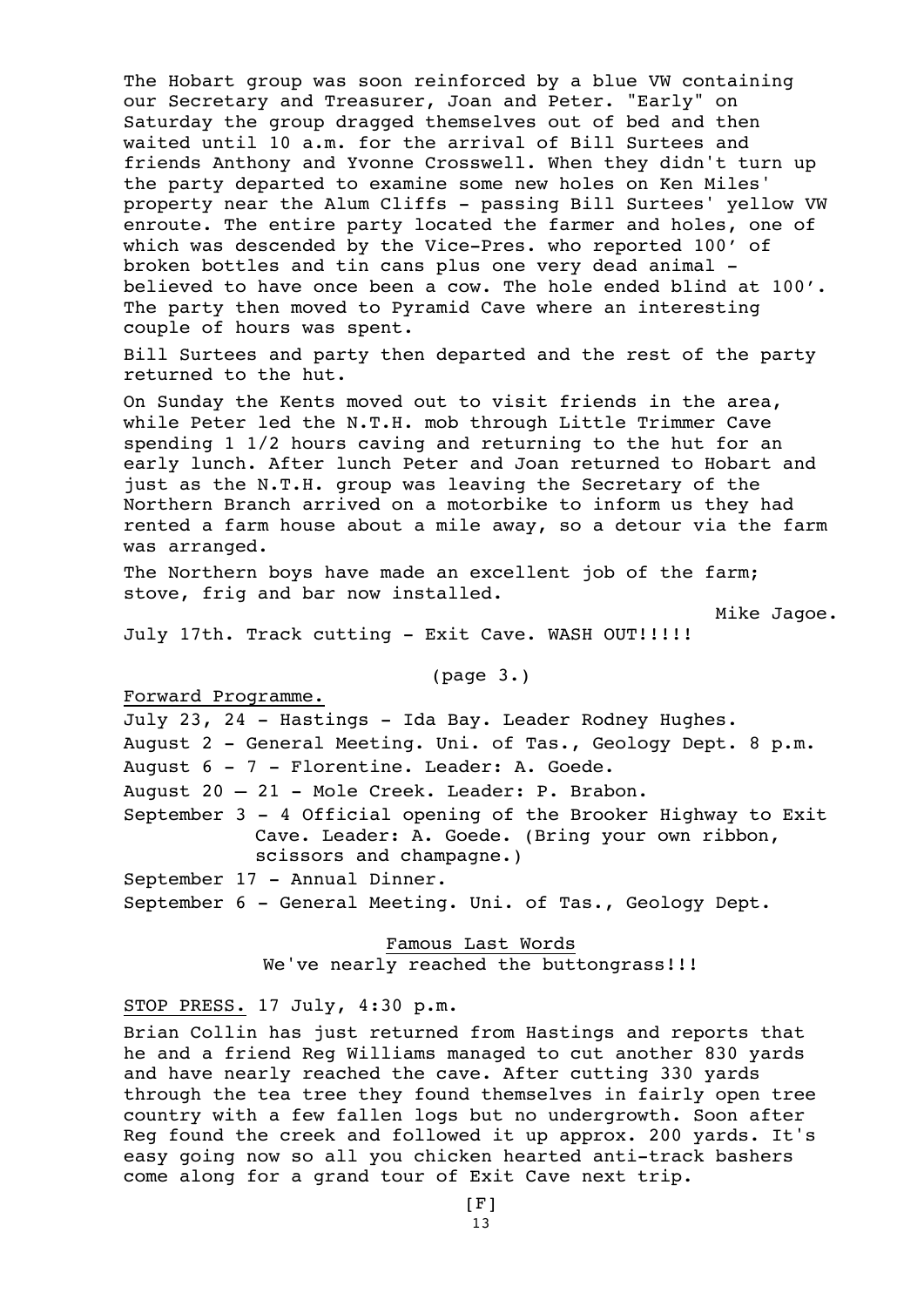The Hobart group was soon reinforced by a blue VW containing our Secretary and Treasurer, Joan and Peter. "Early" on Saturday the group dragged themselves out of bed and then waited until 10 a.m. for the arrival of Bill Surtees and friends Anthony and Yvonne Crosswell. When they didn't turn up the party departed to examine some new holes on Ken Miles' property near the Alum Cliffs - passing Bill Surtees' yellow VW enroute. The entire party located the farmer and holes, one of which was descended by the Vice-Pres. who reported 100' of broken bottles and tin cans plus one very dead animal believed to have once been a cow. The hole ended blind at 100'. The party then moved to Pyramid Cave where an interesting couple of hours was spent.

Bill Surtees and party then departed and the rest of the party returned to the hut.

On Sunday the Kents moved out to visit friends in the area, while Peter led the N.T.H. mob through Little Trimmer Cave spending 1 1/2 hours caving and returning to the hut for an early lunch. After lunch Peter and Joan returned to Hobart and just as the N.T.H. group was leaving the Secretary of the Northern Branch arrived on a motorbike to inform us they had rented a farm house about a mile away, so a detour via the farm was arranged.

The Northern boys have made an excellent job of the farm; stove, frig and bar now installed.

Mike Jagoe.

July 17th. Track cutting - Exit Cave. WASH OUT!!!!!

(page 3.)

Forward Programme.

July 23, 24 - Hastings - Ida Bay. Leader Rodney Hughes. August 2 - General Meeting. Uni. of Tas., Geology Dept. 8 p.m. August 6 - 7 - Florentine. Leader: A. Goede. August 20 – 21 - Mole Creek. Leader: P. Brabon. September 3 - 4 Official opening of the Brooker Highway to Exit Cave. Leader: A. Goede. (Bring your own ribbon, scissors and champagne.) September 17 - Annual Dinner.

September 6 - General Meeting. Uni. of Tas., Geology Dept.

Famous Last Words We've nearly reached the buttongrass!!!

STOP PRESS. 17 July, 4:30 p.m.

Brian Collin has just returned from Hastings and reports that he and a friend Reg Williams managed to cut another 830 yards and have nearly reached the cave. After cutting 330 yards through the tea tree they found themselves in fairly open tree country with a few fallen logs but no undergrowth. Soon after Reg found the creek and followed it up approx. 200 yards. It's easy going now so all you chicken hearted anti-track bashers come along for a grand tour of Exit Cave next trip.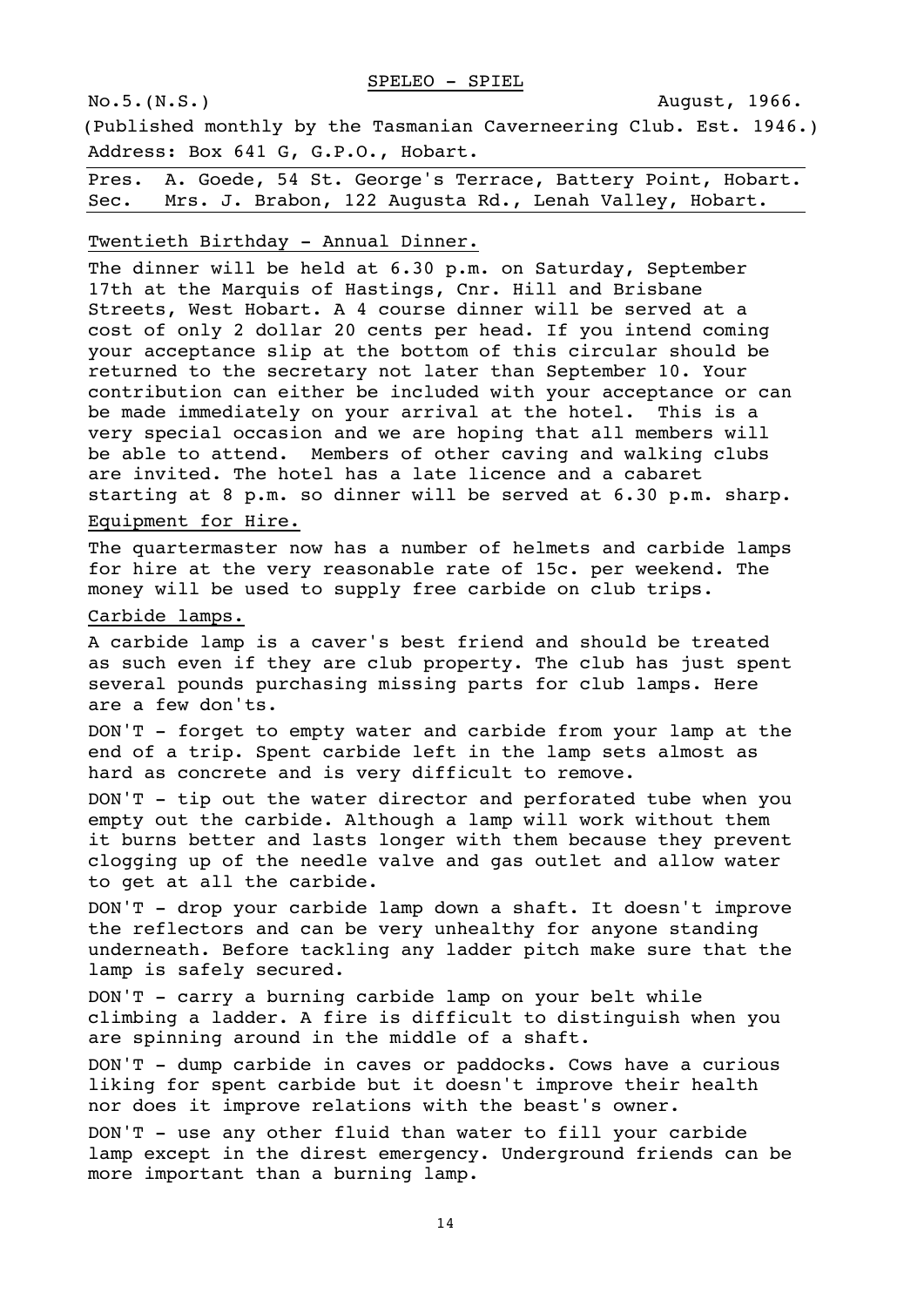(Published monthly by the Tasmanian Caverneering Club. Est. 1946.) Address: Box 641 G, G.P.O., Hobart.

Pres. A. Goede, 54 St. George's Terrace, Battery Point, Hobart. Sec. Mrs. J. Brabon, 122 Augusta Rd., Lenah Valley, Hobart.

# Twentieth Birthday - Annual Dinner.

The dinner will be held at 6.30 p.m. on Saturday, September 17th at the Marquis of Hastings, Cnr. Hill and Brisbane Streets, West Hobart. A 4 course dinner will be served at a cost of only 2 dollar 20 cents per head. If you intend coming your acceptance slip at the bottom of this circular should be returned to the secretary not later than September 10. Your contribution can either be included with your acceptance or can be made immediately on your arrival at the hotel. This is a very special occasion and we are hoping that all members will be able to attend. Members of other caving and walking clubs are invited. The hotel has a late licence and a cabaret starting at 8 p.m. so dinner will be served at 6.30 p.m. sharp.

#### Equipment for Hire.

The quartermaster now has a number of helmets and carbide lamps for hire at the very reasonable rate of 15c. per weekend. The money will be used to supply free carbide on club trips.

#### Carbide lamps.

A carbide lamp is a caver's best friend and should be treated as such even if they are club property. The club has just spent several pounds purchasing missing parts for club lamps. Here are a few don'ts.

DON'T - forget to empty water and carbide from your lamp at the end of a trip. Spent carbide left in the lamp sets almost as hard as concrete and is very difficult to remove.

DON'T - tip out the water director and perforated tube when you empty out the carbide. Although a lamp will work without them it burns better and lasts longer with them because they prevent clogging up of the needle valve and gas outlet and allow water to get at all the carbide.

DON'T - drop your carbide lamp down a shaft. It doesn't improve the reflectors and can be very unhealthy for anyone standing underneath. Before tackling any ladder pitch make sure that the lamp is safely secured.

DON'T - carry a burning carbide lamp on your belt while climbing a ladder. A fire is difficult to distinguish when you are spinning around in the middle of a shaft.

DON'T - dump carbide in caves or paddocks. Cows have a curious liking for spent carbide but it doesn't improve their health nor does it improve relations with the beast's owner.

DON'T - use any other fluid than water to fill your carbide lamp except in the direst emergency. Underground friends can be more important than a burning lamp.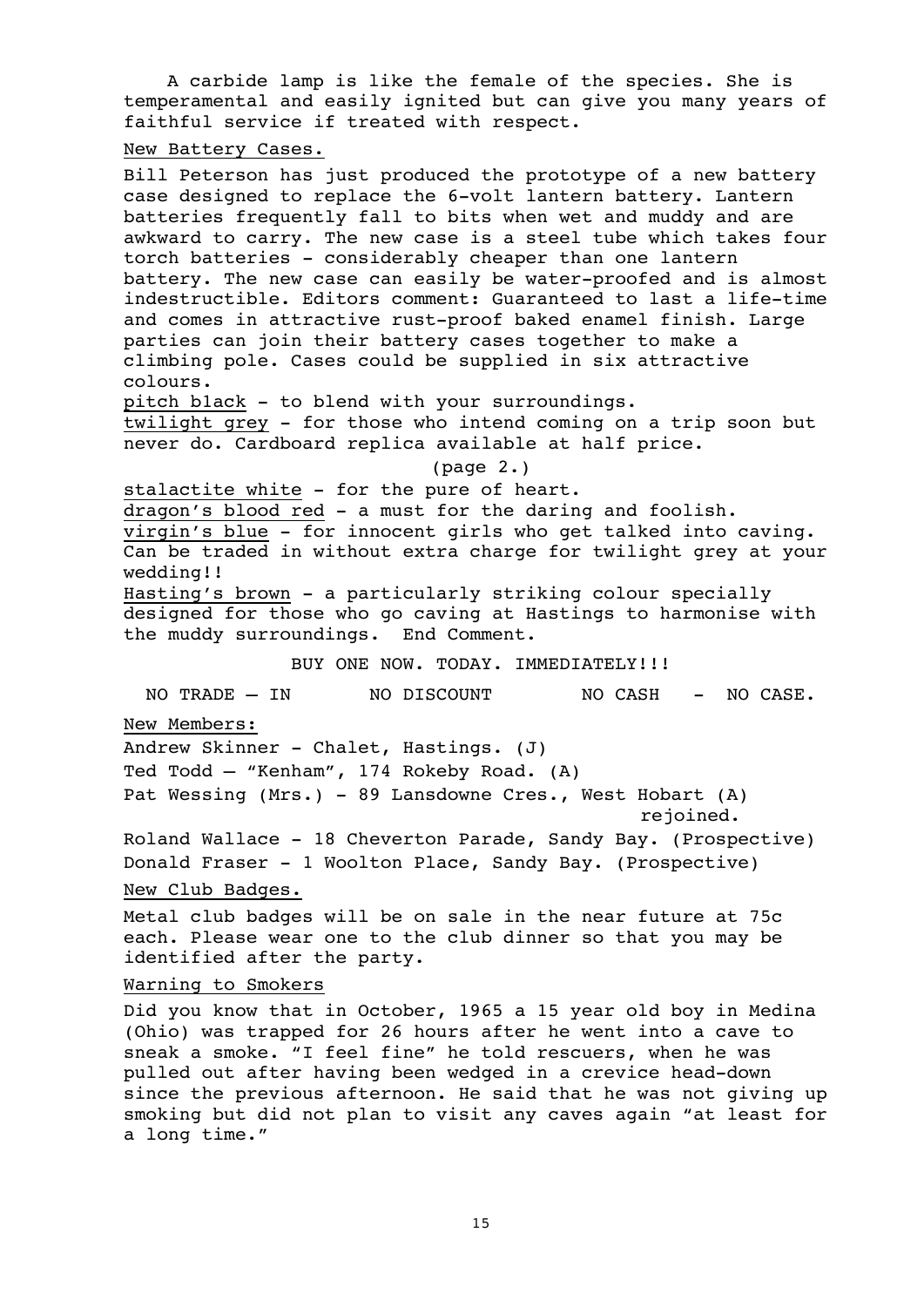A carbide lamp is like the female of the species. She is temperamental and easily ignited but can give you many years of faithful service if treated with respect.

#### New Battery Cases.

Bill Peterson has just produced the prototype of a new battery case designed to replace the 6-volt lantern battery. Lantern batteries frequently fall to bits when wet and muddy and are awkward to carry. The new case is a steel tube which takes four torch batteries - considerably cheaper than one lantern battery. The new case can easily be water-proofed and is almost indestructible. Editors comment: Guaranteed to last a life-time and comes in attractive rust-proof baked enamel finish. Large parties can join their battery cases together to make a climbing pole. Cases could be supplied in six attractive colours.

pitch b1ack - to blend with your surroundings. twilight grey - for those who intend coming on a trip soon but never do. Cardboard replica available at half price.

#### (page 2.)

stalactite white - for the pure of heart.

dragon's blood red - a must for the daring and foolish.

virgin's blue - for innocent girls who get talked into caving. Can be traded in without extra charge for twilight grey at your wedding!!

Hasting's brown - a particularly striking colour specially designed for those who go caving at Hastings to harmonise with the muddy surroundings. End Comment.

BUY ONE NOW. TODAY. IMMEDIATELY!!!

NO TRADE - IN NO DISCOUNT NO CASH - NO CASE.

New Members:

Andrew Skinner - Chalet, Hastings. (J) Ted Todd – "Kenham", 174 Rokeby Road. (A)

Pat Wessing (Mrs.) - 89 Lansdowne Cres., West Hobart (A) rejoined.

Roland Wallace - 18 Cheverton Parade, Sandy Bay. (Prospective) Donald Fraser - 1 Woolton Place, Sandy Bay. (Prospective)

New Club Badges.

Metal club badges will be on sale in the near future at 75c each. Please wear one to the club dinner so that you may be identified after the party.

Warning to Smokers

Did you know that in October, 1965 a 15 year old boy in Medina (Ohio) was trapped for 26 hours after he went into a cave to sneak a smoke. "I feel fine" he told rescuers, when he was pulled out after having been wedged in a crevice head-down since the previous afternoon. He said that he was not giving up smoking but did not plan to visit any caves again "at least for a long time."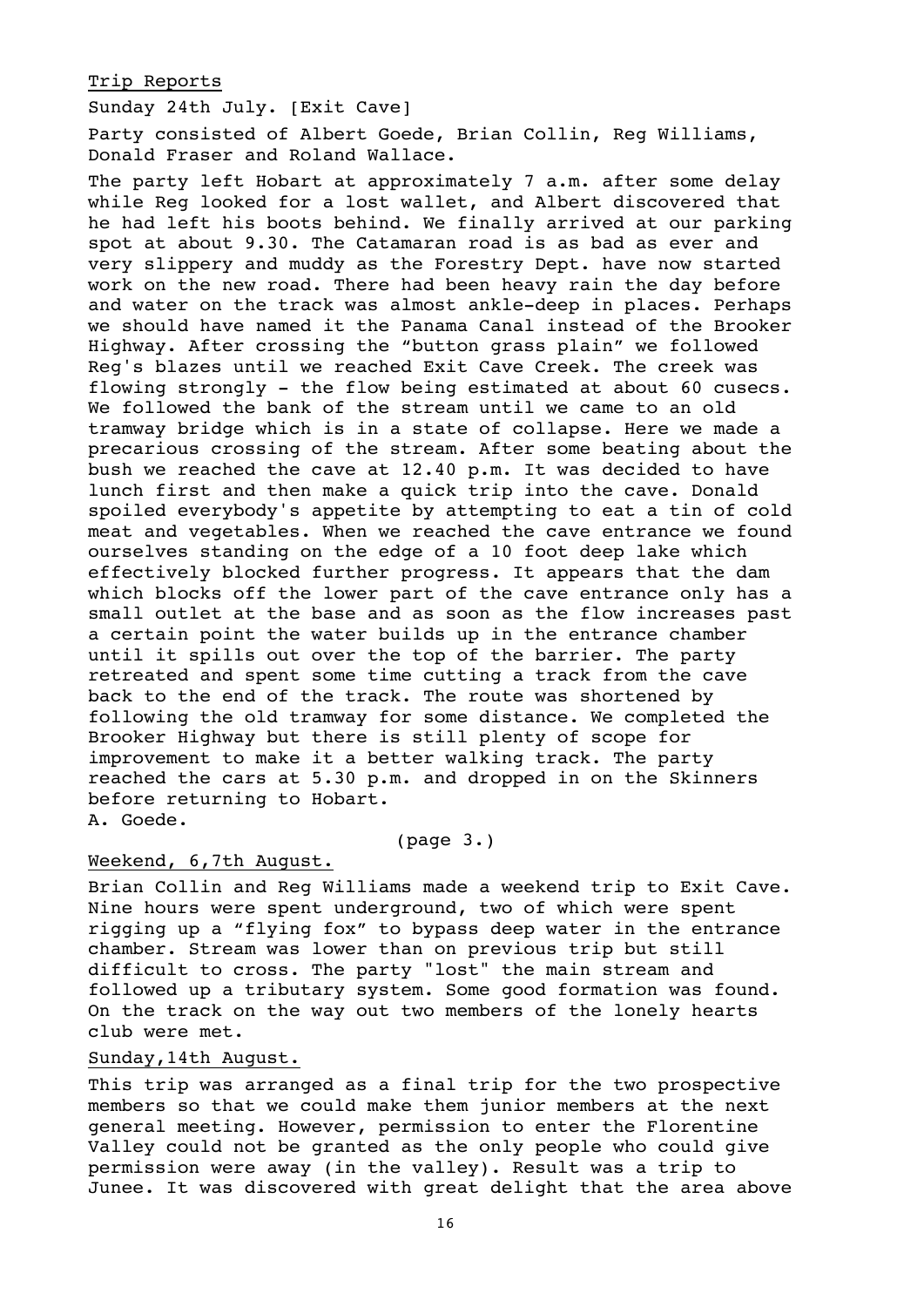### Trip Reports

Sunday 24th July. [Exit Cave]

Party consisted of Albert Goede, Brian Collin, Reg Williams, Donald Fraser and Roland Wallace.

The party left Hobart at approximately 7 a.m. after some delay while Reg looked for a lost wallet, and Albert discovered that he had left his boots behind. We finally arrived at our parking spot at about 9.30. The Catamaran road is as bad as ever and very slippery and muddy as the Forestry Dept. have now started work on the new road. There had been heavy rain the day before and water on the track was almost ankle-deep in places. Perhaps we should have named it the Panama Canal instead of the Brooker Highway. After crossing the "button grass plain" we followed Reg's blazes until we reached Exit Cave Creek. The creek was flowing strongly - the flow being estimated at about 60 cusecs. We followed the bank of the stream until we came to an old tramway bridge which is in a state of collapse. Here we made a precarious crossing of the stream. After some beating about the bush we reached the cave at 12.40 p.m. It was decided to have lunch first and then make a quick trip into the cave. Donald spoiled everybody's appetite by attempting to eat a tin of cold meat and vegetables. When we reached the cave entrance we found ourselves standing on the edge of a 10 foot deep lake which effectively blocked further progress. It appears that the dam which blocks off the lower part of the cave entrance only has a small outlet at the base and as soon as the flow increases past a certain point the water builds up in the entrance chamber until it spills out over the top of the barrier. The party retreated and spent some time cutting a track from the cave back to the end of the track. The route was shortened by following the old tramway for some distance. We completed the Brooker Highway but there is still plenty of scope for improvement to make it a better walking track. The party reached the cars at 5.30 p.m. and dropped in on the Skinners before returning to Hobart. A. Goede.

# (page 3.)

# Weekend, 6,7th August.

Brian Collin and Reg Williams made a weekend trip to Exit Cave. Nine hours were spent underground, two of which were spent rigging up a "flying fox" to bypass deep water in the entrance chamber. Stream was lower than on previous trip but still difficult to cross. The party "lost" the main stream and followed up a tributary system. Some good formation was found. On the track on the way out two members of the lonely hearts club were met.

### Sunday,14th August.

This trip was arranged as a final trip for the two prospective members so that we could make them junior members at the next general meeting. However, permission to enter the Florentine Valley could not be granted as the only people who could give permission were away (in the valley). Result was a trip to Junee. It was discovered with great delight that the area above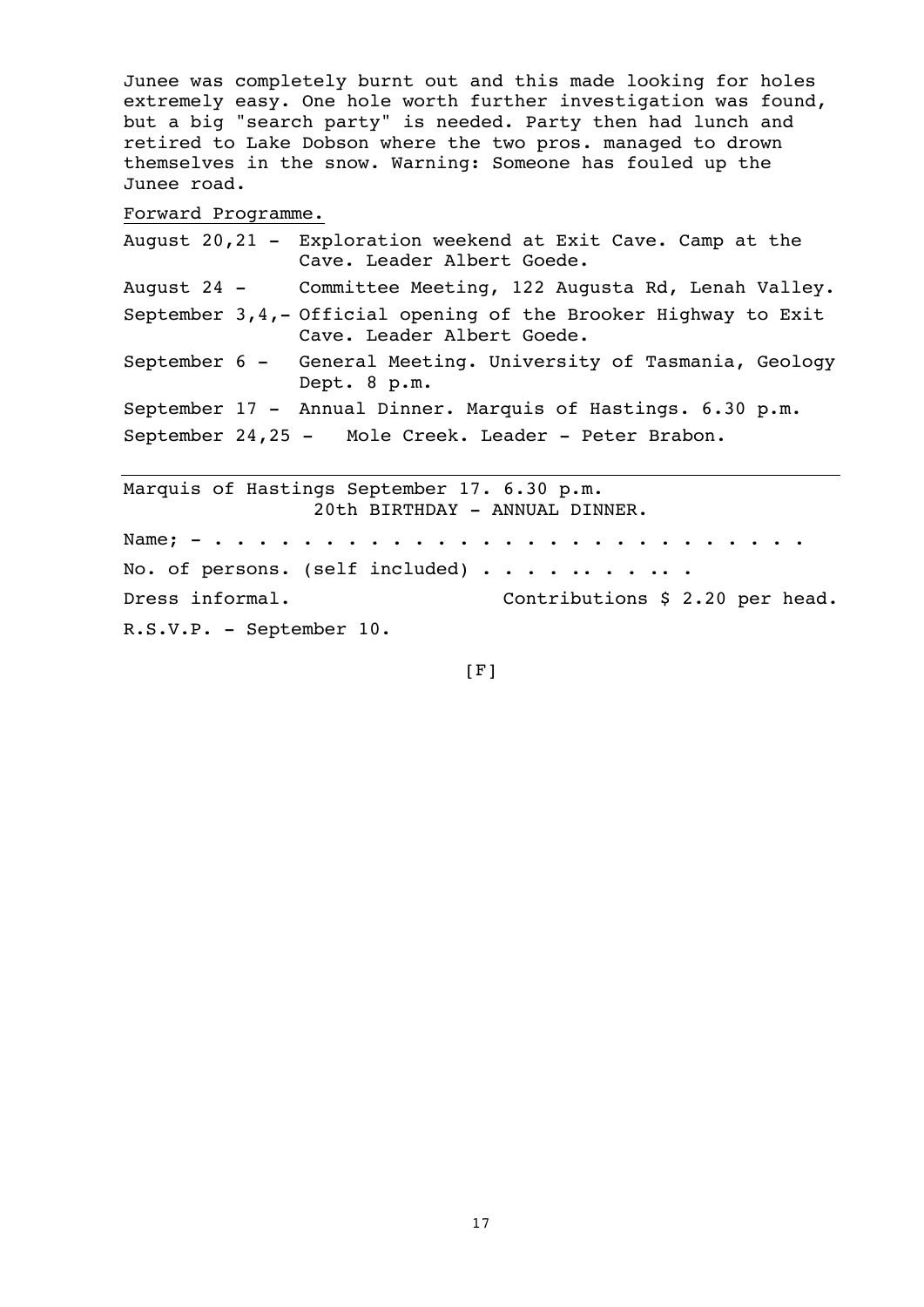Junee was completely burnt out and this made looking for holes extremely easy. One hole worth further investigation was found, but a big "search party" is needed. Party then had lunch and retired to Lake Dobson where the two pros. managed to drown themselves in the snow. Warning: Someone has fouled up the Junee road.

Forward Programme.

| August 20,21 - Exploration weekend at Exit Cave. Camp at the<br>Cave. Leader Albert Goede.      |
|-------------------------------------------------------------------------------------------------|
| August 24 - Committee Meeting, 122 Augusta Rd, Lenah Valley.                                    |
| September 3, 4, - Official opening of the Brooker Highway to Exit<br>Cave. Leader Albert Goede. |
| September 6 - General Meeting. University of Tasmania, Geology<br>Dept. 8 p.m.                  |
| September 17 - Annual Dinner. Marquis of Hastings. 6.30 p.m.                                    |
| September 24,25 - Mole Creek. Leader - Peter Brabon.                                            |
| Marquis of Hastings September 17. 6.30 p.m.<br>20th BIRTHDAY - ANNUAL DINNER.                   |

Name; - . . . . . . . . . . . . . . . . . . . . . . . . . . . No. of persons. (self included)  $\cdots$  . . . . . . . Dress informal. Contributions \$ 2.20 per head. R.S.V.P. - September 10.

 $[$ F]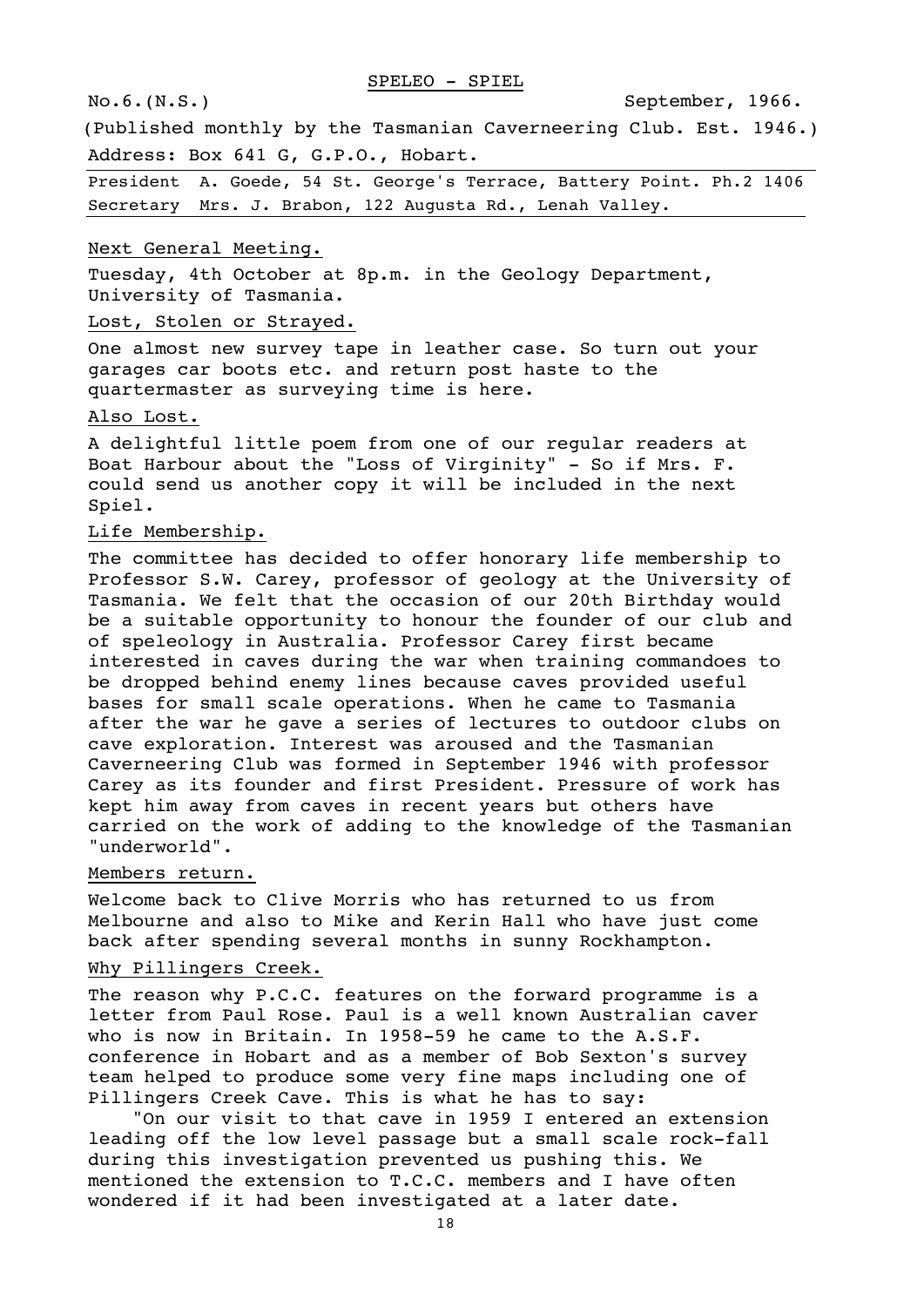No.6.(N.S.) September, 1966.

(Published monthly by the Tasmanian Caverneering Club. Est. 1946.) Address: Box 641 G, G.P.O., Hobart.

President A. Goede, 54 St. George's Terrace, Battery Point. Ph.2 1406 Secretary Mrs. J. Brabon, 122 Augusta Rd., Lenah Valley.

#### Next General Meeting.

Tuesday, 4th October at 8p.m. in the Geology Department, University of Tasmania.

#### Lost, Stolen or Strayed.

One almost new survey tape in leather case. So turn out your garages car boots etc. and return post haste to the quartermaster as surveying time is here.

#### Also Lost.

A delightful little poem from one of our regular readers at Boat Harbour about the "Loss of Virginity" - So if Mrs. F. could send us another copy it will be included in the next Spiel.

#### Life Membership.

The committee has decided to offer honorary life membership to Professor S.W. Carey, professor of geology at the University of Tasmania. We felt that the occasion of our 20th Birthday would be a suitable opportunity to honour the founder of our club and of speleology in Australia. Professor Carey first became interested in caves during the war when training commandoes to be dropped behind enemy lines because caves provided useful bases for small scale operations. When he came to Tasmania after the war he gave a series of lectures to outdoor clubs on cave exploration. Interest was aroused and the Tasmanian Caverneering Club was formed in September 1946 with professor Carey as its founder and first President. Pressure of work has kept him away from caves in recent years but others have carried on the work of adding to the knowledge of the Tasmanian "underworld".

# Members return.

Welcome back to Clive Morris who has returned to us from Melbourne and also to Mike and Kerin Hall who have just come back after spending several months in sunny Rockhampton.

#### Why Pillingers Creek.

The reason why P.C.C. features on the forward programme is a letter from Paul Rose. Paul is a well known Australian caver who is now in Britain. In 1958-59 he came to the A.S.F. conference in Hobart and as a member of Bob Sexton's survey team helped to produce some very fine maps including one of Pillingers Creek Cave. This is what he has to say:

"On our visit to that cave in 1959 I entered an extension leading off the low level passage but a small scale rock-fall during this investigation prevented us pushing this. We mentioned the extension to T.C.C. members and I have often wondered if it had been investigated at a later date.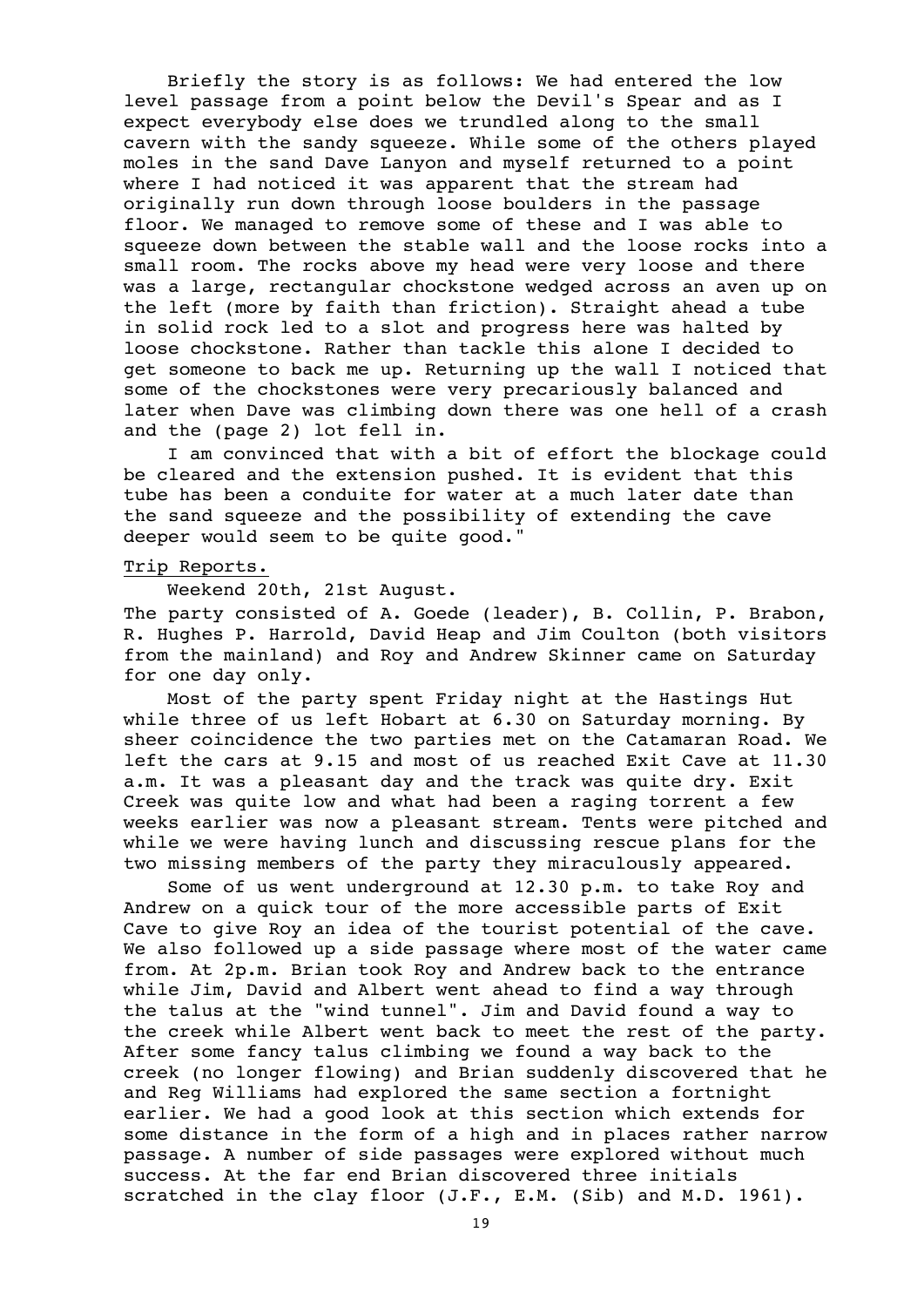Briefly the story is as follows: We had entered the low level passage from a point below the Devil's Spear and as I expect everybody else does we trundled along to the small cavern with the sandy squeeze. While some of the others played moles in the sand Dave Lanyon and myself returned to a point where I had noticed it was apparent that the stream had originally run down through loose boulders in the passage floor. We managed to remove some of these and I was able to squeeze down between the stable wall and the loose rocks into a small room. The rocks above my head were very loose and there was a large, rectangular chockstone wedged across an aven up on the left (more by faith than friction). Straight ahead a tube in solid rock led to a slot and progress here was halted by loose chockstone. Rather than tackle this alone I decided to get someone to back me up. Returning up the wall I noticed that some of the chockstones were very precariously balanced and later when Dave was climbing down there was one hell of a crash and the (page 2) lot fell in.

I am convinced that with a bit of effort the blockage could be cleared and the extension pushed. It is evident that this tube has been a conduite for water at a much later date than the sand squeeze and the possibility of extending the cave deeper would seem to be quite good."

### Trip Reports.

Weekend 20th, 21st August.

The party consisted of A. Goede (leader), B. Collin, P. Brabon, R. Hughes P. Harrold, David Heap and Jim Coulton (both visitors from the mainland) and Roy and Andrew Skinner came on Saturday for one day only.

Most of the party spent Friday night at the Hastings Hut while three of us left Hobart at 6.30 on Saturday morning. By sheer coincidence the two parties met on the Catamaran Road. We left the cars at 9.15 and most of us reached Exit Cave at 11.30 a.m. It was a pleasant day and the track was quite dry. Exit Creek was quite low and what had been a raging torrent a few weeks earlier was now a pleasant stream. Tents were pitched and while we were having lunch and discussing rescue plans for the two missing members of the party they miraculously appeared.

Some of us went underground at 12.30 p.m. to take Roy and Andrew on a quick tour of the more accessible parts of Exit Cave to give Roy an idea of the tourist potential of the cave. We also followed up a side passage where most of the water came from. At 2p.m. Brian took Roy and Andrew back to the entrance while Jim, David and Albert went ahead to find a way through the talus at the "wind tunnel". Jim and David found a way to the creek while Albert went back to meet the rest of the party. After some fancy talus climbing we found a way back to the creek (no longer flowing) and Brian suddenly discovered that he and Reg Williams had explored the same section a fortnight earlier. We had a good look at this section which extends for some distance in the form of a high and in places rather narrow passage. A number of side passages were explored without much success. At the far end Brian discovered three initials scratched in the clay floor (J.F., E.M. (Sib) and M.D. 1961).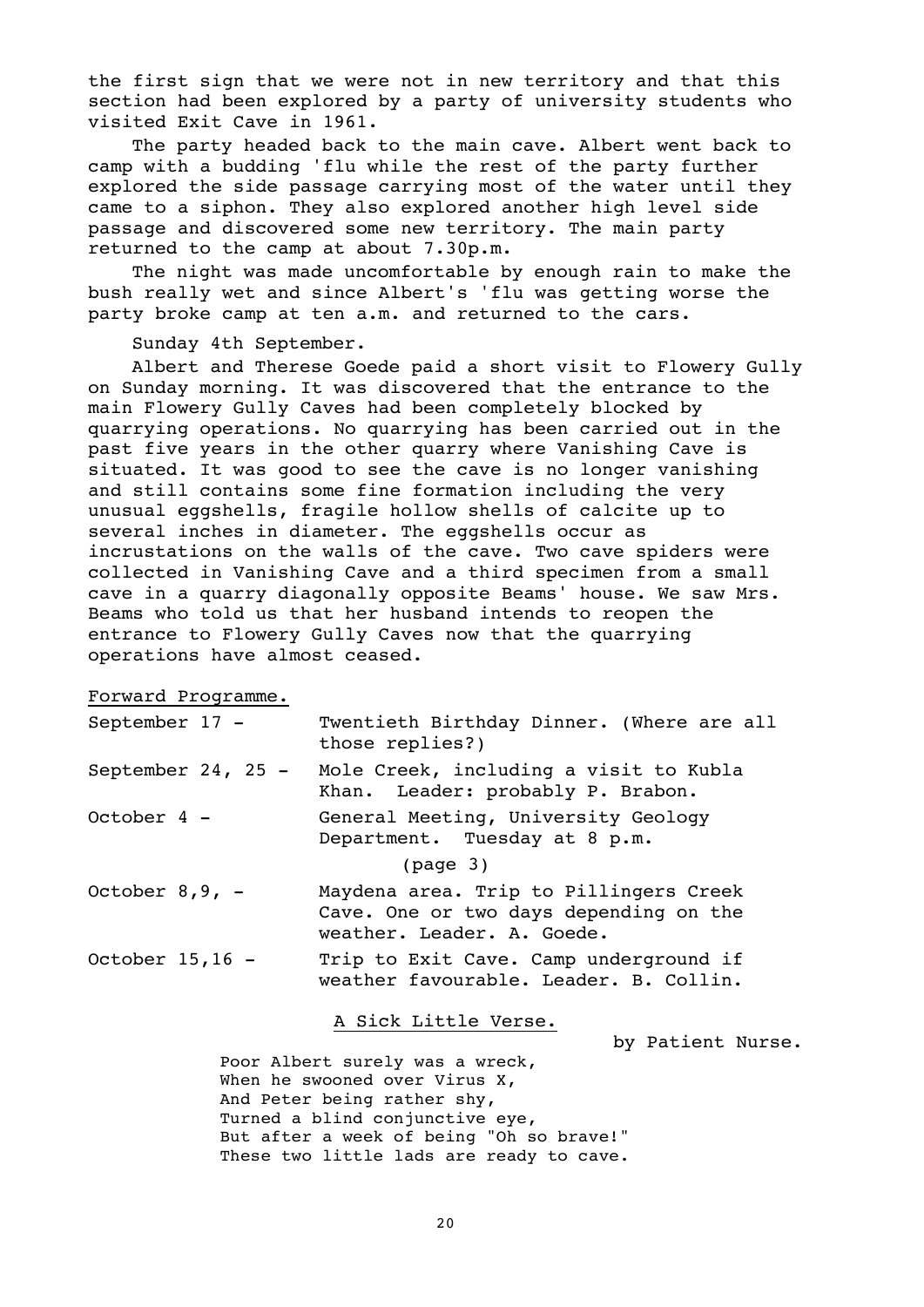the first sign that we were not in new territory and that this section had been explored by a party of university students who visited Exit Cave in 1961.

The party headed back to the main cave. Albert went back to camp with a budding 'flu while the rest of the party further explored the side passage carrying most of the water until they came to a siphon. They also explored another high level side passage and discovered some new territory. The main party returned to the camp at about 7.30p.m.

The night was made uncomfortable by enough rain to make the bush really wet and since Albert's 'flu was getting worse the party broke camp at ten a.m. and returned to the cars.

Sunday 4th September.

Albert and Therese Goede paid a short visit to Flowery Gully on Sunday morning. It was discovered that the entrance to the main Flowery Gully Caves had been completely blocked by quarrying operations. No quarrying has been carried out in the past five years in the other quarry where Vanishing Cave is situated. It was good to see the cave is no longer vanishing and still contains some fine formation including the very unusual eggshells, fragile hollow shells of calcite up to several inches in diameter. The eggshells occur as incrustations on the walls of the cave. Two cave spiders were collected in Vanishing Cave and a third specimen from a small cave in a quarry diagonally opposite Beams' house. We saw Mrs. Beams who told us that her husband intends to reopen the entrance to Flowery Gully Caves now that the quarrying operations have almost ceased.

Forward Programme.

| September 17 -     | Twentieth Birthday Dinner. (Where are all<br>those replies?)                                                   |
|--------------------|----------------------------------------------------------------------------------------------------------------|
| September 24, 25 - | Mole Creek, including a visit to Kubla<br>Khan. Leader: probably P. Brabon.                                    |
| October $4 -$      | General Meeting, University Geology<br>Department. Tuesday at 8 p.m.                                           |
|                    | (page <sub>3</sub> )                                                                                           |
| October $8, 9, -$  | Maydena area. Trip to Pillingers Creek<br>Cave. One or two days depending on the<br>weather. Leader. A. Goede. |
| October $15, 16$ - | Trip to Exit Cave. Camp underground if<br>weather favourable, Leader, B. Collin,                               |

# A Sick Little Verse.

by Patient Nurse.

Poor Albert surely was a wreck, When he swooned over Virus X, And Peter being rather shy, Turned a blind conjunctive eye, But after a week of being "Oh so brave!" These two little lads are ready to cave.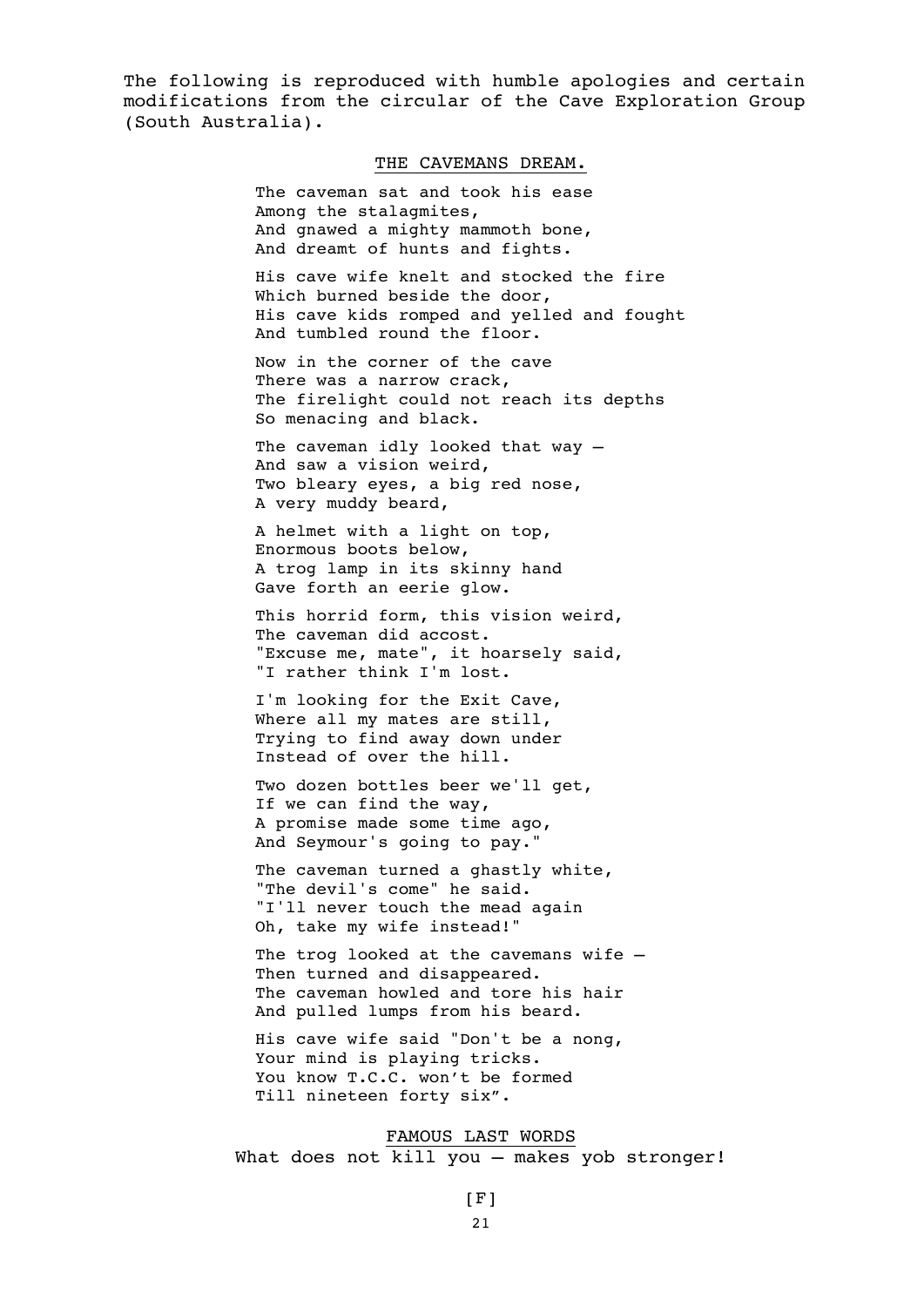The following is reproduced with humble apologies and certain modifications from the circular of the Cave Exploration Group (South Australia).

#### THE CAVEMANS DREAM.

The caveman sat and took his ease Among the stalagmites, And gnawed a mighty mammoth bone, And dreamt of hunts and fights.

His cave wife knelt and stocked the fire Which burned beside the door, His cave kids romped and yelled and fought And tumbled round the floor.

Now in the corner of the cave There was a narrow crack, The firelight could not reach its depths So menacing and black.

The caveman idly looked that way -And saw a vision weird, Two bleary eyes, a big red nose, A very muddy beard,

A helmet with a light on top, Enormous boots below, A trog lamp in its skinny hand Gave forth an eerie glow.

This horrid form, this vision weird, The caveman did accost. "Excuse me, mate", it hoarsely said, "I rather think I'm lost.

I'm looking for the Exit Cave, Where all my mates are still, Trying to find away down under Instead of over the hill.

Two dozen bottles beer we'll get, If we can find the way, A promise made some time ago, And Seymour's going to pay."

The caveman turned a ghastly white, "The devil's come" he said. "I'll never touch the mead again Oh, take my wife instead!"

The trog looked at the cavemans wife -Then turned and disappeared. The caveman howled and tore his hair And pulled lumps from his beard.

His cave wife said "Don't be a nong, Your mind is playing tricks. You know T.C.C. won't be formed Till nineteen forty six".

#### FAMOUS LAST WORDS What does not kill you - makes yob stronger!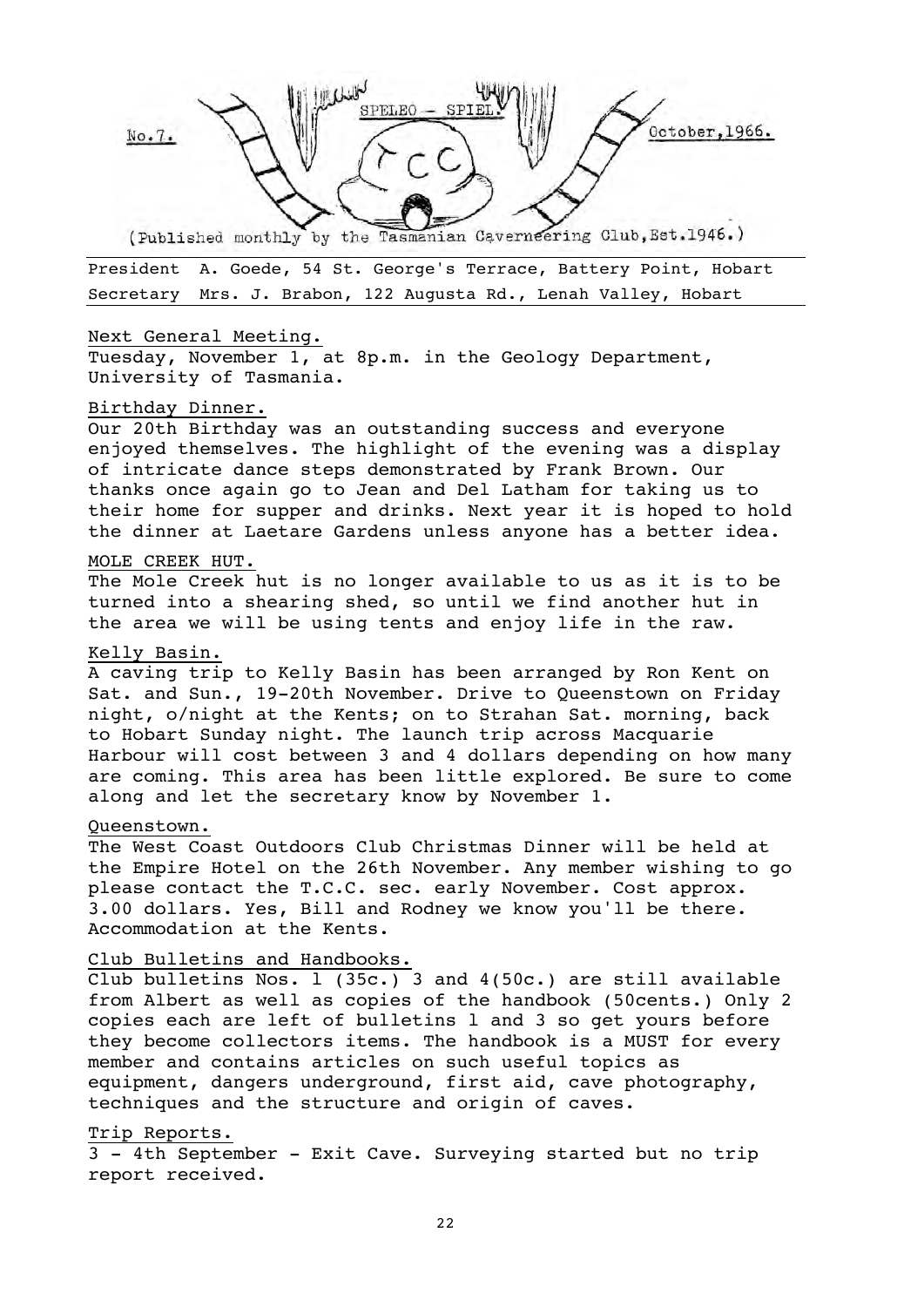

President A. Goede, 54 St. George's Terrace, Battery Point, Hobart Secretary Mrs. J. Brabon, 122 Augusta Rd., Lenah Valley, Hobart

#### Next General Meeting.

Tuesday, November 1, at 8p.m. in the Geology Department, University of Tasmania.

#### Birthday Dinner.

Our 20th Birthday was an outstanding success and everyone enjoyed themselves. The highlight of the evening was a display of intricate dance steps demonstrated by Frank Brown. Our thanks once again go to Jean and Del Latham for taking us to their home for supper and drinks. Next year it is hoped to hold the dinner at Laetare Gardens unless anyone has a better idea.

#### MOLE CREEK HUT.

The Mole Creek hut is no longer available to us as it is to be turned into a shearing shed, so until we find another hut in the area we will be using tents and enjoy life in the raw.

# Kelly Basin.

A caving trip to Kelly Basin has been arranged by Ron Kent on Sat. and Sun., 19-20th November. Drive to Queenstown on Friday night, o/night at the Kents; on to Strahan Sat. morning, back to Hobart Sunday night. The launch trip across Macquarie Harbour will cost between 3 and 4 dollars depending on how many are coming. This area has been little explored. Be sure to come along and let the secretary know by November 1.

#### Queenstown.

The West Coast Outdoors Club Christmas Dinner will be held at the Empire Hotel on the 26th November. Any member wishing to go please contact the T.C.C. sec. early November. Cost approx. 3.00 dollars. Yes, Bill and Rodney we know you'll be there. Accommodation at the Kents.

# Club Bulletins and Handbooks.

Club bulletins Nos. l (35c.) 3 and 4(50c.) are still available from Albert as well as copies of the handbook (50cents.) Only 2 copies each are left of bulletins l and 3 so get yours before they become collectors items. The handbook is a MUST for every member and contains articles on such useful topics as equipment, dangers underground, first aid, cave photography, techniques and the structure and origin of caves.

## Trip Reports.

3 - 4th September - Exit Cave. Surveying started but no trip report received.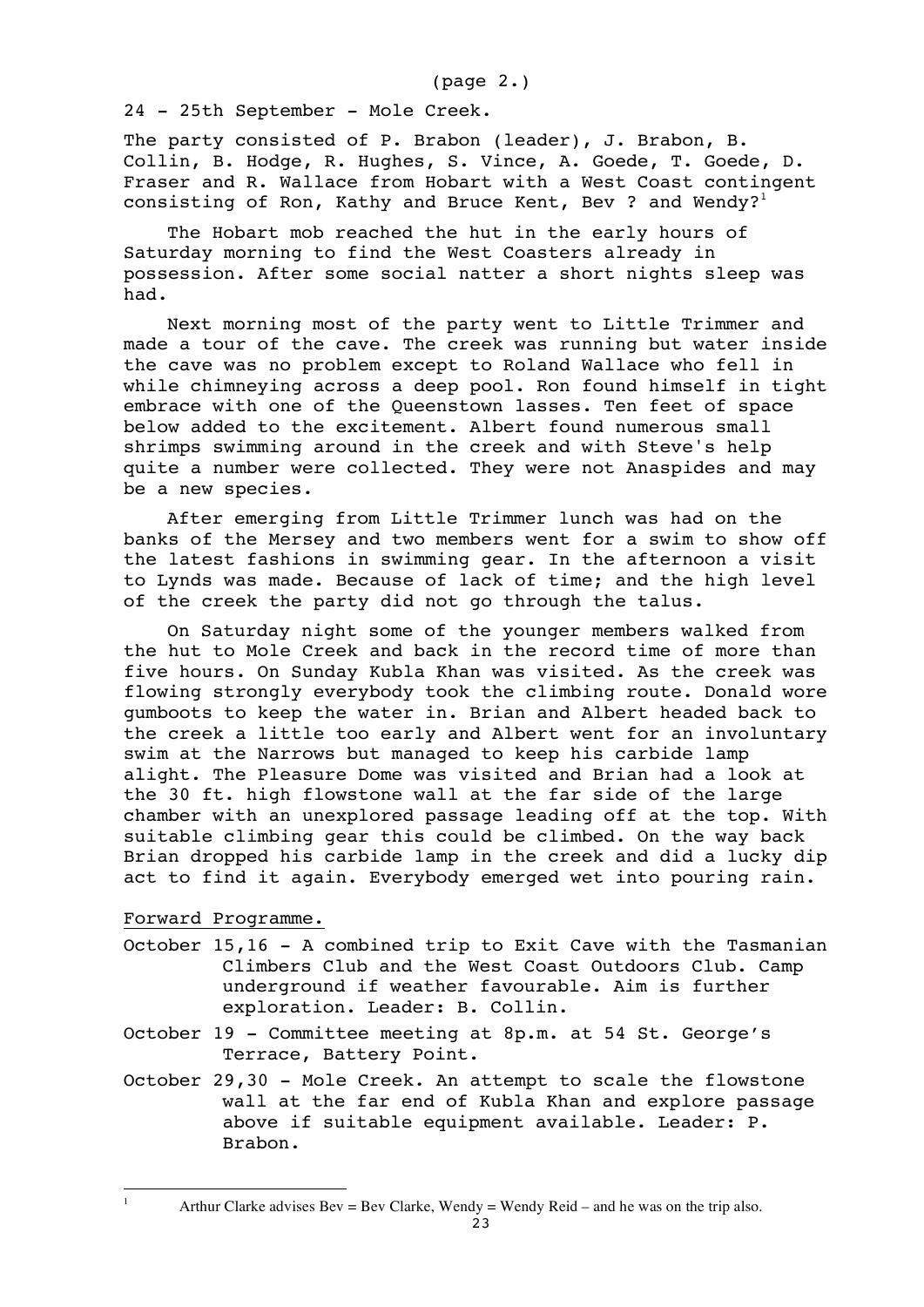(page 2.)

24 - 25th September - Mole Creek.

The party consisted of P. Brabon (leader), J. Brabon, B. Collin, B. Hodge, R. Hughes, S. Vince, A. Goede, T. Goede, D. Fraser and R. Wallace from Hobart with a West Coast contingent consisting of Ron, Kathy and Bruce Kent, Bev ? and Wendy?<sup>1</sup>

The Hobart mob reached the hut in the early hours of Saturday morning to find the West Coasters already in possession. After some social natter a short nights sleep was had.

Next morning most of the party went to Little Trimmer and made a tour of the cave. The creek was running but water inside the cave was no problem except to Roland Wallace who fell in while chimneying across a deep pool. Ron found himself in tight embrace with one of the Queenstown lasses. Ten feet of space below added to the excitement. Albert found numerous small shrimps swimming around in the creek and with Steve's help quite a number were collected. They were not Anaspides and may be a new species.

After emerging from Little Trimmer lunch was had on the banks of the Mersey and two members went for a swim to show off the latest fashions in swimming gear. In the afternoon a visit to Lynds was made. Because of lack of time; and the high level of the creek the party did not go through the talus.

On Saturday night some of the younger members walked from the hut to Mole Creek and back in the record time of more than five hours. On Sunday Kubla Khan was visited. As the creek was flowing strongly everybody took the climbing route. Donald wore gumboots to keep the water in. Brian and Albert headed back to the creek a little too early and Albert went for an involuntary swim at the Narrows but managed to keep his carbide lamp alight. The Pleasure Dome was visited and Brian had a look at the 30 ft. high flowstone wall at the far side of the large chamber with an unexplored passage leading off at the top. With suitable climbing gear this could be climbed. On the way back Brian dropped his carbide lamp in the creek and did a lucky dip act to find it again. Everybody emerged wet into pouring rain.

Forward Programme.

÷,

- October 15,16 A combined trip to Exit Cave with the Tasmanian Climbers Club and the West Coast Outdoors Club. Camp underground if weather favourable. Aim is further exploration. Leader: B. Collin.
- October 19 Committee meeting at 8p.m. at 54 St. George's Terrace, Battery Point.
- October 29,30 Mole Creek. An attempt to scale the flowstone wall at the far end of Kubla Khan and explore passage above if suitable equipment available. Leader: P. Brabon.

Arthur Clarke advises  $Bev = Bev$  Clarke, Wendy = Wendy Reid – and he was on the trip also.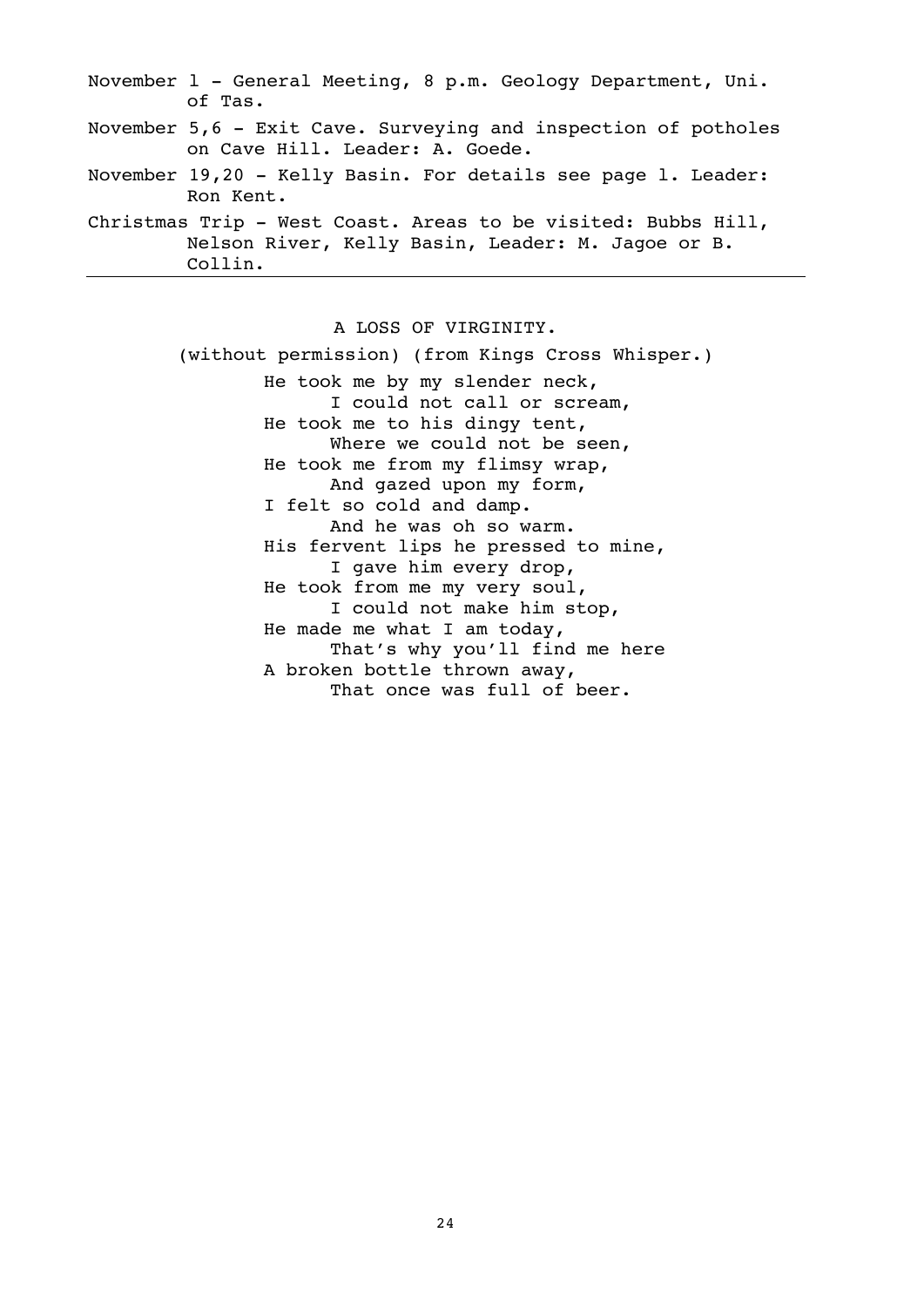| November $l$ - General Meeting, 8 p.m. Geology Department, Uni.<br>of Tas.                                                    |
|-------------------------------------------------------------------------------------------------------------------------------|
| November 5,6 - Exit Cave. Surveying and inspection of potholes<br>on Cave Hill. Leader: A. Goede.                             |
| November 19,20 - Kelly Basin. For details see page l. Leader:<br>Ron Kent.                                                    |
| Christmas Trip - West Coast. Areas to be visited: Bubbs Hill,<br>Nelson River, Kelly Basin, Leader: M. Jagoe or B.<br>Collin. |

A LOSS OF VIRGINITY. (without permission) (from Kings Cross Whisper.) He took me by my slender neck, I could not call or scream, He took me to his dingy tent, Where we could not be seen, He took me from my flimsy wrap, And gazed upon my form, I felt so cold and damp. And he was oh so warm. His fervent lips he pressed to mine, I gave him every drop, He took from me my very soul, I could not make him stop, He made me what I am today, That's why you'll find me here A broken bottle thrown away, That once was full of beer.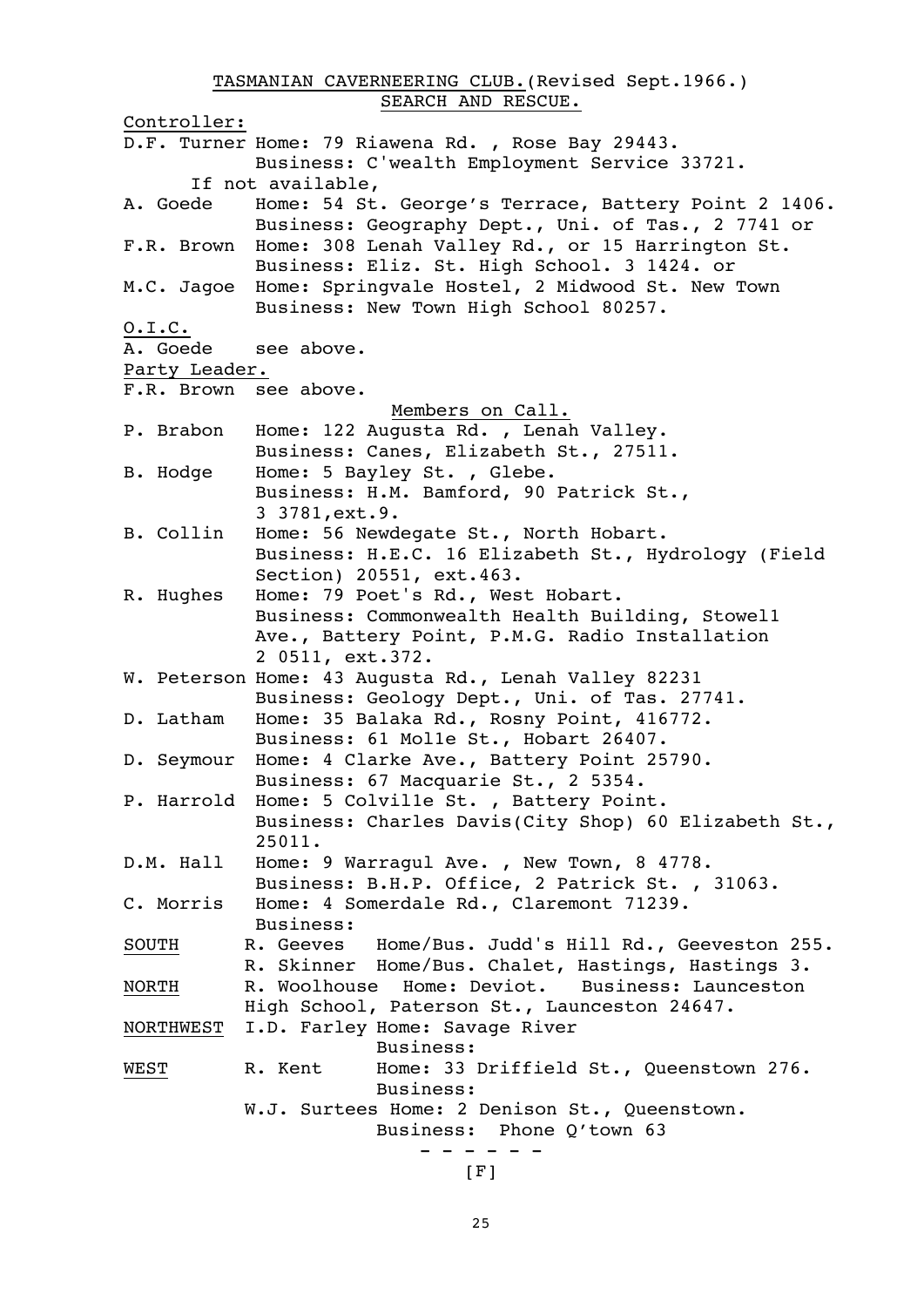TASMANIAN CAVERNEERING CLUB.(Revised Sept.1966.) SEARCH AND RESCUE.

Controller: D.F. Turner Home: 79 Riawena Rd. , Rose Bay 29443. Business: C'wealth Employment Service 33721. If not available, A. Goede Home: 54 St. George's Terrace, Battery Point 2 1406. Business: Geography Dept., Uni. of Tas., 2 7741 or F.R. Brown Home: 308 Lenah Valley Rd., or 15 Harrington St. Business: Eliz. St. High School. 3 1424. or M.C. Jagoe Home: Springvale Hostel, 2 Midwood St. New Town Business: New Town High School 80257. O.I.C. A. Goede see above. Party Leader. F.R. Brown see above. Members on Call. P. Brabon Home: 122 Augusta Rd. , Lenah Valley. Business: Canes, Elizabeth St., 27511. B. Hodge Home: 5 Bayley St. , Glebe. Business: H.M. Bamford, 90 Patrick St., 3 3781,ext.9. B. Collin Home: 56 Newdegate St., North Hobart. Business: H.E.C. 16 Elizabeth St., Hydrology (Field Section) 20551, ext.463. R. Hughes Home: 79 Poet's Rd., West Hobart. Business: Commonwealth Health Building, Stowel1 Ave., Battery Point, P.M.G. Radio Installation 2 0511, ext.372. W. Peterson Home: 43 Augusta Rd., Lenah Valley 82231 Business: Geology Dept., Uni. of Tas. 27741. D. Latham Home: 35 Balaka Rd., Rosny Point, 416772. Business: 61 Mol1e St., Hobart 26407. D. Seymour Home: 4 Clarke Ave., Battery Point 25790. Business: 67 Macquarie St., 2 5354. P. Harrold Home: 5 Colvil1e St. , Battery Point. Business: Charles Davis(City Shop) 60 Elizabeth St., 25011. D.M. Hall Home: 9 Warragul Ave. , New Town, 8 4778. Business: B.H.P. Office, 2 Patrick St. , 31063. C. Morris Home: 4 Somerdale Rd., Claremont 71239. Business: SOUTH R. Geeves Home/Bus. Judd's Hill Rd., Geeveston 255. R. Skinner Home/Bus. Chalet, Hastings, Hastings 3. NORTH R. Woolhouse Home: Deviot. Business: Launceston High School, Paterson St., Launceston 24647. NORTHWEST I.D. Farley Home: Savage River Business: WEST R. Kent Home: 33 Driffield St., Queenstown 276. Business: W.J. Surtees Home: 2 Denison St., Queenstown. Business: Phone Q'town 63 - - - - - -  $[F]$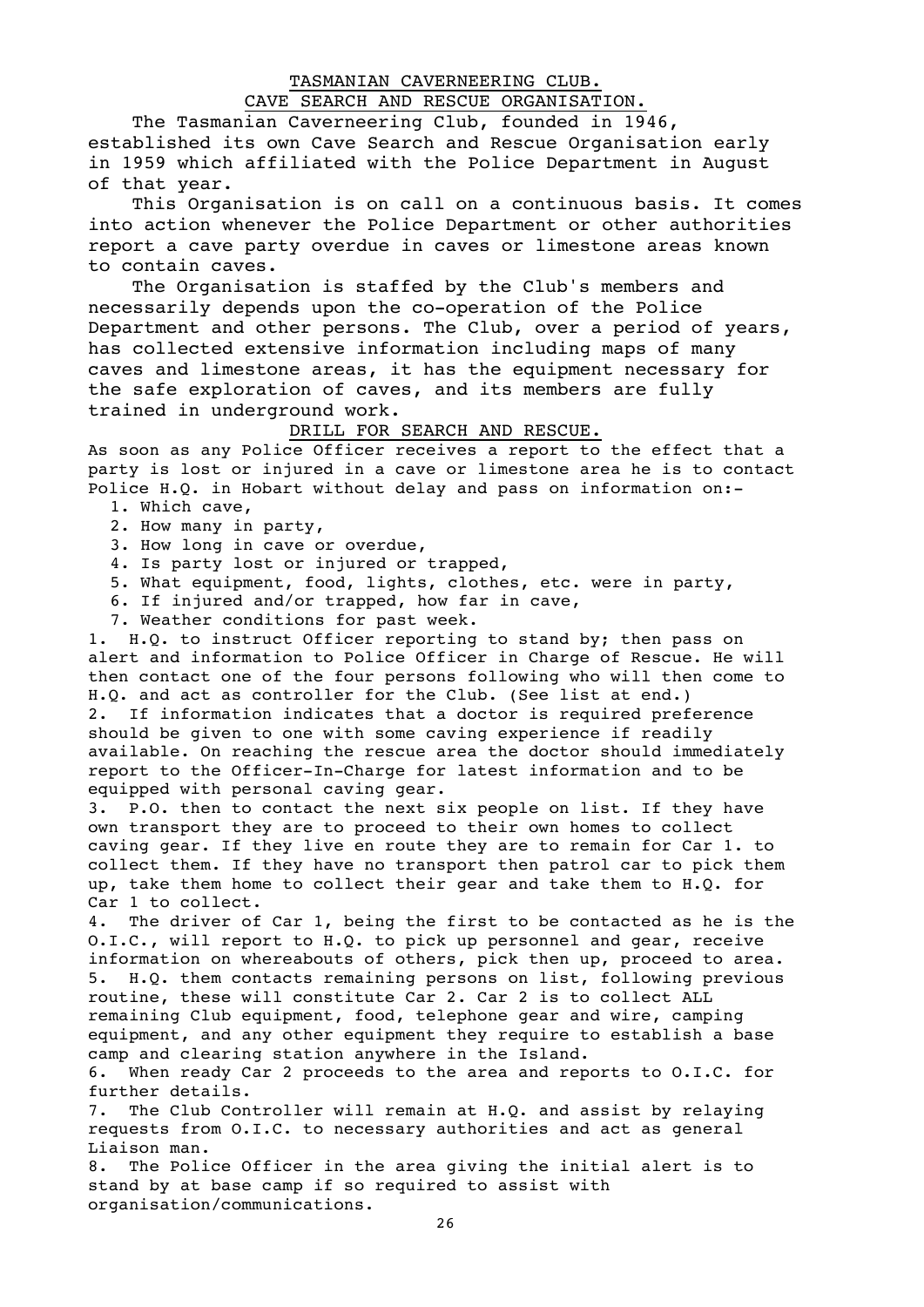# TASMANIAN CAVERNEERING CLUB. CAVE SEARCH AND RESCUE ORGANISATION.

The Tasmanian Caverneering Club, founded in 1946, established its own Cave Search and Rescue Organisation early in 1959 which affiliated with the Police Department in August of that year.

This Organisation is on call on a continuous basis. It comes into action whenever the Police Department or other authorities report a cave party overdue in caves or limestone areas known to contain caves.

The Organisation is staffed by the Club's members and necessarily depends upon the co-operation of the Police Department and other persons. The Club, over a period of years, has collected extensive information including maps of many caves and limestone areas, it has the equipment necessary for the safe exploration of caves, and its members are fully trained in underground work.

#### DRILL FOR SEARCH AND RESCUE.

As soon as any Police Officer receives a report to the effect that a party is lost or injured in a cave or limestone area he is to contact Police H.Q. in Hobart without delay and pass on information on:-

- 1. Which cave,
- 2. How many in party,
- 3. How long in cave or overdue,
- 4. Is party lost or injured or trapped,
- 5. What equipment, food, lights, clothes, etc. were in party,
- 6. If injured and/or trapped, how far in cave,
- 7. Weather conditions for past week.

1. H.Q. to instruct Officer reporting to stand by; then pass on alert and information to Police Officer in Charge of Rescue. He will then contact one of the four persons following who will then come to H.Q. and act as controller for the Club. (See list at end.) 2. If information indicates that a doctor is required preference should be given to one with some caving experience if readily available. On reaching the rescue area the doctor should immediately report to the Officer-In-Charge for latest information and to be equipped with personal caving gear.

3. P.O. then to contact the next six people on list. If they have own transport they are to proceed to their own homes to collect caving gear. If they live en route they are to remain for Car 1. to collect them. If they have no transport then patrol car to pick them up, take them home to collect their gear and take them to H.Q. for Car 1 to collect.

4. The driver of Car 1, being the first to be contacted as he is the O.I.C., will report to H.Q. to pick up personnel and gear, receive information on whereabouts of others, pick then up, proceed to area. 5. H.Q. them contacts remaining persons on list, following previous routine, these will constitute Car 2. Car 2 is to collect ALL remaining Club equipment, food, telephone gear and wire, camping equipment, and any other equipment they require to establish a base camp and clearing station anywhere in the Island.

6. When ready Car 2 proceeds to the area and reports to O.I.C. for further details.

7. The Club Controller will remain at H.Q. and assist by relaying requests from O.I.C. to necessary authorities and act as general Liaison man.

8. The Police Officer in the area giving the initial alert is to stand by at base camp if so required to assist with organisation/communications.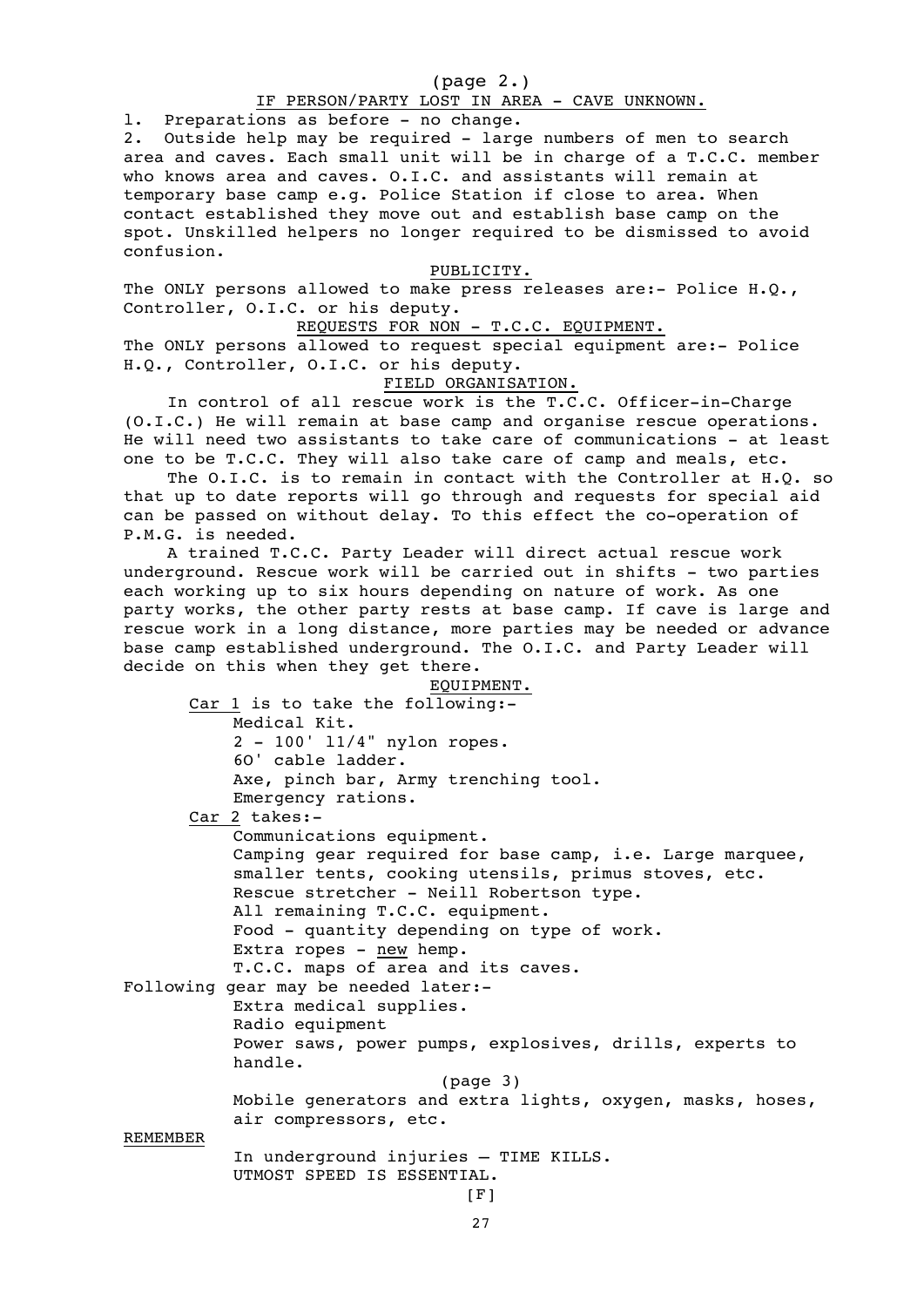#### (page 2.)

#### IF PERSON/PARTY LOST IN AREA - CAVE UNKNOWN.

l. Preparations as before - no change.

2. Outside help may be required - large numbers of men to search area and caves. Each small unit will be in charge of a T.C.C. member who knows area and caves. O.I.C. and assistants will remain at temporary base camp e.g. Police Station if close to area. When contact established they move out and establish base camp on the spot. Unskilled helpers no longer required to be dismissed to avoid confusion.

#### PUBLICITY.

The ONLY persons allowed to make press releases are:- Police H.Q., Controller, O.I.C. or his deputy.

#### REQUESTS FOR NON - T.C.C. EQUIPMENT.

The ONLY persons allowed to request special equipment are:- Police H.Q., Controller, O.I.C. or his deputy.

### FIELD ORGANISATION.

In control of all rescue work is the T.C.C. Officer-in-Charge (O.I.C.) He will remain at base camp and organise rescue operations. He will need two assistants to take care of communications - at least one to be T.C.C. They will also take care of camp and meals, etc.

The O.I.C. is to remain in contact with the Controller at H.Q. so that up to date reports will go through and requests for special aid can be passed on without delay. To this effect the co-operation of P.M.G. is needed.

A trained T.C.C. Party Leader will direct actual rescue work underground. Rescue work will be carried out in shifts - two parties each working up to six hours depending on nature of work. As one party works, the other party rests at base camp. If cave is large and rescue work in a long distance, more parties may be needed or advance base camp established underground. The O.I.C. and Party Leader will decide on this when they get there.

EQUIPMENT. Car 1 is to take the following:- Medical Kit. 2 - 100' l1/4" nylon ropes. 6O' cable ladder. Axe, pinch bar, Army trenching tool. Emergency rations. Car 2 takes:- Communications equipment. Camping gear required for base camp, i.e. Large marquee, smaller tents, cooking utensils, primus stoves, etc. Rescue stretcher - Neill Robertson type. All remaining T.C.C. equipment. Food - quantity depending on type of work. Extra ropes -  $new$  hemp. T.C.C. maps of area and its caves. Following gear may be needed later:- Extra medical supplies. Radio equipment Power saws, power pumps, explosives, drills, experts to handle. (page 3) Mobile generators and extra lights, oxygen, masks, hoses, air compressors, etc. REMEMBER

> In underground injuries – TIME KILLS. UTMOST SPEED IS ESSENTIAL.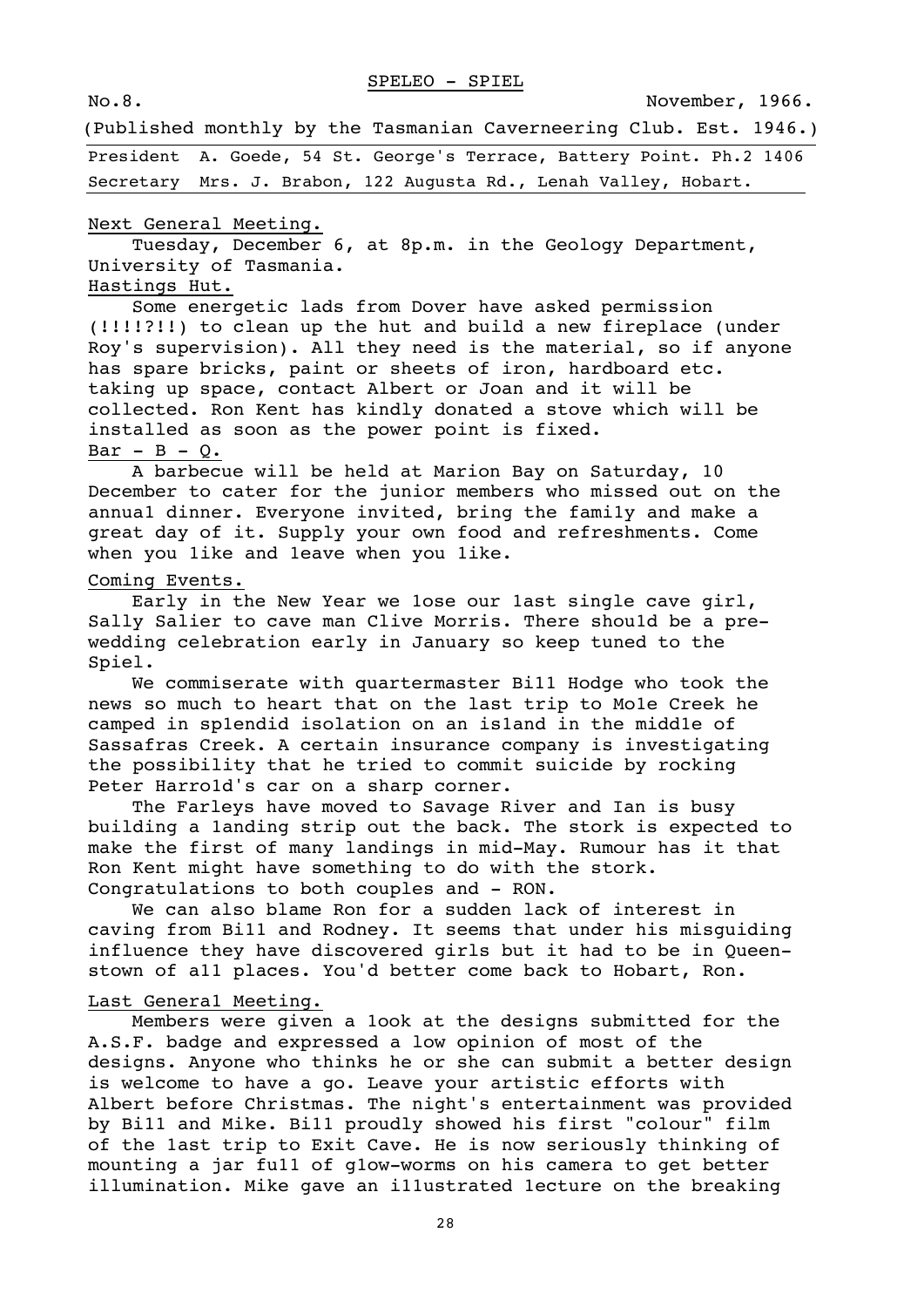No.8. November, 1966.

(Published monthly by the Tasmanian Caverneering Club. Est. 1946.)

President A. Goede, 54 St. George's Terrace, Battery Point. Ph.2 1406 Secretary Mrs. J. Brabon, 122 Augusta Rd., Lenah Valley, Hobart.

### Next General Meeting.

Tuesday, December 6, at 8p.m. in the Geology Department, University of Tasmania.

# Hastings Hut.

Some energetic lads from Dover have asked permission (!!!!?!!) to clean up the hut and build a new fireplace (under Roy's supervision). All they need is the material, so if anyone has spare bricks, paint or sheets of iron, hardboard etc. taking up space, contact Albert or Joan and it will be collected. Ron Kent has kindly donated a stove which will be installed as soon as the power point is fixed.  $Bar - B - Q$ .

A barbecue will be held at Marion Bay on Saturday, 10 December to cater for the junior members who missed out on the annua1 dinner. Everyone invited, bring the fami1y and make a great day of it. Supply your own food and refreshments. Come when you 1ike and 1eave when you 1ike.

#### Coming Events.

Early in the New Year we 1ose our 1ast single cave girl, Sally Salier to cave man Clive Morris. There shou1d be a prewedding celebration early in January so keep tuned to the Spiel.

We commiserate with quartermaster Bi11 Hodge who took the news so much to heart that on the last trip to Mo1e Creek he camped in sp1endid isolation on an is1and in the midd1e of Sassafras Creek. A certain insurance company is investigating the possibility that he tried to commit suicide by rocking Peter Harro1d's car on a sharp corner.

The Farleys have moved to Savage River and Ian is busy building a 1anding strip out the back. The stork is expected to make the first of many landings in mid-May. Rumour has it that Ron Kent might have something to do with the stork. Congratulations to both couples and - RON.

We can also blame Ron for a sudden lack of interest in caving from Bi11 and Rodney. It seems that under his misguiding influence they have discovered girls but it had to be in Queenstown of a11 places. You'd better come back to Hobart, Ron.

#### Last Genera1 Meeting.

Members were given a 1ook at the designs submitted for the A.S.F. badge and expressed a low opinion of most of the designs. Anyone who thinks he or she can submit a better design is welcome to have a go. Leave your artistic efforts with Albert before Christmas. The night's entertainment was provided by Bi11 and Mike. Bi11 proudly showed his first "colour" film of the 1ast trip to Exit Cave. He is now seriously thinking of mounting a jar fu11 of g1ow-worms on his camera to get better illumination. Mike gave an i11ustrated 1ecture on the breaking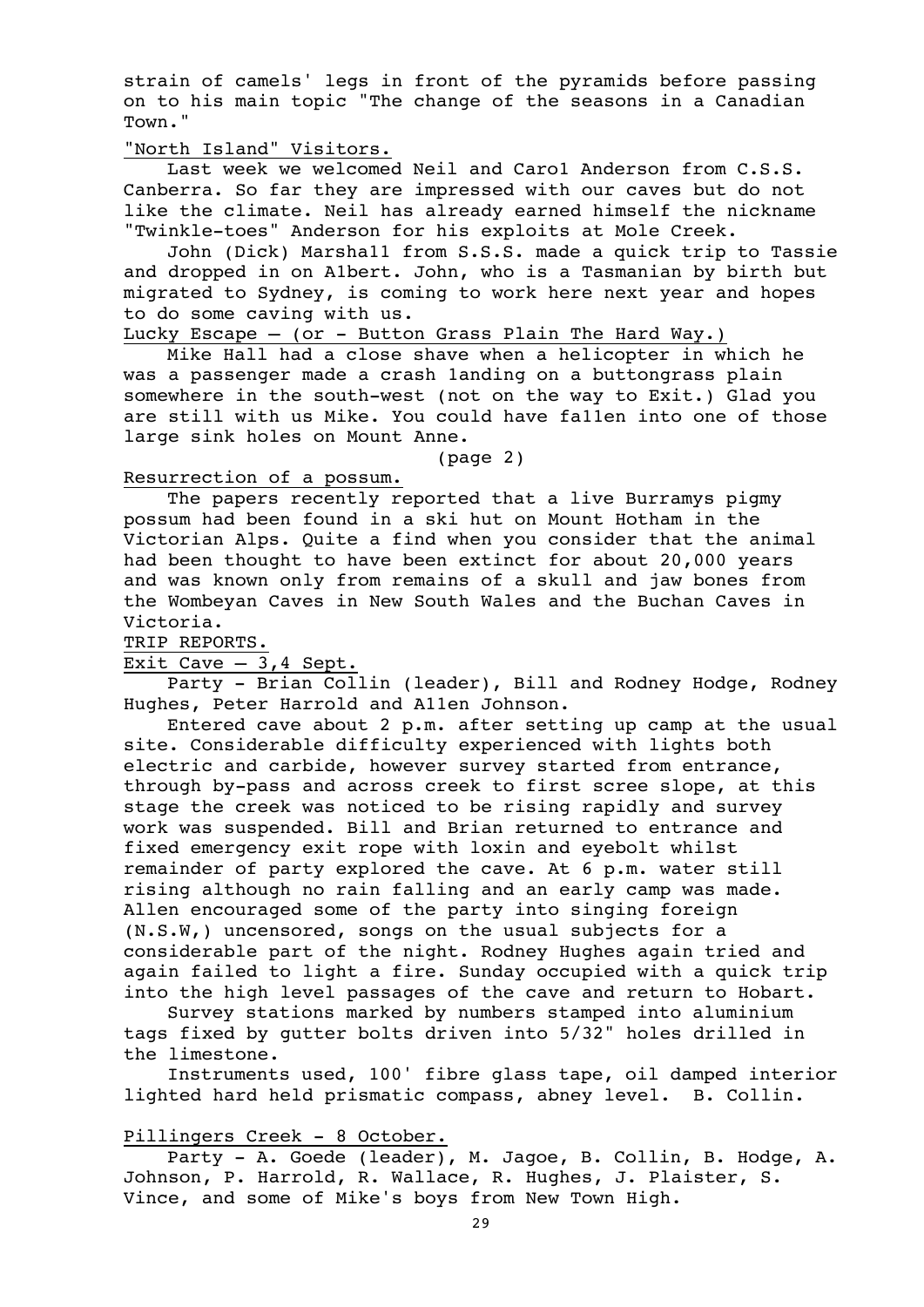strain of camels' legs in front of the pyramids before passing on to his main topic "The change of the seasons in a Canadian Town."

"North Island" Visitors.

Last week we welcomed Neil and Caro1 Anderson from C.S.S. Canberra. So far they are impressed with our caves but do not like the climate. Neil has already earned himself the nickname "Twinkle-toes" Anderson for his exploits at Mole Creek.

John (Dick) Marsha11 from S.S.S. made a quick trip to Tassie and dropped in on A1bert. John, who is a Tasmanian by birth but migrated to Sydney, is coming to work here next year and hopes to do some caving with us.

Lucky Escape  $-$  (or  $-$  Button Grass Plain The Hard Way.)

Mike Hall had a close shave when a helicopter in which he was a passenger made a crash 1anding on a buttongrass plain somewhere in the south-west (not on the way to Exit.) Glad you are still with us Mike. You could have fa11en into one of those large sink holes on Mount Anne.

(page 2)

#### Resurrection of a possum.

The papers recently reported that a live Burramys pigmy possum had been found in a ski hut on Mount Hotham in the Victorian Alps. Quite a find when you consider that the animal had been thought to have been extinct for about 20,000 years and was known only from remains of a skull and jaw bones from the Wombeyan Caves in New South Wales and the Buchan Caves in Victoria.

TRIP REPORTS.

Exit Cave  $-3,4$  Sept.

Party - Brian Collin (leader), Bill and Rodney Hodge, Rodney Hughes, Peter Harrold and A11en Johnson.

Entered cave about 2 p.m. after setting up camp at the usual site. Considerable difficulty experienced with lights both electric and carbide, however survey started from entrance, through by-pass and across creek to first scree slope, at this stage the creek was noticed to be rising rapidly and survey work was suspended. Bill and Brian returned to entrance and fixed emergency exit rope with loxin and eyebolt whilst remainder of party explored the cave. At 6 p.m. water still rising although no rain falling and an early camp was made. Allen encouraged some of the party into singing foreign (N.S.W,) uncensored, songs on the usual subjects for a considerable part of the night. Rodney Hughes again tried and again failed to light a fire. Sunday occupied with a quick trip into the high level passages of the cave and return to Hobart.

Survey stations marked by numbers stamped into aluminium tags fixed by gutter bolts driven into 5/32" holes drilled in the limestone.

Instruments used, 100' fibre glass tape, oil damped interior lighted hard held prismatic compass, abney level. B. Collin.

Pillingers Creek - 8 October.

Party - A. Goede (leader), M. Jagoe, B. Collin, B. Hodge, A. Johnson, P. Harrold, R. Wallace, R. Hughes, J. Plaister, S. Vince, and some of Mike's boys from New Town High.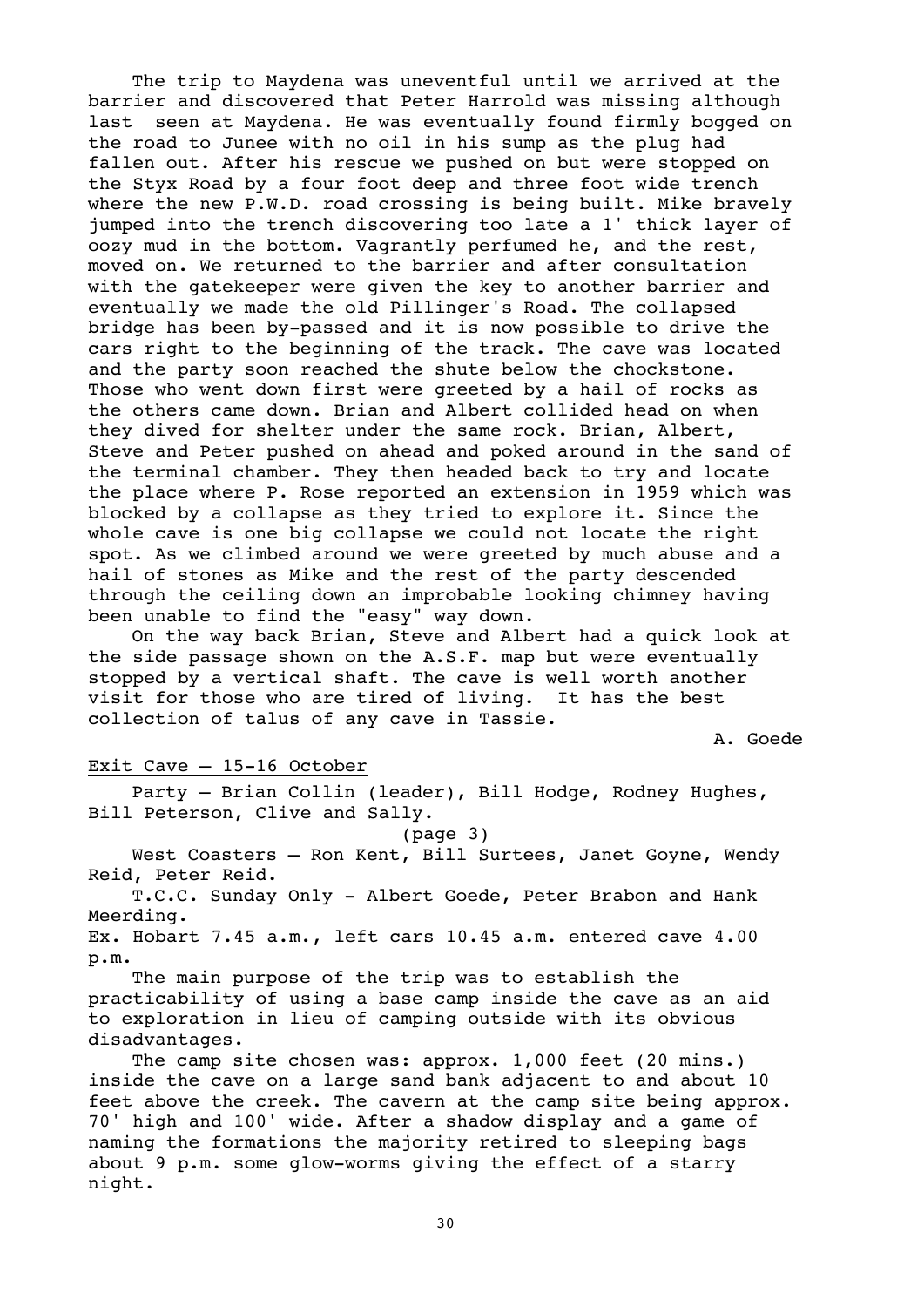The trip to Maydena was uneventful until we arrived at the barrier and discovered that Peter Harrold was missing although last seen at Maydena. He was eventually found firmly bogged on the road to Junee with no oil in his sump as the plug had fallen out. After his rescue we pushed on but were stopped on the Styx Road by a four foot deep and three foot wide trench where the new P.W.D. road crossing is being built. Mike bravely jumped into the trench discovering too late a 1' thick layer of oozy mud in the bottom. Vagrantly perfumed he, and the rest, moved on. We returned to the barrier and after consultation with the gatekeeper were given the key to another barrier and eventually we made the old Pillinger's Road. The collapsed bridge has been by-passed and it is now possible to drive the cars right to the beginning of the track. The cave was located and the party soon reached the shute below the chockstone. Those who went down first were greeted by a hail of rocks as the others came down. Brian and Albert collided head on when they dived for shelter under the same rock. Brian, Albert, Steve and Peter pushed on ahead and poked around in the sand of the terminal chamber. They then headed back to try and locate the place where P. Rose reported an extension in 1959 which was blocked by a collapse as they tried to explore it. Since the whole cave is one big collapse we could not locate the right spot. As we climbed around we were greeted by much abuse and a hail of stones as Mike and the rest of the party descended through the ceiling down an improbable looking chimney having been unable to find the "easy" way down.

On the way back Brian, Steve and Albert had a quick look at the side passage shown on the A.S.F. map but were eventually stopped by a vertical shaft. The cave is well worth another visit for those who are tired of living. It has the best collection of talus of any cave in Tassie.

A. Goede

#### Exit Cave – 15-16 October

Party – Brian Collin (leader), Bill Hodge, Rodney Hughes, Bill Peterson, Clive and Sally.

(page 3)

West Coasters – Ron Kent, Bill Surtees, Janet Goyne, Wendy Reid, Peter Reid.

T.C.C. Sunday Only - Albert Goede, Peter Brabon and Hank Meerding.

Ex. Hobart 7.45 a.m., left cars 10.45 a.m. entered cave 4.00 p.m.

The main purpose of the trip was to establish the practicability of using a base camp inside the cave as an aid to exploration in lieu of camping outside with its obvious disadvantages.

The camp site chosen was: approx. 1,000 feet (20 mins.) inside the cave on a large sand bank adjacent to and about 10 feet above the creek. The cavern at the camp site being approx. 70' high and 100' wide. After a shadow display and a game of naming the formations the majority retired to sleeping bags about 9 p.m. some glow-worms giving the effect of a starry night.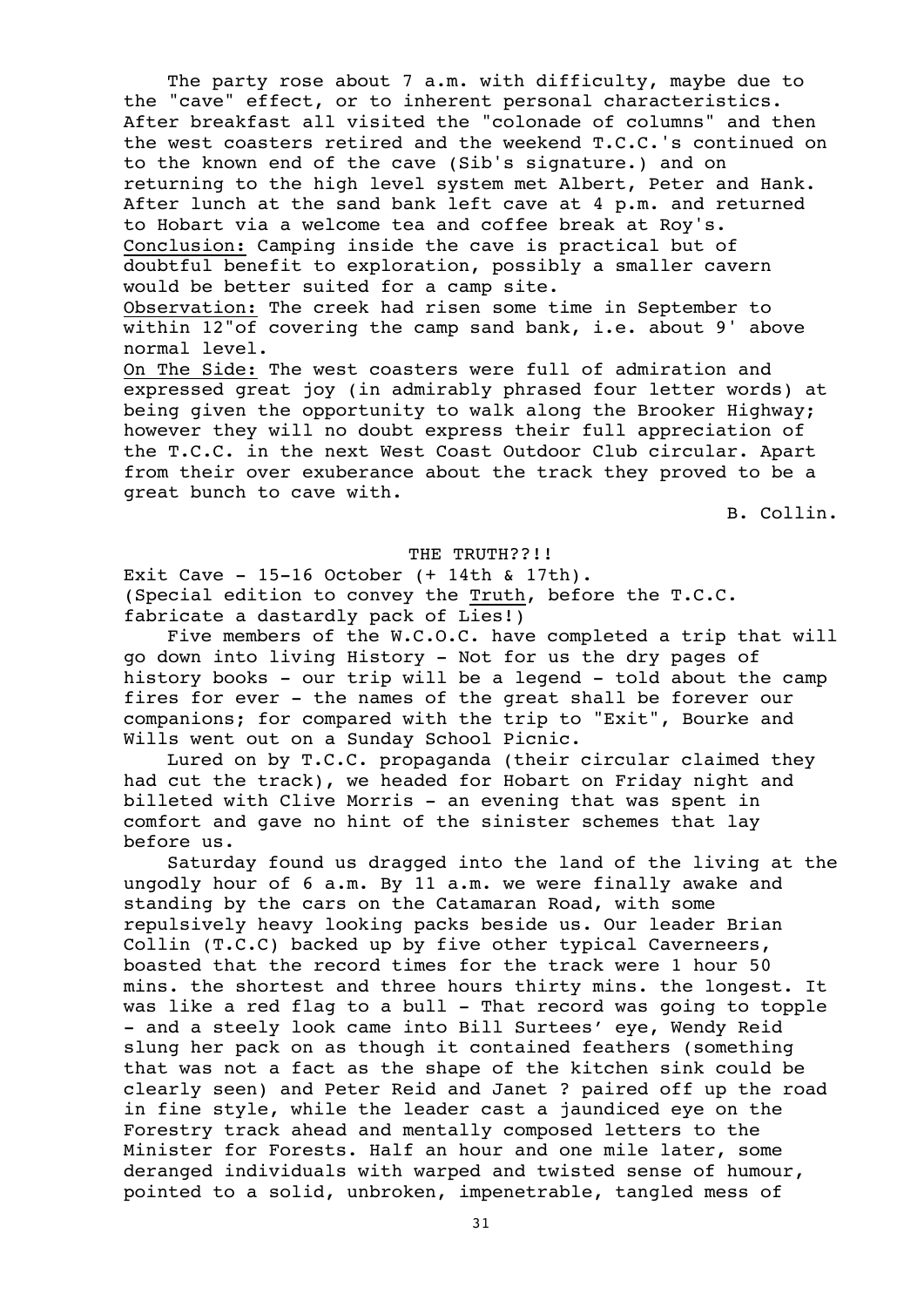The party rose about 7 a.m. with difficulty, maybe due to the "cave" effect, or to inherent personal characteristics. After breakfast all visited the "colonade of columns" and then the west coasters retired and the weekend T.C.C.'s continued on to the known end of the cave (Sib's signature.) and on returning to the high level system met Albert, Peter and Hank. After lunch at the sand bank left cave at 4 p.m. and returned to Hobart via a welcome tea and coffee break at Roy's. Conclusion: Camping inside the cave is practical but of doubtful benefit to exploration, possibly a smaller cavern would be better suited for a camp site.

Observation: The creek had risen some time in September to within 12"of covering the camp sand bank, i.e. about 9' above normal level.

On The Side: The west coasters were full of admiration and expressed great joy (in admirably phrased four letter words) at being given the opportunity to walk along the Brooker Highway; however they will no doubt express their full appreciation of the T.C.C. in the next West Coast Outdoor Club circular. Apart from their over exuberance about the track they proved to be a great bunch to cave with.

B. Collin.

#### THE TRUTH??!!

Exit Cave - 15-16 October (+ 14th & 17th). (Special edition to convey the Truth, before the T.C.C. fabricate a dastardly pack of Lies!)

Five members of the W.C.O.C. have completed a trip that will go down into living History - Not for us the dry pages of history books - our trip will be a legend - told about the camp fires for ever - the names of the great shall be forever our companions; for compared with the trip to "Exit", Bourke and Wills went out on a Sunday School Picnic.

Lured on by T.C.C. propaganda (their circular claimed they had cut the track), we headed for Hobart on Friday night and billeted with Clive Morris - an evening that was spent in comfort and gave no hint of the sinister schemes that lay before us.

Saturday found us dragged into the land of the living at the ungodly hour of 6 a.m. By 11 a.m. we were finally awake and standing by the cars on the Catamaran Road, with some repulsively heavy looking packs beside us. Our leader Brian Collin (T.C.C) backed up by five other typical Caverneers, boasted that the record times for the track were 1 hour 50 mins. the shortest and three hours thirty mins. the longest. It was like a red flag to a bull - That record was going to topple - and a steely look came into Bill Surtees' eye, Wendy Reid slung her pack on as though it contained feathers (something that was not a fact as the shape of the kitchen sink could be clearly seen) and Peter Reid and Janet ? paired off up the road in fine style, while the leader cast a jaundiced eye on the Forestry track ahead and mentally composed letters to the Minister for Forests. Half an hour and one mile later, some deranged individuals with warped and twisted sense of humour, pointed to a solid, unbroken, impenetrable, tangled mess of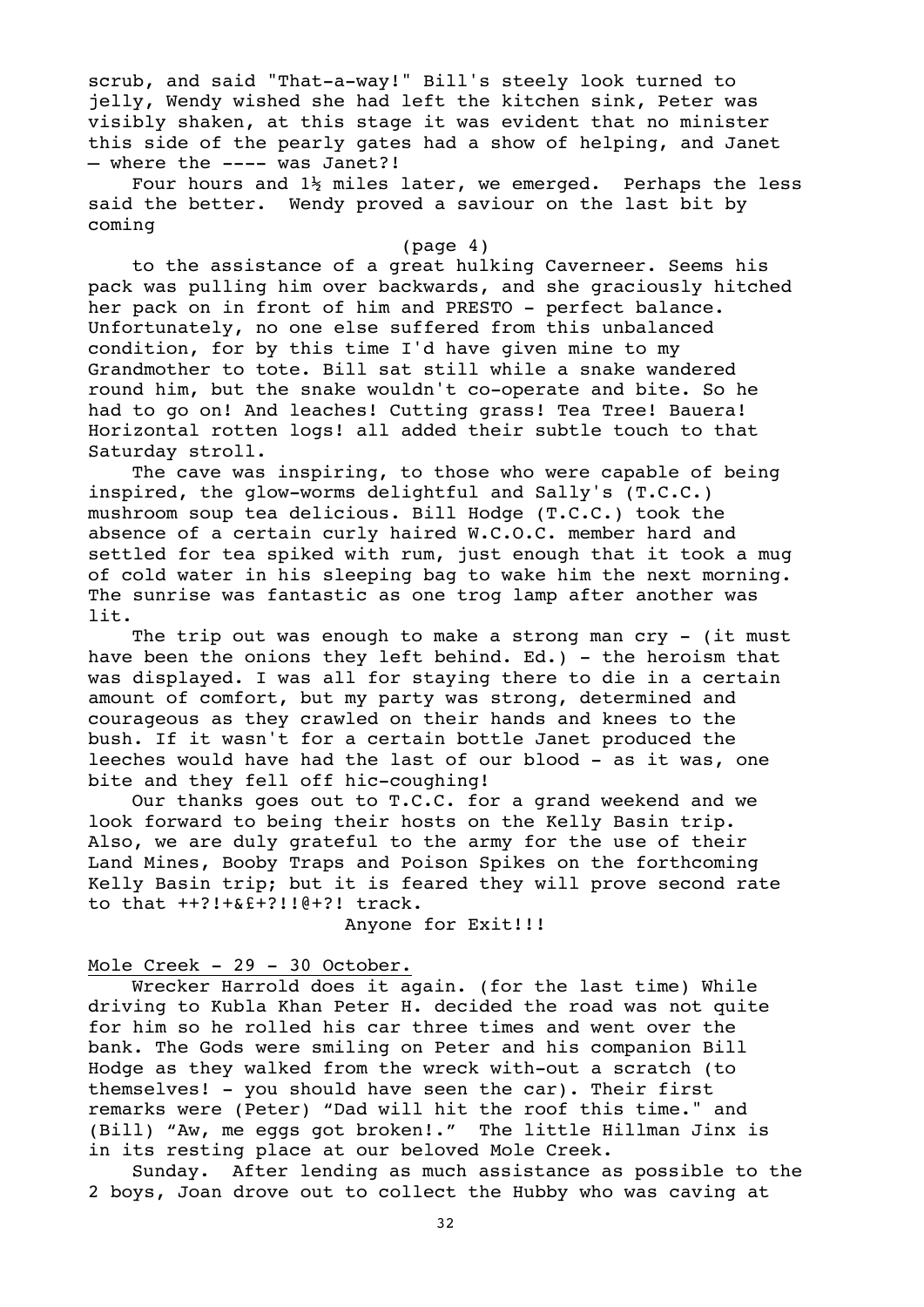scrub, and said "That-a-way!" Bill's steely look turned to jelly, Wendy wished she had left the kitchen sink, Peter was visibly shaken, at this stage it was evident that no minister this side of the pearly gates had a show of helping, and Janet – where the ---- was Janet?!

Four hours and  $1\frac{1}{2}$  miles later, we emerged. Perhaps the less said the better. Wendy proved a saviour on the last bit by coming

#### (page 4)

to the assistance of a great hulking Caverneer. Seems his pack was pulling him over backwards, and she graciously hitched her pack on in front of him and PRESTO - perfect balance. Unfortunately, no one else suffered from this unbalanced condition, for by this time I'd have given mine to my Grandmother to tote. Bill sat still while a snake wandered round him, but the snake wouldn't co-operate and bite. So he had to go on! And leaches! Cutting grass! Tea Tree! Bauera! Horizontal rotten logs! all added their subtle touch to that Saturday stroll.

The cave was inspiring, to those who were capable of being inspired, the glow-worms delightful and Sally's (T.C.C.) mushroom soup tea delicious. Bill Hodge (T.C.C.) took the absence of a certain curly haired W.C.O.C. member hard and settled for tea spiked with rum, just enough that it took a mug of cold water in his sleeping bag to wake him the next morning. The sunrise was fantastic as one trog lamp after another was lit.

The trip out was enough to make a strong man cry - (it must have been the onions they left behind. Ed.) - the heroism that was displayed. I was all for staying there to die in a certain amount of comfort, but my party was strong, determined and courageous as they crawled on their hands and knees to the bush. If it wasn't for a certain bottle Janet produced the leeches would have had the last of our blood - as it was, one bite and they fell off hic-coughing!

Our thanks goes out to T.C.C. for a grand weekend and we look forward to being their hosts on the Kelly Basin trip. Also, we are duly grateful to the army for the use of their Land Mines, Booby Traps and Poison Spikes on the forthcoming Kelly Basin trip; but it is feared they will prove second rate to that ++?!+&£+?!!@+?! track.

Anyone for Exit!!!

#### Mole Creek - 29 - 30 October.

Wrecker Harrold does it again. (for the last time) While driving to Kubla Khan Peter H. decided the road was not quite for him so he rolled his car three times and went over the bank. The Gods were smiling on Peter and his companion Bill Hodge as they walked from the wreck with-out a scratch (to themselves! - you should have seen the car). Their first remarks were (Peter) "Dad will hit the roof this time." and (Bill) "Aw, me eggs got broken!." The little Hillman Jinx is in its resting place at our beloved Mole Creek.

Sunday. After lending as much assistance as possible to the 2 boys, Joan drove out to collect the Hubby who was caving at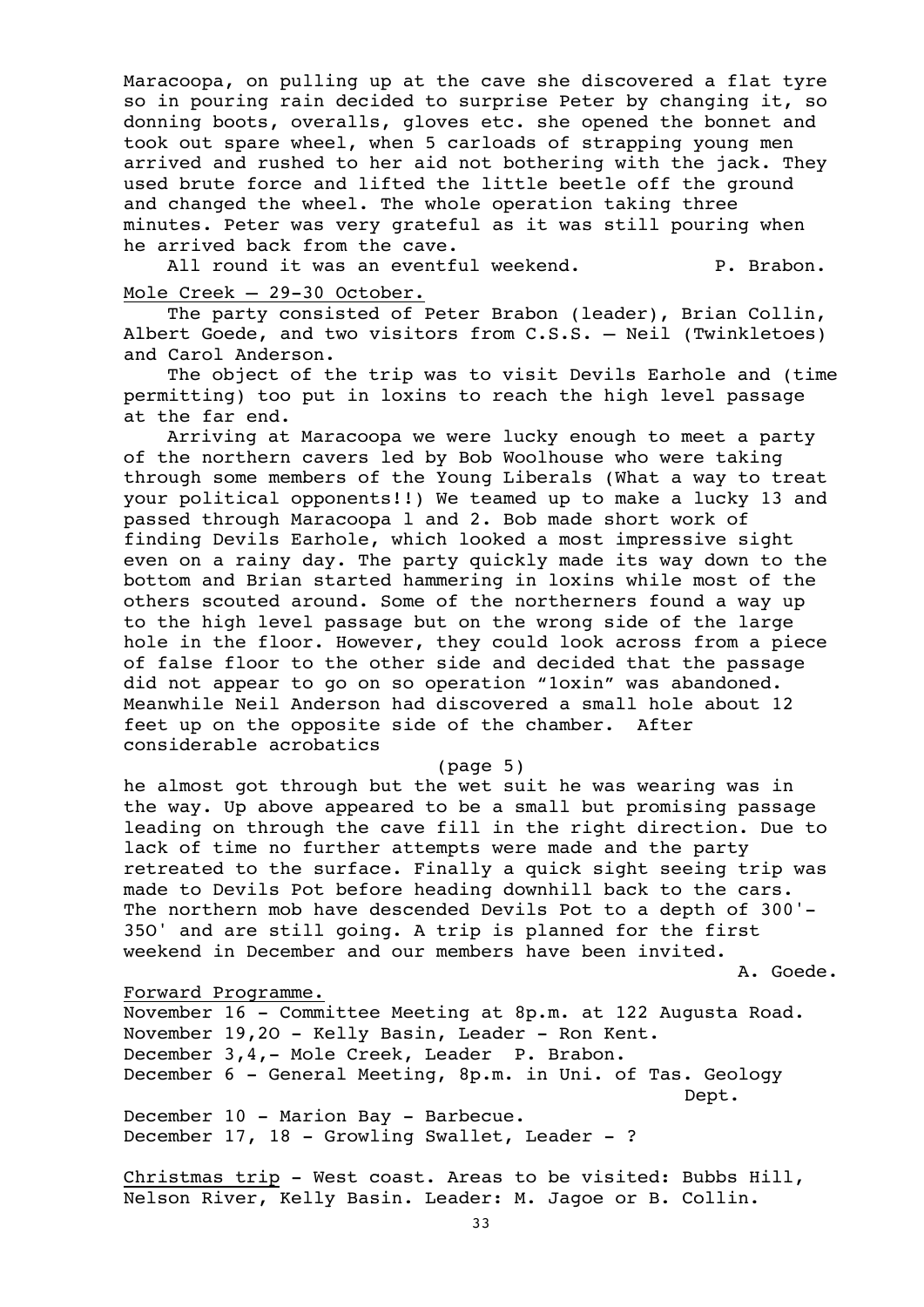Maracoopa, on pulling up at the cave she discovered a flat tyre so in pouring rain decided to surprise Peter by changing it, so donning boots, overalls, gloves etc. she opened the bonnet and took out spare wheel, when 5 carloads of strapping young men arrived and rushed to her aid not bothering with the jack. They used brute force and lifted the little beetle off the ground and changed the wheel. The whole operation taking three minutes. Peter was very grateful as it was still pouring when he arrived back from the cave.

All round it was an eventful weekend. P. Brabon. Mole Creek – 29-30 October.

The party consisted of Peter Brabon (leader), Brian Collin, Albert Goede, and two visitors from C.S.S. – Neil (Twinkletoes) and Carol Anderson.

The object of the trip was to visit Devils Earhole and (time permitting) too put in loxins to reach the high level passage at the far end.

Arriving at Maracoopa we were lucky enough to meet a party of the northern cavers led by Bob Woolhouse who were taking through some members of the Young Liberals (What a way to treat your political opponents!!) We teamed up to make a lucky 13 and passed through Maracoopa l and 2. Bob made short work of finding Devils Earhole, which looked a most impressive sight even on a rainy day. The party quickly made its way down to the bottom and Brian started hammering in loxins while most of the others scouted around. Some of the northerners found a way up to the high level passage but on the wrong side of the large hole in the floor. However, they could look across from a piece of false floor to the other side and decided that the passage did not appear to go on so operation "1oxin" was abandoned. Meanwhile Neil Anderson had discovered a small hole about 12 feet up on the opposite side of the chamber. After considerable acrobatics

(page 5)

he almost got through but the wet suit he was wearing was in the way. Up above appeared to be a small but promising passage leading on through the cave fill in the right direction. Due to lack of time no further attempts were made and the party retreated to the surface. Finally a quick sight seeing trip was made to Devils Pot before heading downhill back to the cars. The northern mob have descended Devils Pot to a depth of 300'- 35O' and are still going. A trip is planned for the first weekend in December and our members have been invited.

A. Goede.

#### Forward Programme.

November 16 - Committee Meeting at 8p.m. at 122 Augusta Road. November 19,2O - Kelly Basin, Leader - Ron Kent. December 3,4,- Mole Creek, Leader P. Brabon. December 6 - General Meeting, 8p.m. in Uni. of Tas. Geology Dept. December 10 - Marion Bay - Barbecue. December 17, 18 - Growling Swallet, Leader - ?

Christmas trip - West coast. Areas to be visited: Bubbs Hill, Nelson River, Kelly Basin. Leader: M. Jagoe or B. Collin.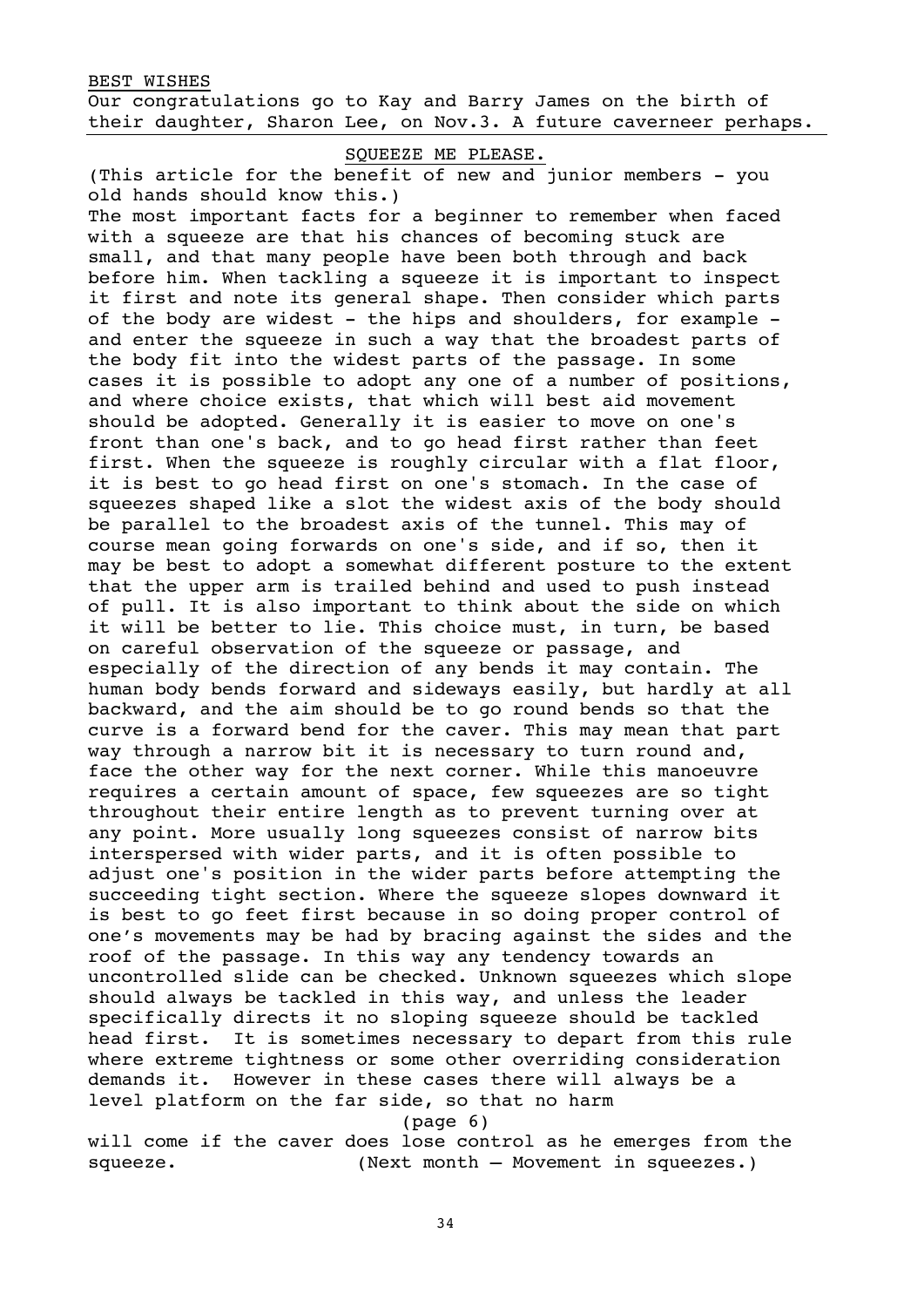BEST WISHES Our congratulations go to Kay and Barry James on the birth of their daughter, Sharon Lee, on Nov.3. A future caverneer perhaps.

SQUEEZE ME PLEASE.

(This article for the benefit of new and junior members - you old hands should know this.)

The most important facts for a beginner to remember when faced with a squeeze are that his chances of becoming stuck are small, and that many people have been both through and back before him. When tackling a squeeze it is important to inspect it first and note its general shape. Then consider which parts of the body are widest - the hips and shoulders, for example and enter the squeeze in such a way that the broadest parts of the body fit into the widest parts of the passage. In some cases it is possible to adopt any one of a number of positions, and where choice exists, that which will best aid movement should be adopted. Generally it is easier to move on one's front than one's back, and to go head first rather than feet first. When the squeeze is roughly circular with a flat floor, it is best to go head first on one's stomach. In the case of squeezes shaped like a slot the widest axis of the body should be parallel to the broadest axis of the tunnel. This may of course mean going forwards on one's side, and if so, then it may be best to adopt a somewhat different posture to the extent that the upper arm is trailed behind and used to push instead of pull. It is also important to think about the side on which it will be better to lie. This choice must, in turn, be based on careful observation of the squeeze or passage, and especially of the direction of any bends it may contain. The human body bends forward and sideways easily, but hardly at all backward, and the aim should be to go round bends so that the curve is a forward bend for the caver. This may mean that part way through a narrow bit it is necessary to turn round and, face the other way for the next corner. While this manoeuvre requires a certain amount of space, few squeezes are so tight throughout their entire length as to prevent turning over at any point. More usually long squeezes consist of narrow bits interspersed with wider parts, and it is often possible to adjust one's position in the wider parts before attempting the succeeding tight section. Where the squeeze slopes downward it is best to go feet first because in so doing proper control of one's movements may be had by bracing against the sides and the roof of the passage. In this way any tendency towards an uncontrolled slide can be checked. Unknown squeezes which slope should always be tackled in this way, and unless the leader specifically directs it no sloping squeeze should be tackled head first. It is sometimes necessary to depart from this rule where extreme tightness or some other overriding consideration demands it. However in these cases there will always be a level platform on the far side, so that no harm

(page 6)

will come if the caver does lose control as he emerges from the squeeze. (Next month – Movement in squeezes.)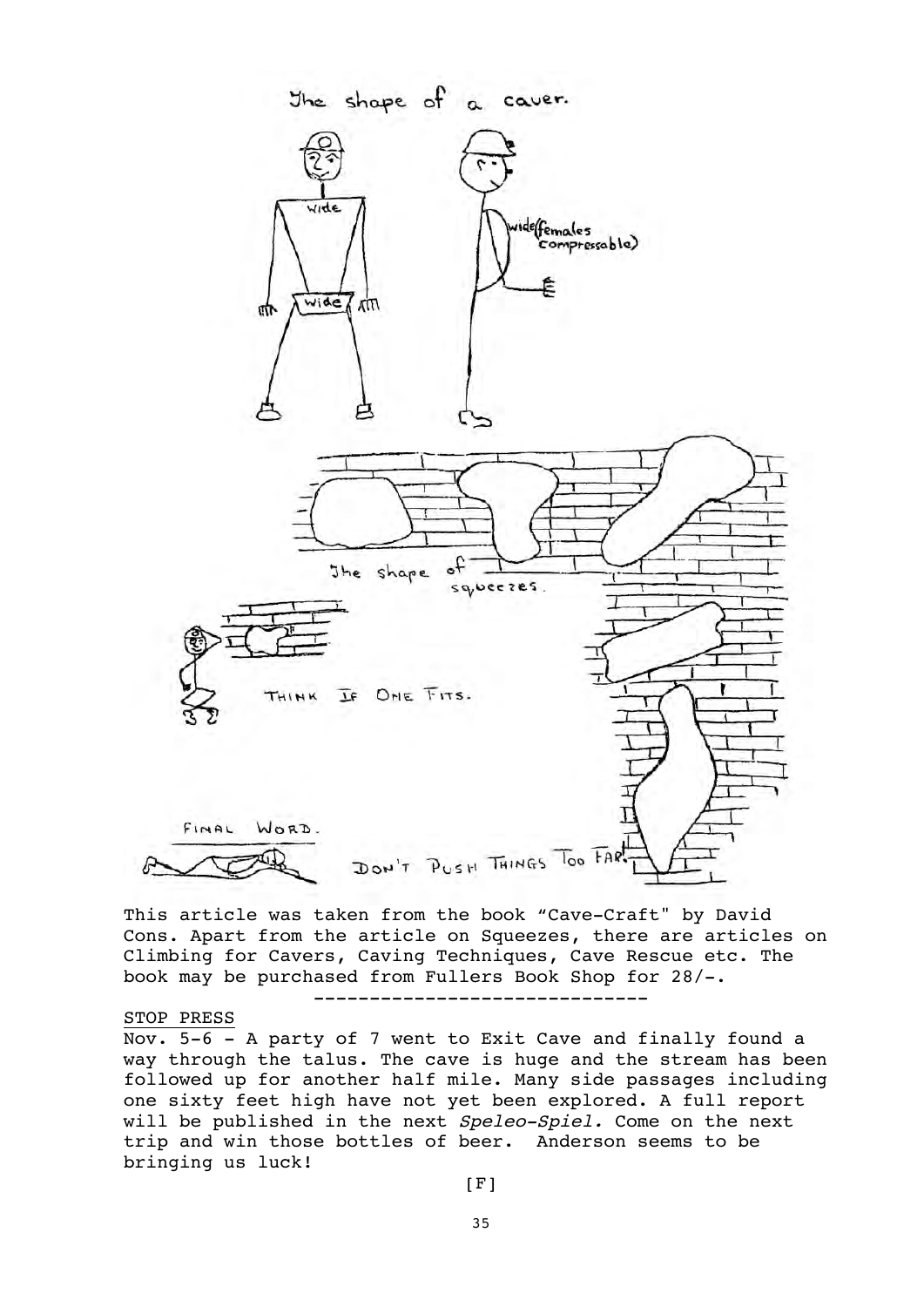

This article was taken from the book "Cave-Craft" by David Cons. Apart from the article on Squeezes, there are articles on Climbing for Cavers, Caving Techniques, Cave Rescue etc. The book may be purchased from Fullers Book Shop for 28/-. ------------------------------

#### STOP PRESS

Nov. 5-6 - A party of 7 went to Exit Cave and finally found a way through the talus. The cave is huge and the stream has been followed up for another half mile. Many side passages including one sixty feet high have not yet been explored. A full report will be published in the next Speleo-Spiel. Come on the next trip and win those bottles of beer. Anderson seems to be bringing us luck!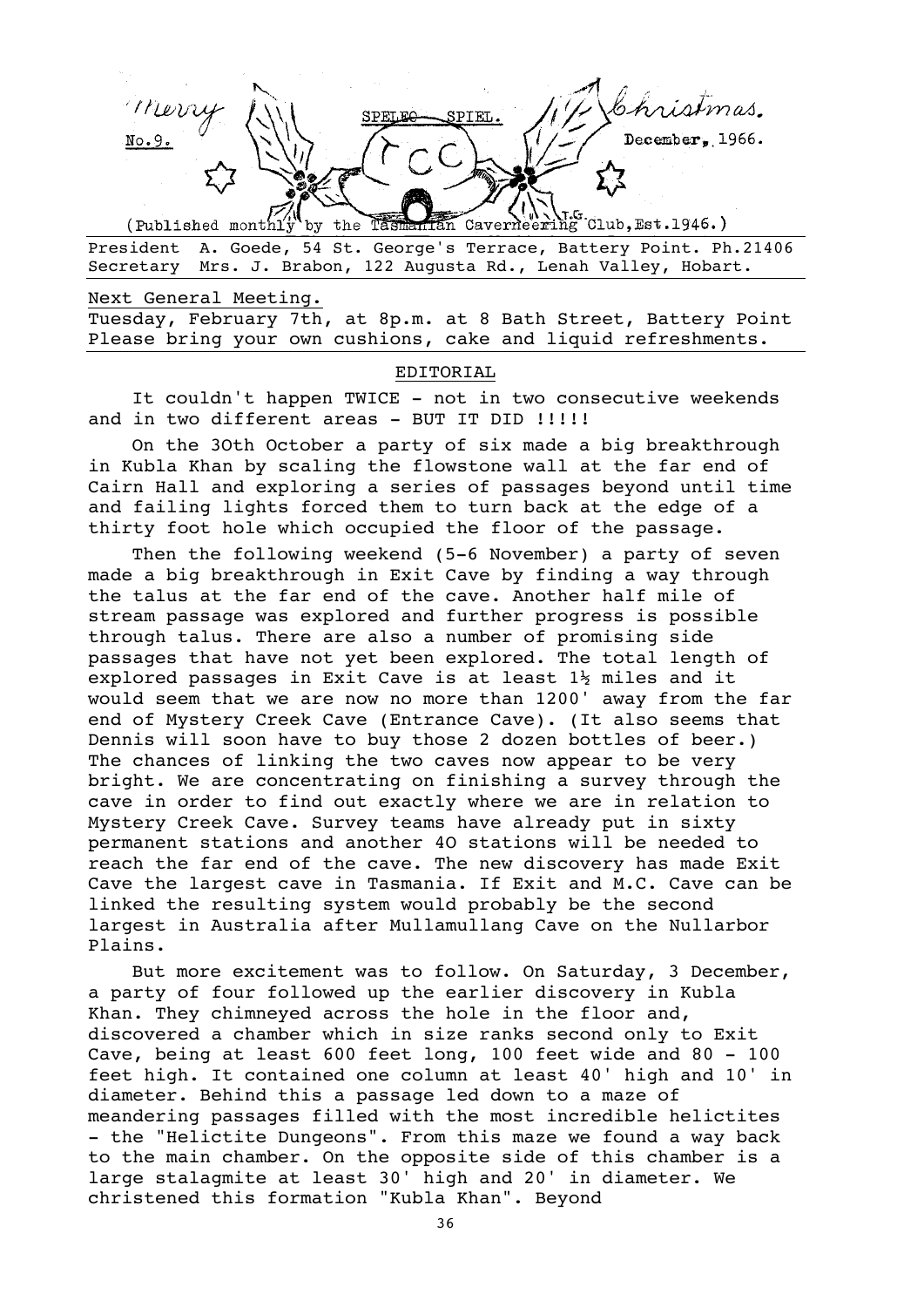PIEL.  $December, 1966.$ Han Caverneering Club, Est. 1946.)

by the Tash (Published monthly President A. Goede, 54 St. George's Terrace, Battery Point. Ph.21406 Secretary Mrs. J. Brabon, 122 Augusta Rd., Lenah Valley, Hobart.

Next General Meeting. Tuesday, February 7th, at 8p.m. at 8 Bath Street, Battery Point Please bring your own cushions, cake and liquid refreshments.

#### EDITORIAL

It couldn't happen TWICE - not in two consecutive weekends and in two different areas - BUT IT DID !!!!!

On the 3Oth October a party of six made a big breakthrough in Kubla Khan by scaling the flowstone wall at the far end of Cairn Hall and exploring a series of passages beyond until time and failing lights forced them to turn back at the edge of a thirty foot hole which occupied the floor of the passage.

Then the following weekend (5-6 November) a party of seven made a big breakthrough in Exit Cave by finding a way through the talus at the far end of the cave. Another half mile of stream passage was explored and further progress is possible through talus. There are also a number of promising side passages that have not yet been explored. The total length of explored passages in Exit Cave is at least 1½ miles and it would seem that we are now no more than 1200' away from the far end of Mystery Creek Cave (Entrance Cave). (It also seems that Dennis will soon have to buy those 2 dozen bottles of beer.) The chances of linking the two caves now appear to be very bright. We are concentrating on finishing a survey through the cave in order to find out exactly where we are in relation to Mystery Creek Cave. Survey teams have already put in sixty permanent stations and another 4O stations will be needed to reach the far end of the cave. The new discovery has made Exit Cave the largest cave in Tasmania. If Exit and M.C. Cave can be linked the resulting system would probably be the second largest in Australia after Mullamullang Cave on the Nullarbor Plains.

But more excitement was to follow. On Saturday, 3 December, a party of four followed up the earlier discovery in Kubla Khan. They chimneyed across the hole in the floor and, discovered a chamber which in size ranks second only to Exit Cave, being at least 600 feet long, 100 feet wide and 80 - 100 feet high. It contained one column at least 40' high and 10' in diameter. Behind this a passage led down to a maze of meandering passages filled with the most incredible helictites - the "Helictite Dungeons". From this maze we found a way back to the main chamber. On the opposite side of this chamber is a large stalagmite at least 30' high and 20' in diameter. We christened this formation "Kubla Khan". Beyond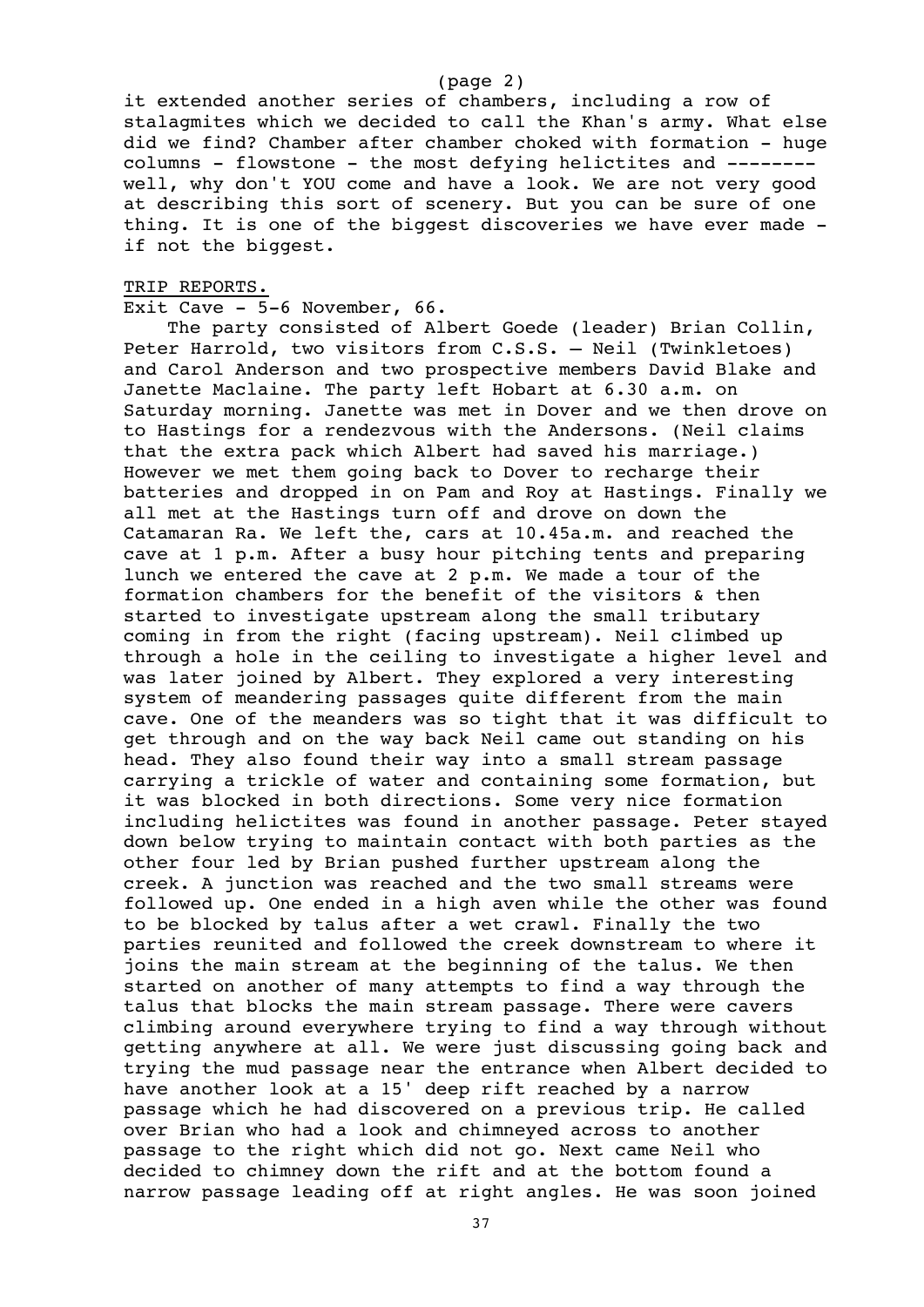#### (page 2)

it extended another series of chambers, including a row of stalagmites which we decided to call the Khan's army. What else did we find? Chamber after chamber choked with formation - huge columns - flowstone - the most defying helictites and ------- well, why don't YOU come and have a look. We are not very good at describing this sort of scenery. But you can be sure of one thing. It is one of the biggest discoveries we have ever made if not the biggest.

# TRIP REPORTS.

#### Exit Cave - 5-6 November, 66.

The party consisted of Albert Goede (leader) Brian Collin, Peter Harrold, two visitors from C.S.S. – Neil (Twinkletoes) and Carol Anderson and two prospective members David Blake and Janette Maclaine. The party left Hobart at 6.30 a.m. on Saturday morning. Janette was met in Dover and we then drove on to Hastings for a rendezvous with the Andersons. (Neil claims that the extra pack which Albert had saved his marriage.) However we met them going back to Dover to recharge their batteries and dropped in on Pam and Roy at Hastings. Finally we all met at the Hastings turn off and drove on down the Catamaran Ra. We left the, cars at 10.45a.m. and reached the cave at 1 p.m. After a busy hour pitching tents and preparing lunch we entered the cave at 2 p.m. We made a tour of the formation chambers for the benefit of the visitors & then started to investigate upstream along the small tributary coming in from the right (facing upstream). Neil climbed up through a hole in the ceiling to investigate a higher level and was later joined by Albert. They explored a very interesting system of meandering passages quite different from the main cave. One of the meanders was so tight that it was difficult to get through and on the way back Neil came out standing on his head. They also found their way into a small stream passage carrying a trickle of water and containing some formation, but it was blocked in both directions. Some very nice formation including helictites was found in another passage. Peter stayed down below trying to maintain contact with both parties as the other four led by Brian pushed further upstream along the creek. A junction was reached and the two small streams were followed up. One ended in a high aven while the other was found to be blocked by talus after a wet crawl. Finally the two parties reunited and followed the creek downstream to where it joins the main stream at the beginning of the talus. We then started on another of many attempts to find a way through the talus that blocks the main stream passage. There were cavers climbing around everywhere trying to find a way through without getting anywhere at all. We were just discussing going back and trying the mud passage near the entrance when Albert decided to have another look at a 15' deep rift reached by a narrow passage which he had discovered on a previous trip. He called over Brian who had a look and chimneyed across to another passage to the right which did not go. Next came Neil who decided to chimney down the rift and at the bottom found a narrow passage leading off at right angles. He was soon joined

37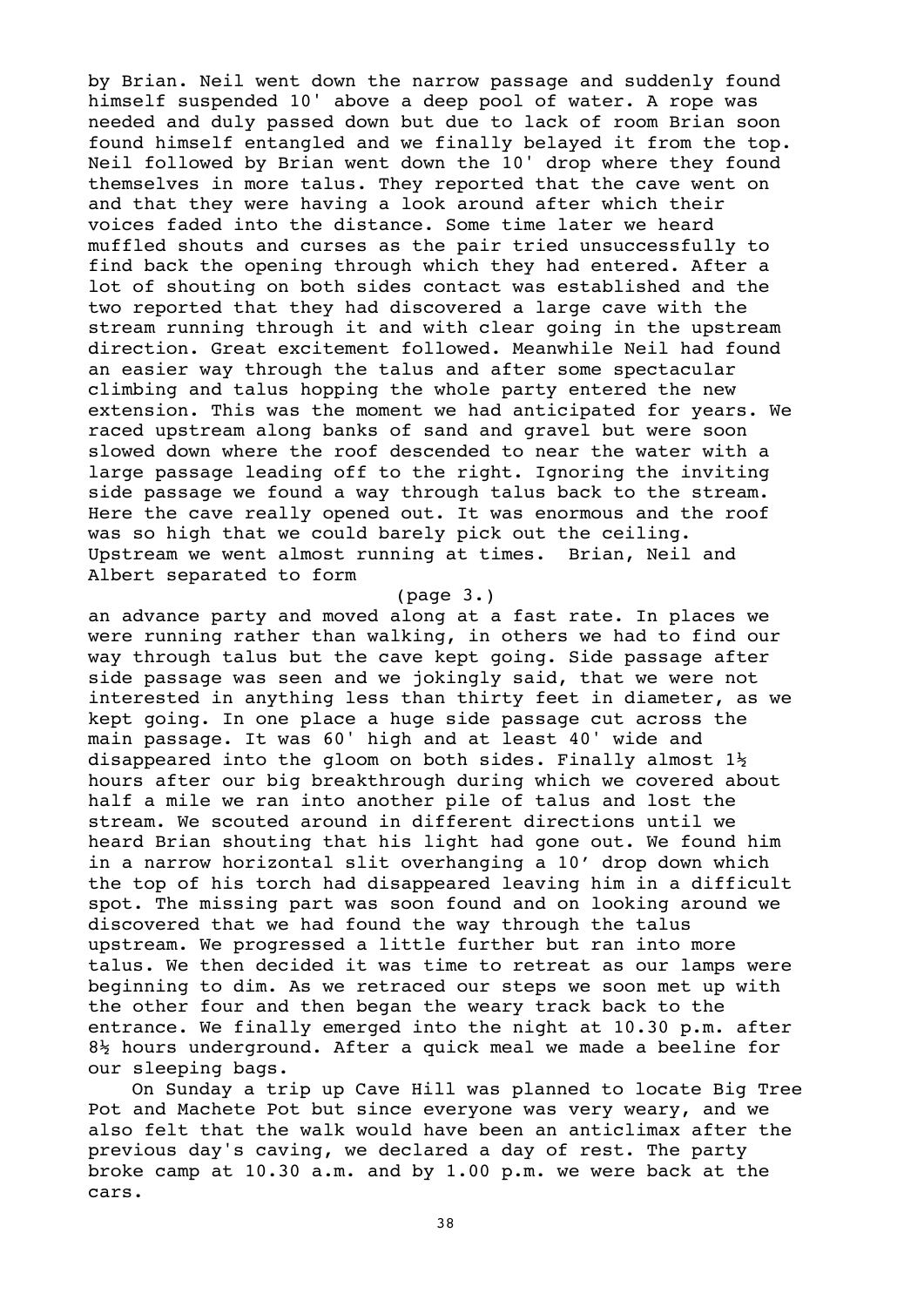by Brian. Neil went down the narrow passage and suddenly found himself suspended 10' above a deep pool of water. A rope was needed and duly passed down but due to lack of room Brian soon found himself entangled and we finally belayed it from the top. Neil followed by Brian went down the 10' drop where they found themselves in more talus. They reported that the cave went on and that they were having a look around after which their voices faded into the distance. Some time later we heard muffled shouts and curses as the pair tried unsuccessfully to find back the opening through which they had entered. After a lot of shouting on both sides contact was established and the two reported that they had discovered a large cave with the stream running through it and with clear going in the upstream direction. Great excitement followed. Meanwhile Neil had found an easier way through the talus and after some spectacular climbing and talus hopping the whole party entered the new extension. This was the moment we had anticipated for years. We raced upstream along banks of sand and gravel but were soon slowed down where the roof descended to near the water with a large passage leading off to the right. Ignoring the inviting side passage we found a way through talus back to the stream. Here the cave really opened out. It was enormous and the roof was so high that we could barely pick out the ceiling. Upstream we went almost running at times. Brian, Neil and Albert separated to form

#### (page 3.)

an advance party and moved along at a fast rate. In places we were running rather than walking, in others we had to find our way through talus but the cave kept going. Side passage after side passage was seen and we jokingly said, that we were not interested in anything less than thirty feet in diameter, as we kept going. In one place a huge side passage cut across the main passage. It was 60' high and at least 40' wide and disappeared into the gloom on both sides. Finally almost  $1\frac{1}{2}$ hours after our big breakthrough during which we covered about half a mile we ran into another pile of talus and lost the stream. We scouted around in different directions until we heard Brian shouting that his light had gone out. We found him in a narrow horizontal slit overhanging a 10' drop down which the top of his torch had disappeared leaving him in a difficult spot. The missing part was soon found and on looking around we discovered that we had found the way through the talus upstream. We progressed a little further but ran into more talus. We then decided it was time to retreat as our lamps were beginning to dim. As we retraced our steps we soon met up with the other four and then began the weary track back to the entrance. We finally emerged into the night at 10.30 p.m. after 8½ hours underground. After a quick meal we made a beeline for our sleeping bags.

On Sunday a trip up Cave Hill was planned to locate Big Tree Pot and Machete Pot but since everyone was very weary, and we also felt that the walk would have been an anticlimax after the previous day's caving, we declared a day of rest. The party broke camp at 10.30 a.m. and by 1.00 p.m. we were back at the cars.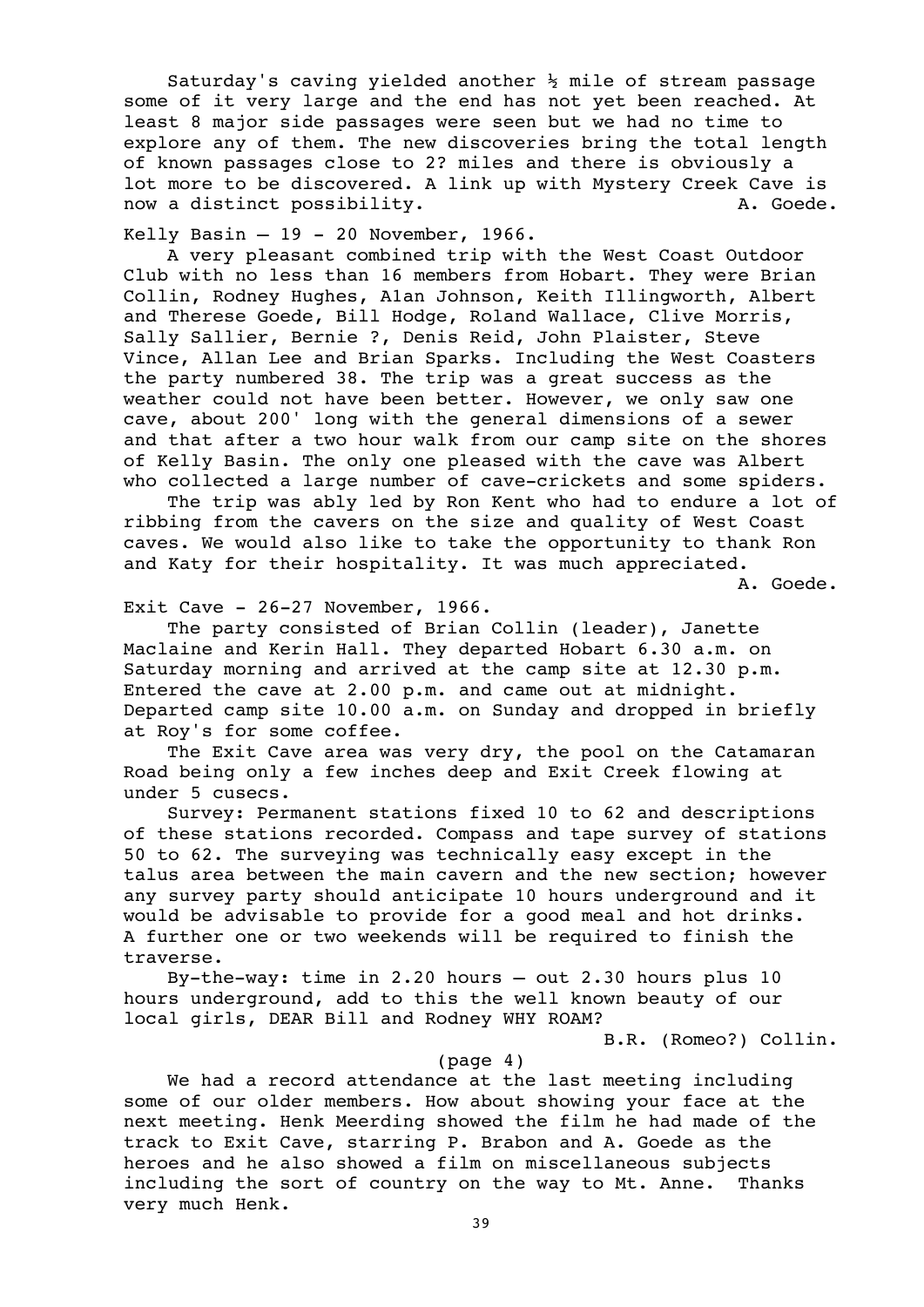Saturday's caving yielded another  $\frac{1}{2}$  mile of stream passage some of it very large and the end has not yet been reached. At least 8 major side passages were seen but we had no time to explore any of them. The new discoveries bring the total length of known passages close to 2? miles and there is obviously a lot more to be discovered. A link up with Mystery Creek Cave is now a distinct possibility. The contract of the contract of the contract of the contract of the contract of the contract of the contract of the contract of the contract of the contract of the contract of the contract of th

Kelly Basin  $-19 - 20$  November, 1966.

A very pleasant combined trip with the West Coast Outdoor Club with no less than 16 members from Hobart. They were Brian Collin, Rodney Hughes, A1an Johnson, Keith Illingworth, Albert and Therese Goede, Bill Hodge, Roland Wallace, Clive Morris, Sally Sallier, Bernie ?, Denis Reid, John Plaister, Steve Vince, Allan Lee and Brian Sparks. Including the West Coasters the party numbered 38. The trip was a great success as the weather could not have been better. However, we only saw one cave, about 200' long with the general dimensions of a sewer and that after a two hour walk from our camp site on the shores of Kelly Basin. The only one pleased with the cave was Albert who collected a large number of cave-crickets and some spiders.

The trip was ably led by Ron Kent who had to endure a lot of ribbing from the cavers on the size and quality of West Coast caves. We would also like to take the opportunity to thank Ron and Katy for their hospitality. It was much appreciated.

A. Goede.

Exit Cave - 26-27 November, 1966.

The party consisted of Brian Collin (leader), Janette Maclaine and Kerin Hall. They departed Hobart 6.30 a.m. on Saturday morning and arrived at the camp site at 12.30 p.m. Entered the cave at 2.00 p.m. and came out at midnight. Departed camp site 10.00 a.m. on Sunday and dropped in briefly at Roy's for some coffee.

The Exit Cave area was very dry, the pool on the Catamaran Road being only a few inches deep and Exit Creek flowing at under 5 cusecs.

Survey: Permanent stations fixed 10 to 62 and descriptions of these stations recorded. Compass and tape survey of stations 50 to 62. The surveying was technically easy except in the talus area between the main cavern and the new section; however any survey party should anticipate 10 hours underground and it would be advisable to provide for a good meal and hot drinks. A further one or two weekends will be required to finish the traverse.

By-the-way: time in 2.20 hours – out 2.30 hours plus 10 hours underground, add to this the well known beauty of our local girls, DEAR Bill and Rodney WHY ROAM?

B.R. (Romeo?) Collin.

(page 4)

We had a record attendance at the last meeting including some of our older members. How about showing your face at the next meeting. Henk Meerding showed the film he had made of the track to Exit Cave, starring P. Brabon and A. Goede as the heroes and he also showed a film on miscellaneous subjects including the sort of country on the way to Mt. Anne. Thanks very much Henk.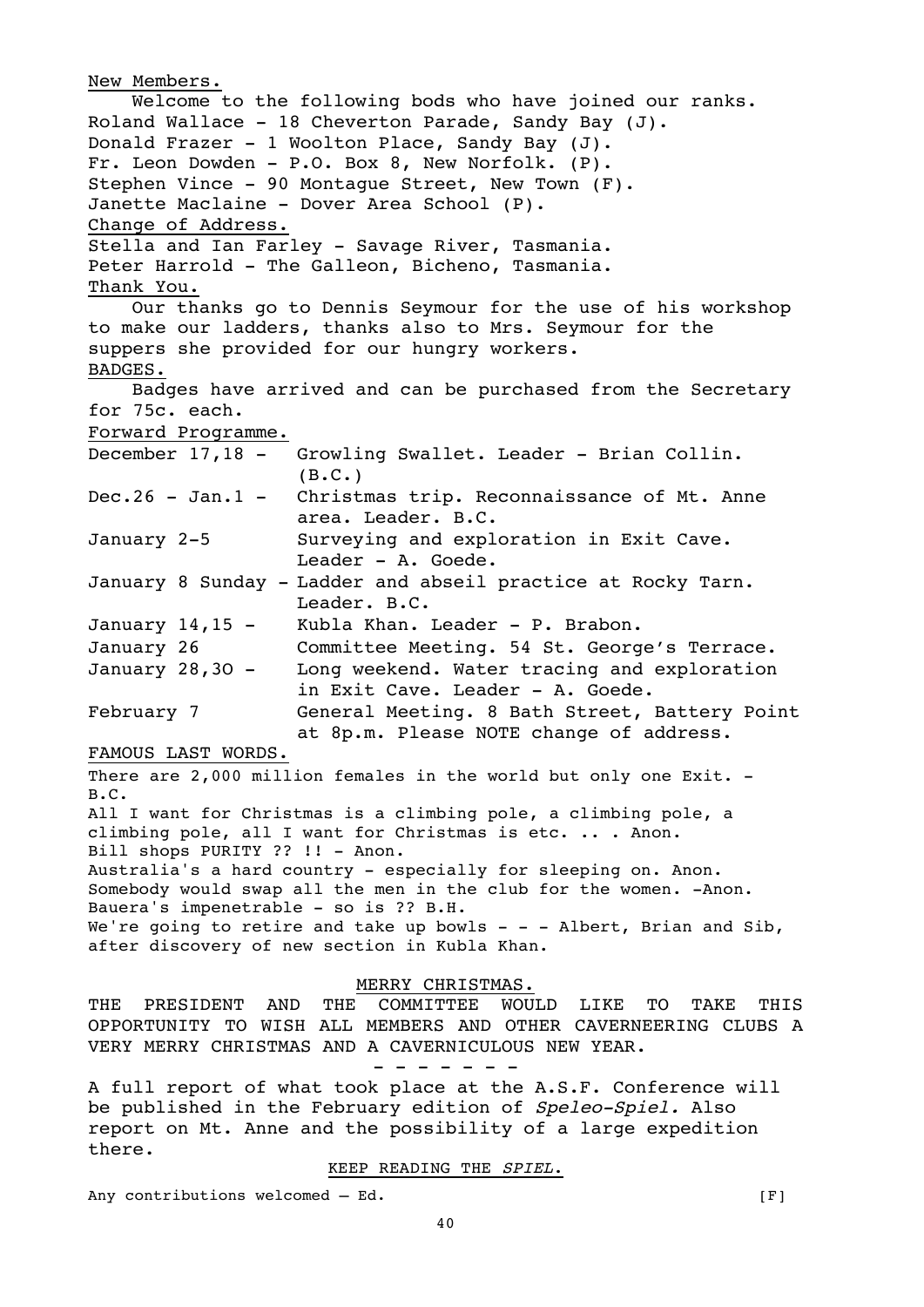New Members. Welcome to the following bods who have joined our ranks. Roland Wallace - 18 Cheverton Parade, Sandy Bay (J). Donald Frazer - 1 Woolton Place, Sandy Bay (J). Fr. Leon Dowden - P.O. Box 8, New Norfolk. (P). Stephen Vince - 90 Montague Street, New Town (F). Janette Maclaine - Dover Area School (P). Change of Address. Stella and Ian Farley - Savage River, Tasmania. Peter Harrold - The Galleon, Bicheno, Tasmania. Thank You. Our thanks go to Dennis Seymour for the use of his workshop to make our ladders, thanks also to Mrs. Seymour for the suppers she provided for our hungry workers. BADGES. Badges have arrived and can be purchased from the Secretary for 75c. each. Forward Programme. December 17,18 - Growling Swallet. Leader - Brian Collin.  $(B.C.)$ Dec.26 - Jan.1 - Christmas trip. Reconnaissance of Mt. Anne area. Leader. B.C. January 2-5 Surveying and exploration in Exit Cave. Leader - A. Goede. January 8 Sunday - Ladder and abseil practice at Rocky Tarn. Leader. B.C. January 14,15 - Kubla Khan. Leader - P. Brabon. January 26 Committee Meeting. 54 St. George's Terrace. January 28,3O - Long weekend. Water tracing and exploration in Exit Cave. Leader - A. Goede. February 7 General Meeting. 8 Bath Street, Battery Point at 8p.m. Please NOTE change of address. FAMOUS LAST WORDS. There are 2,000 million females in the world but only one Exit. -B.C. All I want for Christmas is a climbing pole, a climbing pole, a climbing pole, all I want for Christmas is etc. .. . Anon. Bill shops PURITY ?? !! - Anon. Australia's a hard country - especially for sleeping on. Anon. Somebody would swap all the men in the club for the women. -Anon. Bauera's impenetrable - so is ?? B.H. We're going to retire and take up bowls  $-$  - - Albert, Brian and Sib, after discovery of new section in Kubla Khan. MERRY CHRISTMAS. THE PRESIDENT AND THE COMMITTEE WOULD LIKE TO TAKE THIS OPPORTUNITY TO WISH ALL MEMBERS AND OTHER CAVERNEERING CLUBS A VERY MERRY CHRISTMAS AND A CAVERNICULOUS NEW YEAR. - - - - - - - A full report of what took place at the A.S.F. Conference will be published in the February edition of Speleo-Spiel. Also report on Mt. Anne and the possibility of a large expedition there.

KEEP READING THE SPIEL.

Any contributions welcomed – Ed.  $[F]$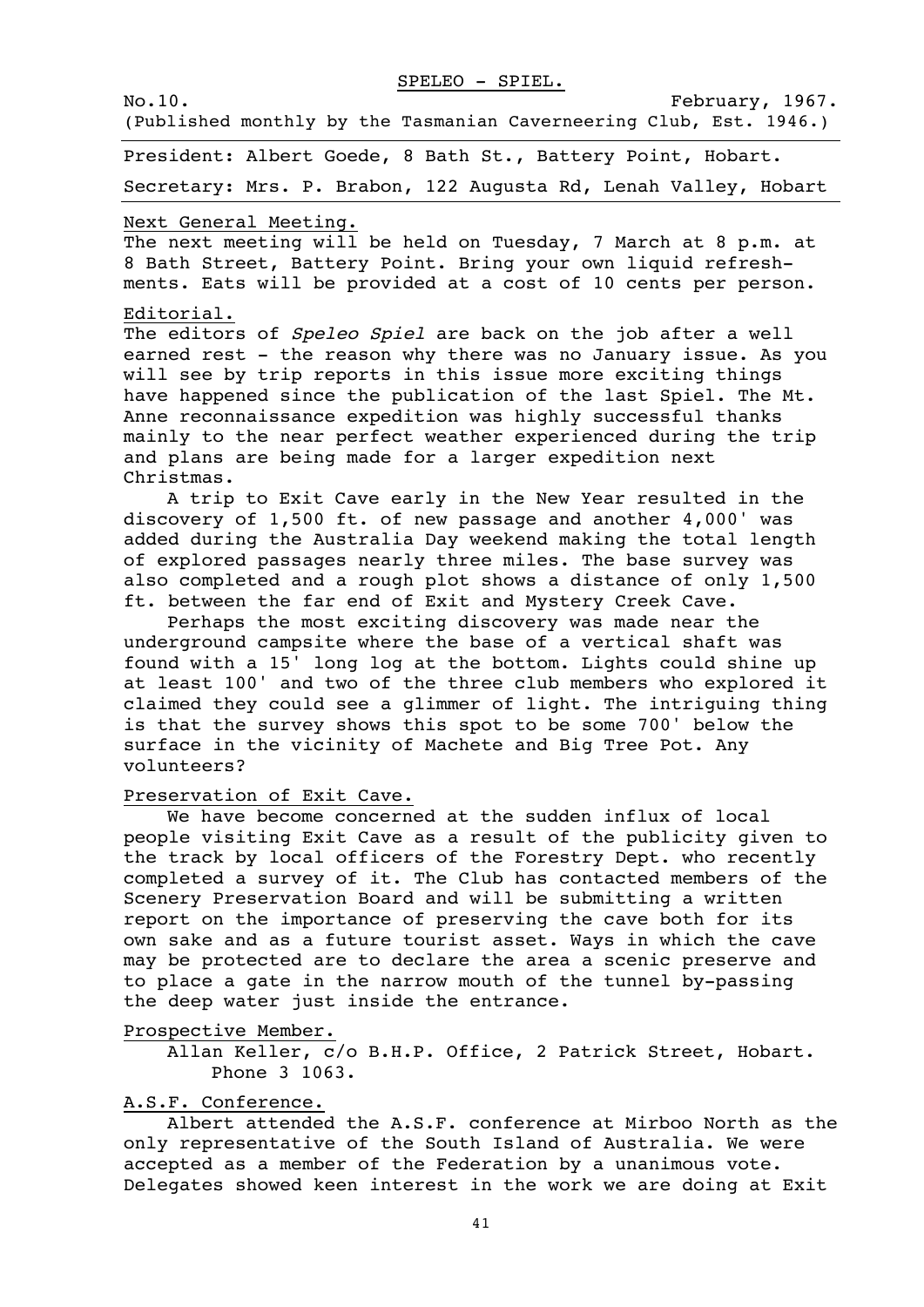SPELEO - SPIEL.

No.10. February, 1967.

(Published monthly by the Tasmanian Caverneering Club, Est. 1946.)

President: Albert Goede, 8 Bath St., Battery Point, Hobart.

Secretary: Mrs. P. Brabon, 122 Augusta Rd, Lenah Valley, Hobart

## Next General Meeting.

The next meeting will be held on Tuesday, 7 March at 8 p.m. at 8 Bath Street, Battery Point. Bring your own liquid refreshments. Eats will be provided at a cost of 10 cents per person.

#### Editorial.

The editors of Speleo Spiel are back on the job after a well earned rest - the reason why there was no January issue. As you will see by trip reports in this issue more exciting things have happened since the publication of the last Spiel. The Mt. Anne reconnaissance expedition was highly successful thanks mainly to the near perfect weather experienced during the trip and plans are being made for a larger expedition next Christmas.

A trip to Exit Cave early in the New Year resulted in the discovery of 1,500 ft. of new passage and another 4,000' was added during the Australia Day weekend making the total length of explored passages nearly three miles. The base survey was also completed and a rough plot shows a distance of only 1,500 ft. between the far end of Exit and Mystery Creek Cave.

Perhaps the most exciting discovery was made near the underground campsite where the base of a vertical shaft was found with a 15' long log at the bottom. Lights could shine up at least 100' and two of the three club members who explored it claimed they could see a glimmer of light. The intriguing thing is that the survey shows this spot to be some 700' below the surface in the vicinity of Machete and Big Tree Pot. Any volunteers?

#### Preservation of Exit Cave.

We have become concerned at the sudden influx of local people visiting Exit Cave as a result of the publicity given to the track by local officers of the Forestry Dept. who recently completed a survey of it. The Club has contacted members of the Scenery Preservation Board and will be submitting a written report on the importance of preserving the cave both for its own sake and as a future tourist asset. Ways in which the cave may be protected are to declare the area a scenic preserve and to place a gate in the narrow mouth of the tunnel by-passing the deep water just inside the entrance.

Prospective Member.

Allan Keller, c/o B.H.P. Office, 2 Patrick Street, Hobart. Phone 3 1063.

#### A.S.F. Conference.

Albert attended the A.S.F. conference at Mirboo North as the only representative of the South Island of Australia. We were accepted as a member of the Federation by a unanimous vote. Delegates showed keen interest in the work we are doing at Exit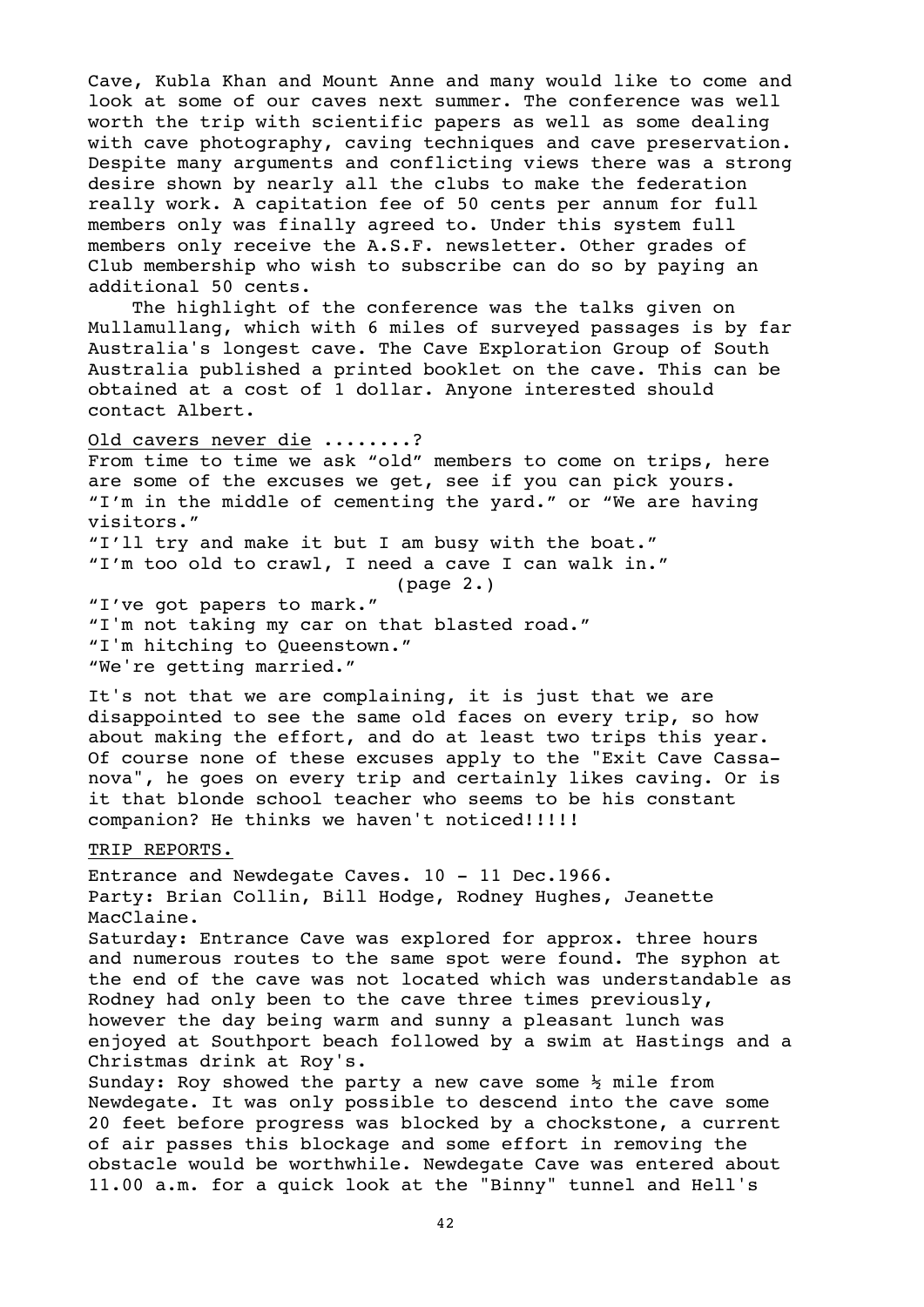Cave, Kubla Khan and Mount Anne and many would like to come and look at some of our caves next summer. The conference was well worth the trip with scientific papers as well as some dealing with cave photography, caving techniques and cave preservation. Despite many arguments and conflicting views there was a strong desire shown by nearly all the clubs to make the federation really work. A capitation fee of 50 cents per annum for full members only was finally agreed to. Under this system full members only receive the A.S.F. newsletter. Other grades of Club membership who wish to subscribe can do so by paying an additional 50 cents.

The highlight of the conference was the talks given on Mullamullang, which with 6 miles of surveyed passages is by far Australia's longest cave. The Cave Exploration Group of South Australia published a printed booklet on the cave. This can be obtained at a cost of 1 dollar. Anyone interested should contact Albert.

Old cavers never die ........?

From time to time we ask "old" members to come on trips, here are some of the excuses we get, see if you can pick yours. "I'm in the middle of cementing the yard." or "We are having visitors."

"I'll try and make it but I am busy with the boat." "I'm too old to crawl, I need a cave I can walk in."

(page 2.)

"I've got papers to mark." "I'm not taking my car on that blasted road." "I'm hitching to Queenstown." "We're getting married."

It's not that we are complaining, it is just that we are disappointed to see the same old faces on every trip, so how about making the effort, and do at least two trips this year. Of course none of these excuses apply to the "Exit Cave Cassanova", he goes on every trip and certainly likes caving. Or is it that blonde school teacher who seems to be his constant companion? He thinks we haven't noticed!!!!!

#### TRIP REPORTS.

Entrance and Newdegate Caves. 10 - 11 Dec.1966. Party: Brian Collin, Bill Hodge, Rodney Hughes, Jeanette MacClaine. Saturday: Entrance Cave was explored for approx. three hours and numerous routes to the same spot were found. The syphon at the end of the cave was not located which was understandable as Rodney had only been to the cave three times previously, however the day being warm and sunny a pleasant lunch was enjoyed at Southport beach followed by a swim at Hastings and a Christmas drink at Roy's. Sunday: Roy showed the party a new cave some  $\frac{1}{2}$  mile from Newdegate. It was only possible to descend into the cave some 20 feet before progress was blocked by a chockstone, a current

of air passes this blockage and some effort in removing the obstacle would be worthwhile. Newdegate Cave was entered about 11.00 a.m. for a quick look at the "Binny" tunnel and Hell's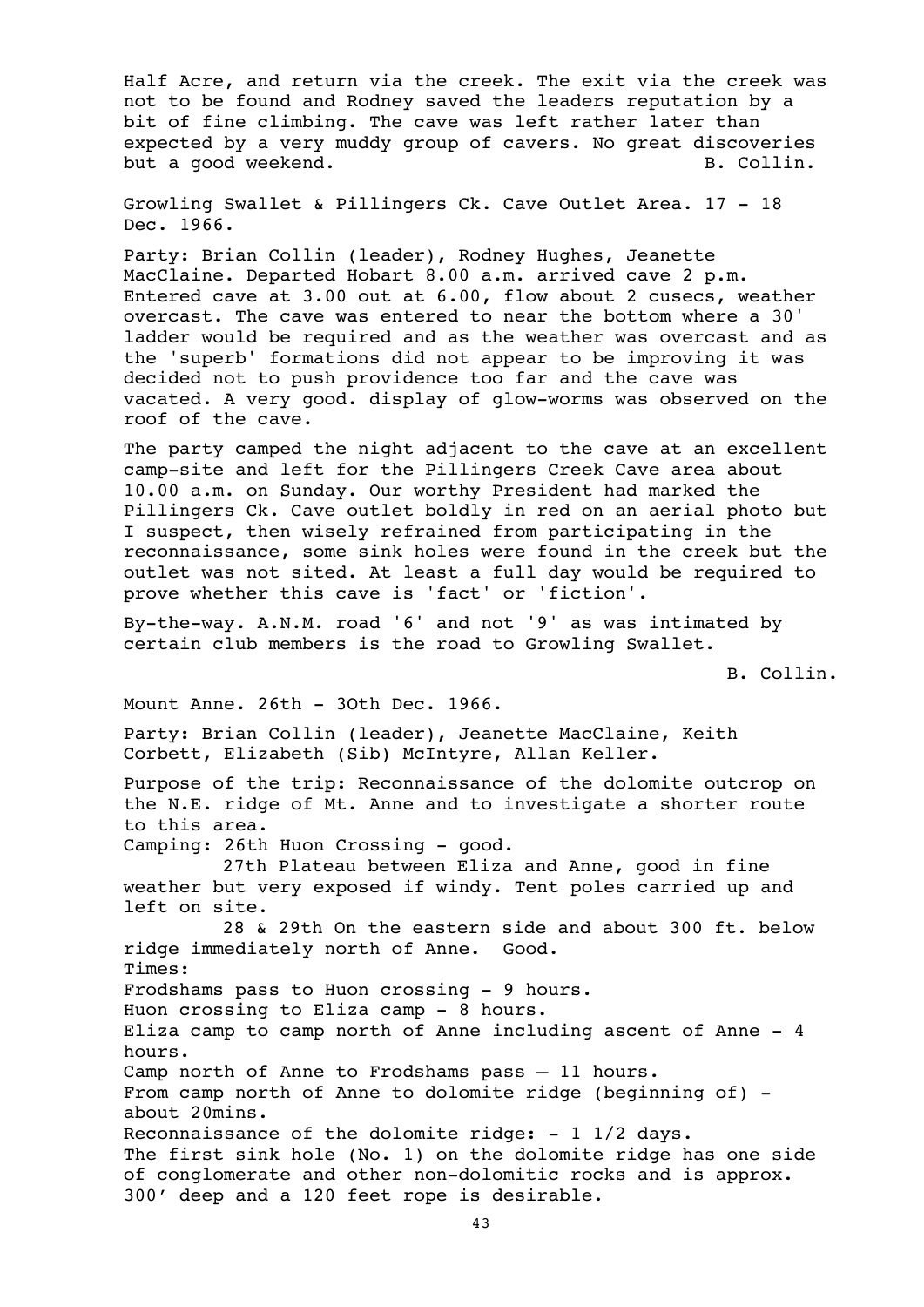Half Acre, and return via the creek. The exit via the creek was not to be found and Rodney saved the leaders reputation by a bit of fine climbing. The cave was left rather later than expected by a very muddy group of cavers. No great discoveries but a good weekend. The same state of the set of the set of the set of the set of the set of the set of the set of the set of the set of the set of the set of the set of the set of the set of the set of the set of the set

Growling Swallet & Pillingers Ck. Cave Outlet Area. 17 - 18 Dec. 1966.

Party: Brian Collin (leader), Rodney Hughes, Jeanette MacClaine. Departed Hobart 8.00 a.m. arrived cave 2 p.m. Entered cave at 3.00 out at 6.00, flow about 2 cusecs, weather overcast. The cave was entered to near the bottom where a 30' ladder would be required and as the weather was overcast and as the 'superb' formations did not appear to be improving it was decided not to push providence too far and the cave was vacated. A very good. display of glow-worms was observed on the roof of the cave.

The party camped the night adjacent to the cave at an excellent camp-site and left for the Pillingers Creek Cave area about 10.00 a.m. on Sunday. Our worthy President had marked the Pillingers Ck. Cave outlet boldly in red on an aerial photo but I suspect, then wisely refrained from participating in the reconnaissance, some sink holes were found in the creek but the outlet was not sited. At least a full day would be required to prove whether this cave is 'fact' or 'fiction'.

By-the-way. A.N.M. road '6' and not '9' as was intimated by certain club members is the road to Growling Swallet.

B. Collin.

Mount Anne. 26th - 3Oth Dec. 1966.

Party: Brian Collin (leader), Jeanette MacClaine, Keith Corbett, Elizabeth (Sib) McIntyre, Allan Keller.

Purpose of the trip: Reconnaissance of the dolomite outcrop on the N.E. ridge of Mt. Anne and to investigate a shorter route to this area.

Camping: 26th Huon Crossing - good.

27th Plateau between Eliza and Anne, good in fine weather but very exposed if windy. Tent poles carried up and left on site.

28 & 29th On the eastern side and about 300 ft. below ridge immediately north of Anne. Good. Times: Frodshams pass to Huon crossing - 9 hours. Huon crossing to Eliza camp - 8 hours. Eliza camp to camp north of Anne including ascent of Anne - 4 hours. Camp north of Anne to Frodshams pass – 11 hours. From camp north of Anne to dolomite ridge (beginning of) about 20mins.

Reconnaissance of the dolomite ridge:  $-1$  1/2 days.

The first sink hole (No. 1) on the dolomite ridge has one side of conglomerate and other non-dolomitic rocks and is approx. 300' deep and a 120 feet rope is desirable.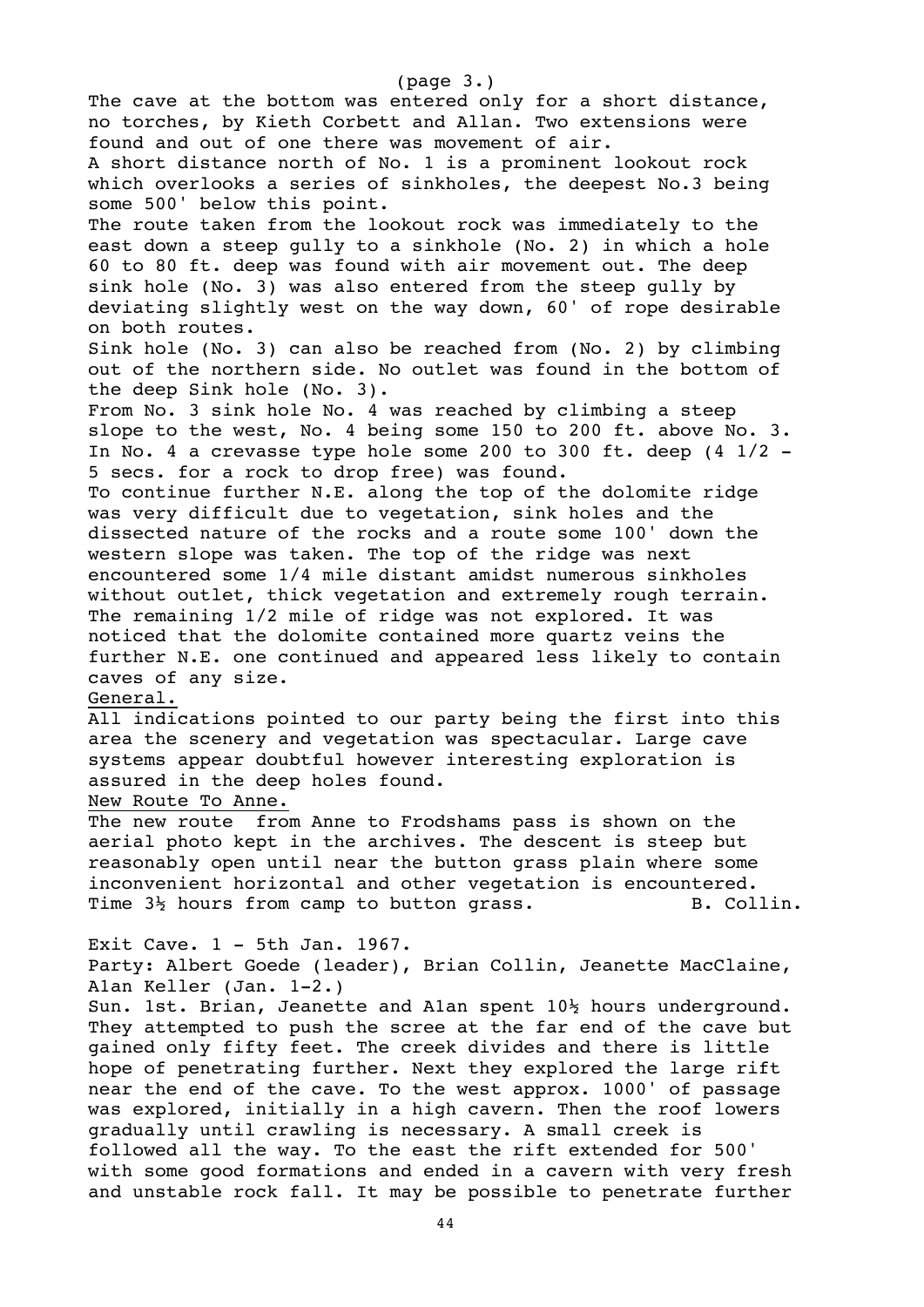The cave at the bottom was entered only for a short distance, no torches, by Kieth Corbett and Allan. Two extensions were found and out of one there was movement of air. A short distance north of No. 1 is a prominent lookout rock which overlooks a series of sinkholes, the deepest No.3 being some 500' below this point. The route taken from the lookout rock was immediately to the east down a steep gully to a sinkhole (No. 2) in which a hole 60 to 80 ft. deep was found with air movement out. The deep sink hole (No. 3) was also entered from the steep gully by deviating slightly west on the way down, 60' of rope desirable on both routes. Sink hole (No. 3) can also be reached from (No. 2) by climbing out of the northern side. No outlet was found in the bottom of the deep Sink hole (No. 3). From No. 3 sink hole No. 4 was reached by climbing a steep slope to the west, No. 4 being some 150 to 200 ft. above No. 3. In No. 4 a crevasse type hole some 200 to 300 ft. deep  $(4\ 1/2$  -5 secs. for a rock to drop free) was found. To continue further N.E. along the top of the dolomite ridge was very difficult due to vegetation, sink holes and the dissected nature of the rocks and a route some 100' down the western slope was taken. The top of the ridge was next encountered some 1/4 mile distant amidst numerous sinkholes without outlet, thick vegetation and extremely rough terrain. The remaining 1/2 mile of ridge was not explored. It was noticed that the dolomite contained more quartz veins the further N.E. one continued and appeared less likely to contain caves of any size. General. All indications pointed to our party being the first into this area the scenery and vegetation was spectacular. Large cave systems appear doubtful however interesting exploration is assured in the deep holes found. New Route To Anne. The new route from Anne to Frodshams pass is shown on the aerial photo kept in the archives. The descent is steep but reasonably open until near the button grass plain where some inconvenient horizontal and other vegetation is encountered. Time  $3\frac{1}{2}$  hours from camp to button grass. B. Collin. Exit Cave. 1 - 5th Jan. 1967. Party: Albert Goede (leader), Brian Collin, Jeanette MacClaine, A1an Keller (Jan. 1-2.) Sun. 1st. Brian, Jeanette and A1an spent 10½ hours underground. They attempted to push the scree at the far end of the cave but gained only fifty feet. The creek divides and there is little hope of penetrating further. Next they explored the large rift near the end of the cave. To the west approx. 1000' of passage was explored, initially in a high cavern. Then the roof lowers gradually until crawling is necessary. A small creek is followed all the way. To the east the rift extended for 500' with some good formations and ended in a cavern with very fresh and unstable rock fall. It may be possible to penetrate further

(page 3.)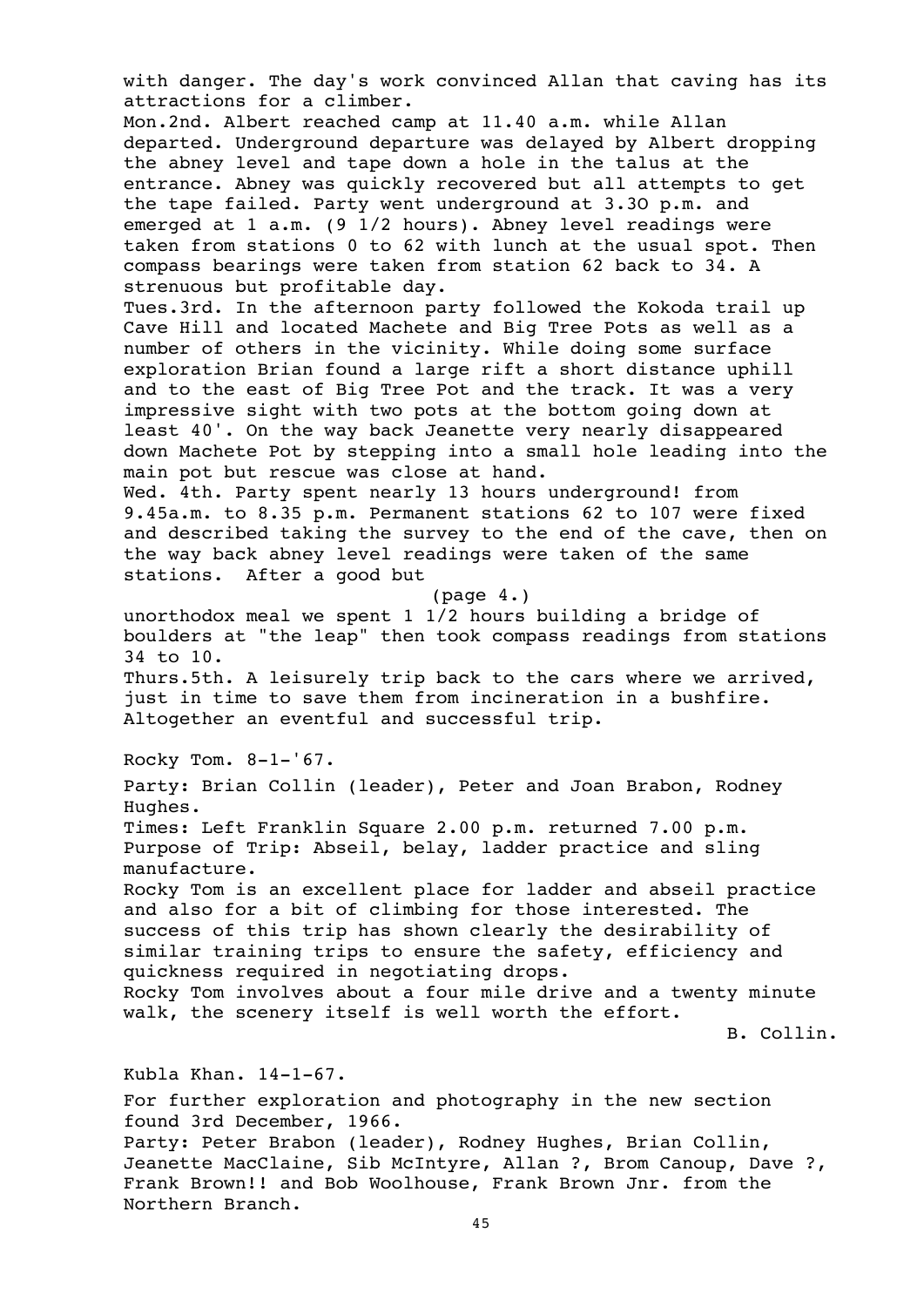with danger. The day's work convinced Allan that caving has its attractions for a climber.

Mon.2nd. Albert reached camp at 11.40 a.m. while Allan departed. Underground departure was delayed by Albert dropping the abney level and tape down a hole in the talus at the entrance. Abney was quickly recovered but all attempts to get the tape failed. Party went underground at 3.3O p.m. and emerged at 1 a.m. (9 1/2 hours). Abney level readings were taken from stations 0 to 62 with lunch at the usual spot. Then compass bearings were taken from station 62 back to 34. A strenuous but profitable day.

Tues.3rd. In the afternoon party followed the Kokoda trail up Cave Hill and located Machete and Big Tree Pots as well as a number of others in the vicinity. While doing some surface exploration Brian found a large rift a short distance uphill and to the east of Big Tree Pot and the track. It was a very impressive sight with two pots at the bottom going down at least 40'. On the way back Jeanette very nearly disappeared down Machete Pot by stepping into a small hole leading into the main pot but rescue was close at hand.

Wed. 4th. Party spent nearly 13 hours underground! from 9.45a.m. to 8.35 p.m. Permanent stations 62 to 107 were fixed and described taking the survey to the end of the cave, then on the way back abney level readings were taken of the same stations. After a good but

(page 4.)

unorthodox meal we spent 1 1/2 hours building a bridge of boulders at "the leap" then took compass readings from stations 34 to 10.

Thurs.5th. A leisurely trip back to the cars where we arrived, just in time to save them from incineration in a bushfire. Altogether an eventful and successful trip.

Rocky Tom. 8-1-'67.

Party: Brian Collin (leader), Peter and Joan Brabon, Rodney Hughes.

Times: Left Franklin Square 2.00 p.m. returned 7.00 p.m. Purpose of Trip: Abseil, belay, ladder practice and sling manufacture.

Rocky Tom is an excellent place for ladder and abseil practice and also for a bit of climbing for those interested. The success of this trip has shown clearly the desirability of similar training trips to ensure the safety, efficiency and quickness required in negotiating drops.

Rocky Tom involves about a four mile drive and a twenty minute walk, the scenery itself is well worth the effort.

B. Collin.

Kubla Khan. 14-1-67.

For further exploration and photography in the new section found 3rd December, 1966.

Party: Peter Brabon (leader), Rodney Hughes, Brian Collin, Jeanette MacClaine, Sib McIntyre, Allan ?, Brom Canoup, Dave ?, Frank Brown!! and Bob Woolhouse, Frank Brown Jnr. from the Northern Branch.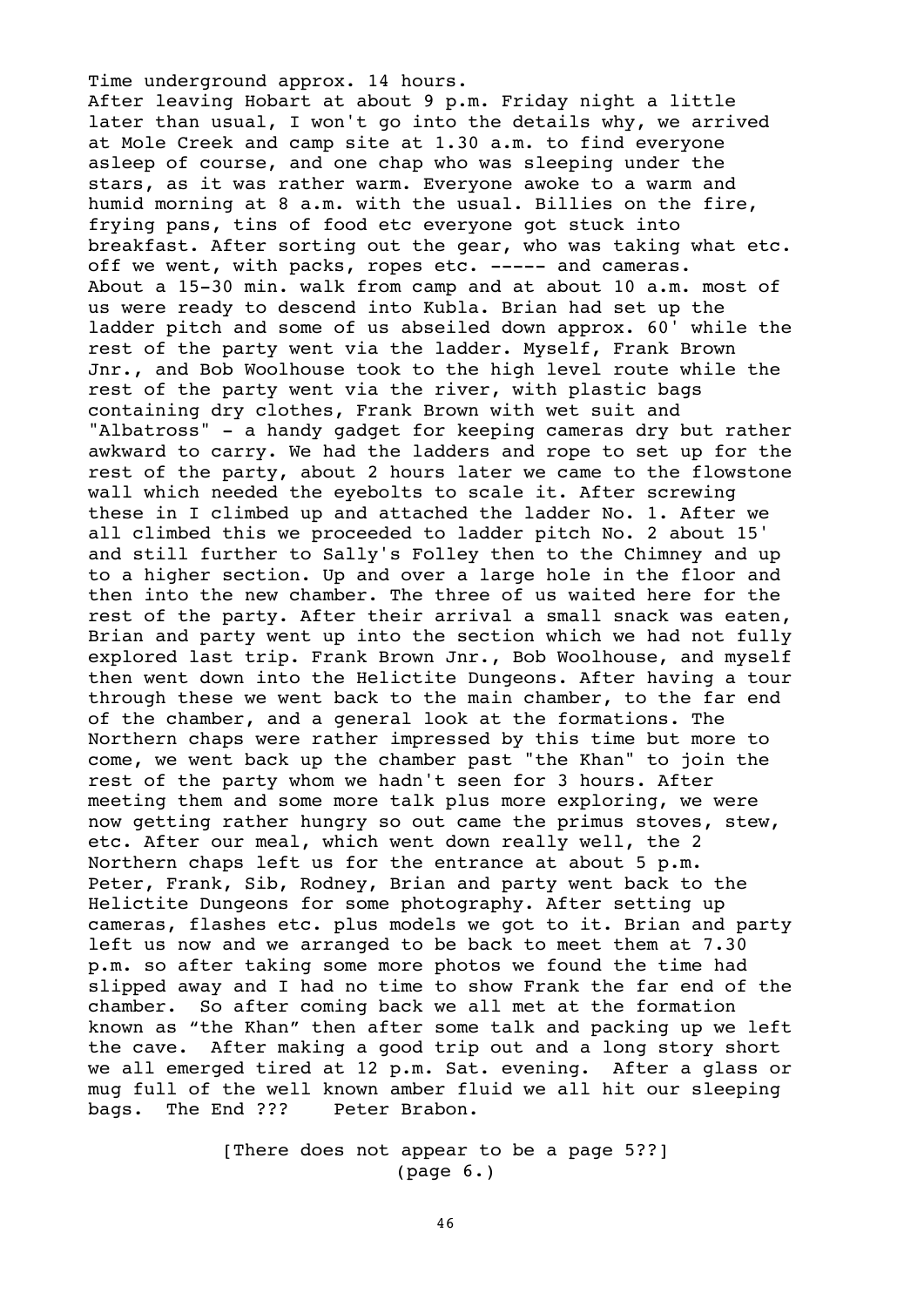Time underground approx. 14 hours. After leaving Hobart at about 9 p.m. Friday night a little later than usual, I won't go into the details why, we arrived at Mole Creek and camp site at 1.30 a.m. to find everyone asleep of course, and one chap who was sleeping under the stars, as it was rather warm. Everyone awoke to a warm and humid morning at 8 a.m. with the usual. Billies on the fire, frying pans, tins of food etc everyone got stuck into breakfast. After sorting out the gear, who was taking what etc. off we went, with packs, ropes etc. ----- and cameras. About a 15-30 min. walk from camp and at about 10 a.m. most of us were ready to descend into Kubla. Brian had set up the ladder pitch and some of us abseiled down approx. 60' while the rest of the party went via the ladder. Myself, Frank Brown Jnr., and Bob Woolhouse took to the high level route while the rest of the party went via the river, with plastic bags containing dry clothes, Frank Brown with wet suit and "Albatross" - a handy gadget for keeping cameras dry but rather awkward to carry. We had the ladders and rope to set up for the rest of the party, about 2 hours later we came to the flowstone wall which needed the eyebolts to scale it. After screwing these in I climbed up and attached the ladder No. 1. After we all climbed this we proceeded to ladder pitch No. 2 about 15' and still further to Sally's Folley then to the Chimney and up to a higher section. Up and over a large hole in the floor and then into the new chamber. The three of us waited here for the rest of the party. After their arrival a small snack was eaten, Brian and party went up into the section which we had not fully explored last trip. Frank Brown Jnr., Bob Woolhouse, and myself then went down into the Helictite Dungeons. After having a tour through these we went back to the main chamber, to the far end of the chamber, and a general look at the formations. The Northern chaps were rather impressed by this time but more to come, we went back up the chamber past "the Khan" to join the rest of the party whom we hadn't seen for 3 hours. After meeting them and some more talk plus more exploring, we were now getting rather hungry so out came the primus stoves, stew, etc. After our meal, which went down really well, the 2 Northern chaps left us for the entrance at about 5 p.m. Peter, Frank, Sib, Rodney, Brian and party went back to the Helictite Dungeons for some photography. After setting up cameras, flashes etc. plus models we got to it. Brian and party left us now and we arranged to be back to meet them at 7.30 p.m. so after taking some more photos we found the time had slipped away and I had no time to show Frank the far end of the chamber. So after coming back we all met at the formation known as "the Khan" then after some talk and packing up we left the cave. After making a good trip out and a long story short we all emerged tired at 12 p.m. Sat. evening. After a glass or mug full of the well known amber fluid we all hit our sleeping bags. The End ??? Peter Brabon.

> [There does not appear to be a page 5??] (page 6.)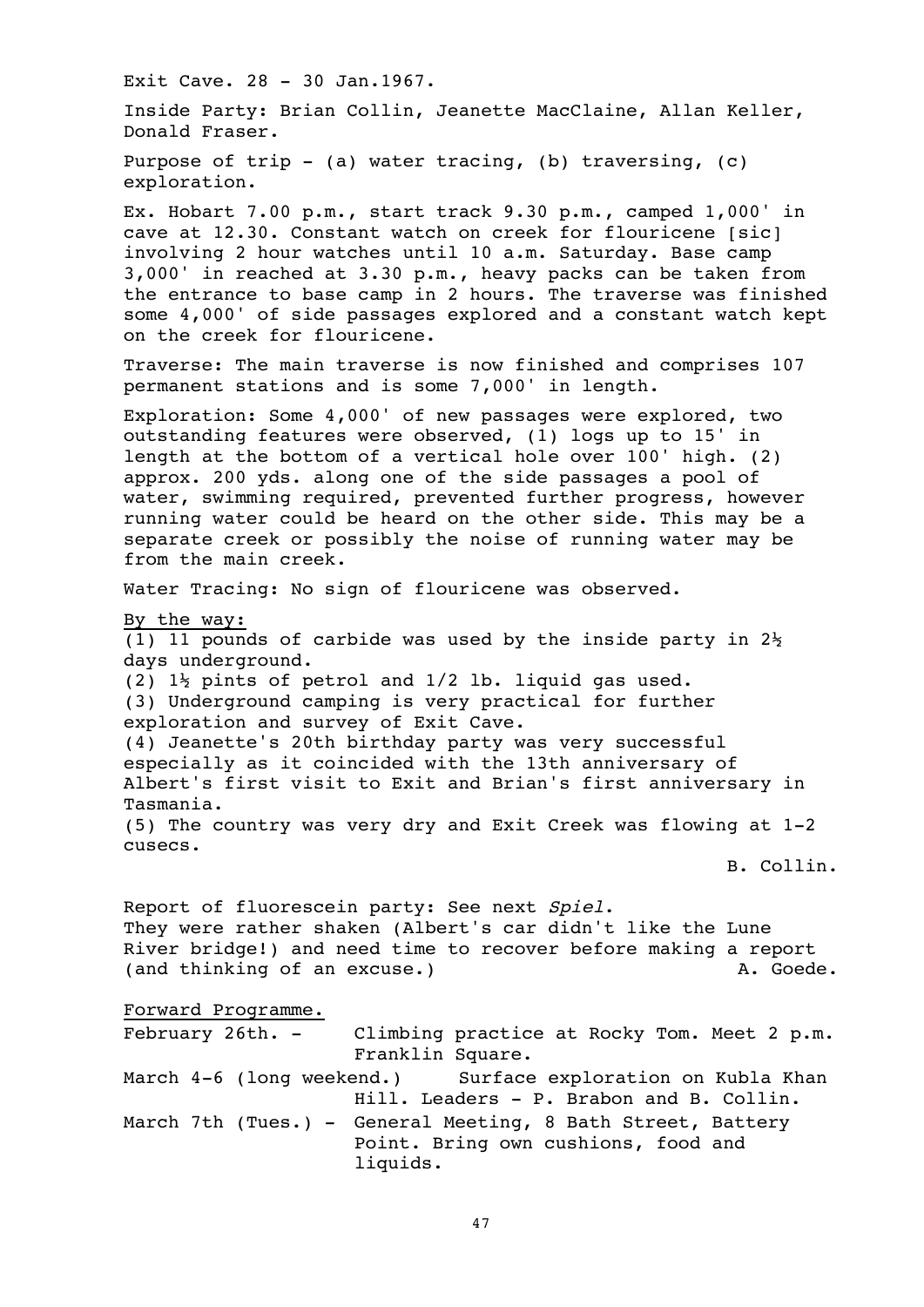Exit Cave. 28 - 30 Jan.1967. Inside Party: Brian Collin, Jeanette MacClaine, Allan Keller, Donald Fraser. Purpose of trip  $-$  (a) water tracing, (b) traversing, (c) exploration. Ex. Hobart 7.00 p.m., start track 9.30 p.m., camped 1,000' in cave at 12.30. Constant watch on creek for flouricene [sic] involving 2 hour watches until 10 a.m. Saturday. Base camp 3,000' in reached at 3.30 p.m., heavy packs can be taken from the entrance to base camp in 2 hours. The traverse was finished some 4,000' of side passages explored and a constant watch kept on the creek for flouricene. Traverse: The main traverse is now finished and comprises 107 permanent stations and is some 7,000' in length. Exploration: Some 4,000' of new passages were explored, two outstanding features were observed, (1) logs up to 15' in length at the bottom of a vertical hole over 100' high. (2) approx. 200 yds. along one of the side passages a pool of water, swimming required, prevented further progress, however running water could be heard on the other side. This may be a separate creek or possibly the noise of running water may be from the main creek. Water Tracing: No sign of flouricene was observed. By the way: (1) 11 pounds of carbide was used by the inside party in  $2\frac{1}{2}$ days underground. (2) 1½ pints of petrol and 1/2 lb. liquid gas used. (3) Underground camping is very practical for further exploration and survey of Exit Cave. (4) Jeanette's 20th birthday party was very successful especially as it coincided with the 13th anniversary of Albert's first visit to Exit and Brian's first anniversary in Tasmania. (5) The country was very dry and Exit Creek was flowing at 1-2 cusecs. B. Collin. Report of fluorescein party: See next Spiel. They were rather shaken (Albert's car didn't like the Lune River bridge!) and need time to recover before making a report (and thinking of an excuse.) A. Goede. Forward Programme. February 26th. - Climbing practice at Rocky Tom. Meet 2 p.m. Franklin Square. March 4-6 (long weekend.) Surface exploration on Kubla Khan Hill. Leaders - P. Brabon and B. Collin. March 7th (Tues.) - General Meeting, 8 Bath Street, Battery Point. Bring own cushions, food and liquids.

47